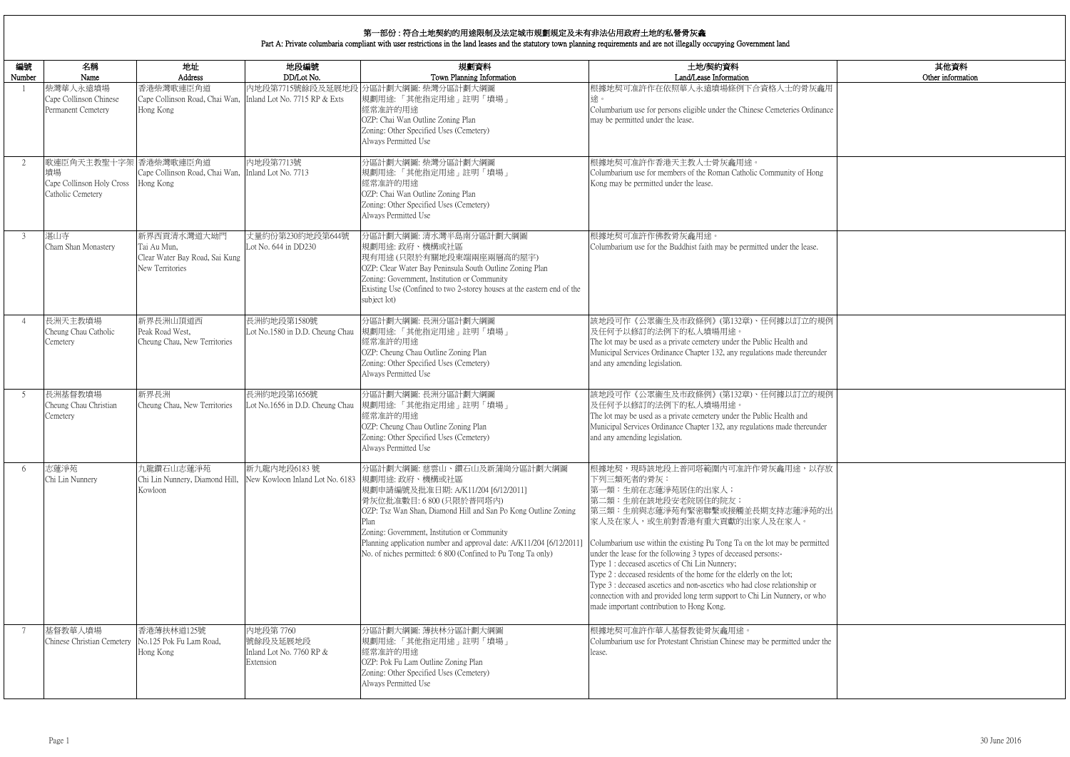|                    | 其他資料<br>Other information |
|--------------------|---------------------------|
| 灰龕用                |                           |
| dinance            |                           |
|                    |                           |
|                    |                           |
| Iong               |                           |
|                    |                           |
|                    |                           |
| ise.               |                           |
|                    |                           |
|                    |                           |
|                    |                           |
| 的規例                |                           |
| under              |                           |
|                    |                           |
| 的規例                |                           |
|                    |                           |
| under              |                           |
| 以存放                |                           |
|                    |                           |
| 苑的出                |                           |
|                    |                           |
| mitted             |                           |
|                    |                           |
| <b>or</b><br>r who |                           |
|                    |                           |
| der the            |                           |
|                    |                           |
|                    |                           |
|                    |                           |

| 編號<br>Number   | 名稱<br>Name                                                                    | 地址<br>Address                                                                          | 地段編號<br>DD/Lot No.                                             | 規劃資料<br>Town Planning Information                                                                                                                                                                                                                                                                                                                              | 土地/契約資料<br>Land/Lease Information                                                                                                                                                                                                                                                                                                                                                                                                                                                                                                                                                                                                            |
|----------------|-------------------------------------------------------------------------------|----------------------------------------------------------------------------------------|----------------------------------------------------------------|----------------------------------------------------------------------------------------------------------------------------------------------------------------------------------------------------------------------------------------------------------------------------------------------------------------------------------------------------------------|----------------------------------------------------------------------------------------------------------------------------------------------------------------------------------------------------------------------------------------------------------------------------------------------------------------------------------------------------------------------------------------------------------------------------------------------------------------------------------------------------------------------------------------------------------------------------------------------------------------------------------------------|
|                | 柴灣華人永遠墳場<br>Cape Collinson Chinese<br>Permanent Cemetery                      | 香港柴灣歌連臣角道<br>Cape Collinson Road, Chai Wan, Inland Lot No. 7715 RP & Exts<br>Hong Kong |                                                                | 内地段第7715號餘段及延展地段 分區計劃大綱圖: 柴灣分區計劃大綱圖<br>規劃用途:「其他指定用途」註明「墳場」<br>經常准許的用途<br>OZP: Chai Wan Outline Zoning Plan<br>Zoning: Other Specified Uses (Cemetery)<br>Always Permitted Use                                                                                                                                                                                  | 根據地契可准許作在依照華人永遠墳場條例下合資格人士的骨灰龕用<br>途。<br>Columbarium use for persons eligible under the Chinese Cemeteries Ordinance<br>may be permitted under the lease.                                                                                                                                                                                                                                                                                                                                                                                                                                                                                     |
| 2              | 歌連臣角天主教聖十字架 香港柴灣歌連臣角道<br>墳場<br>Cape Collinson Holy Cross<br>Catholic Cemetery | Cape Collinson Road, Chai Wan, Inland Lot No. 7713<br>Hong Kong                        | 內地段第7713號                                                      | 分區計劃大綱圖: 柴灣分區計劃大綱圖<br>規劃用途:「其他指定用途」註明「墳場」<br>經常准許的用途<br>OZP: Chai Wan Outline Zoning Plan<br>Zoning: Other Specified Uses (Cemetery)<br>Always Permitted Use                                                                                                                                                                                                   | 根據地契可准許作香港天主教人士骨灰龕用途。<br>Columbarium use for members of the Roman Catholic Community of Hong<br>Kong may be permitted under the lease.                                                                                                                                                                                                                                                                                                                                                                                                                                                                                                       |
| 3              | 湛山寺<br>Cham Shan Monastery                                                    | 新界西貢清水灣道大坳門<br>Tai Au Mun,<br>Clear Water Bay Road, Sai Kung<br>New Territories        | 丈量約份第230約地段第644號<br>Lot No. 644 in DD230                       | 分區計劃大綱圖: 清水灣半島南分區計劃大綱圖<br>規劃用途:政府、機構或社區<br>現有用途(只限於有關地段東端兩座兩層高的屋宇)<br>OZP: Clear Water Bay Peninsula South Outline Zoning Plan<br>Zoning: Government, Institution or Community<br>Existing Use (Confined to two 2-storey houses at the eastern end of the<br>subject lot)                                                                                      | 根據地契可准許作佛教骨灰龕用途。<br>Columbarium use for the Buddhist faith may be permitted under the lease.                                                                                                                                                                                                                                                                                                                                                                                                                                                                                                                                                 |
| $\overline{4}$ | 長洲天主教墳場<br>Cheung Chau Catholic<br>Cemetery                                   | 新界長洲山頂道西<br>Peak Road West,<br>Cheung Chau, New Territories                            | 長洲約地段第1580號                                                    | 分區計劃大綱圖:長洲分區計劃大綱圖<br>Lot No.1580 in D.D. Cheung Chau  規劃用途:「其他指定用途」註明「墳場」<br>經常准許的用途<br>OZP: Cheung Chau Outline Zoning Plan<br>Zoning: Other Specified Uses (Cemetery)<br>Always Permitted Use                                                                                                                                                                | 該地段可作《公眾衞生及市政條例》(第132章)、任何據以訂立的規例<br>及任何予以修訂的法例下的私人墳場用途。<br>The lot may be used as a private cemetery under the Public Health and<br>Municipal Services Ordinance Chapter 132, any regulations made thereunder<br>and any amending legislation.                                                                                                                                                                                                                                                                                                                                                                                              |
| 5              | 長洲基督教墳場<br>Cheung Chau Christian<br>Cemetery                                  | 新界長洲<br>Cheung Chau, New Territories                                                   | 長洲約地段第1656號<br>Lot No.1656 in D.D. Cheung Chau                 | 分區計劃大綱圖:長洲分區計劃大綱圖<br>規劃用途:「其他指定用途」註明「墳場」<br>經常准許的用途<br>OZP: Cheung Chau Outline Zoning Plan<br>Zoning: Other Specified Uses (Cemetery)<br>Always Permitted Use                                                                                                                                                                                                 | 該地段可作《公眾衞生及市政條例》(第132章)、任何據以訂立的規例<br>及任何予以修訂的法例下的私人墳場用途。<br>The lot may be used as a private cemetery under the Public Health and<br>Municipal Services Ordinance Chapter 132, any regulations made thereunder<br>and any amending legislation.                                                                                                                                                                                                                                                                                                                                                                                              |
| 6              | 志蓮淨苑<br>Chi Lin Nunnery                                                       | 九龍鑽石山志蓮淨苑<br>Chi Lin Nunnery, Diamond Hill,<br>Kowloon                                 | 新九龍內地段6183號<br>New Kowloon Inland Lot No. 6183  規劃用途: 政府、機構或社區 | 分區計劃大綱圖:慈雲山、鑽石山及新蒲崗分區計劃大綱圖<br>規劃申請編號及批准日期: A/K11/204 [6/12/2011]<br>骨灰位批准數目: 6 800 (只限於普同塔內)<br>OZP: Tsz Wan Shan, Diamond Hill and San Po Kong Outline Zoning<br>Plan<br>Zoning: Government, Institution or Community<br>Planning application number and approval date: A/K11/204 [6/12/2011]<br>No. of niches permitted: 6 800 (Confined to Pu Tong Ta only) | 根據地契,現時該地段上普同塔範圍內可准許作骨灰龕用途,以存放<br>下列三類死者的骨灰:<br>第一類:生前在志蓮淨苑居住的出家人;<br>第二類:生前在該地段安老院居住的院友;<br> 第三類:生前與志蓮淨苑有緊密聯繫或接觸並長期支持志蓮淨苑的出<br>家人及在家人,或生前對香港有重大貢獻的出家人及在家人。<br>Columbarium use within the existing Pu Tong Ta on the lot may be permitted<br>under the lease for the following 3 types of deceased persons:-<br>Type 1 : deceased ascetics of Chi Lin Nunnery;<br>Type 2 : deceased residents of the home for the elderly on the lot;<br>Type 3 : deceased ascetics and non-ascetics who had close relationship or<br>connection with and provided long term support to Chi Lin Nunnery, or who<br>made important contribution to Hong Kong. |
| 7              | 基督教華人墳場<br>Chinese Christian Cemetery                                         | 香港薄扶林道125號<br>No.125 Pok Fu Lam Road,<br>Hong Kong                                     | 內地段第 7760<br>號餘段及延展地段<br>Inland Lot No. 7760 RP &<br>Extension | 分區計劃大綱圖: 薄扶林分區計劃大綱圖<br> 規劃用途:「其他指定用途」註明「墳場」<br>經常准許的用途<br>OZP: Pok Fu Lam Outline Zoning Plan<br>Zoning: Other Specified Uses (Cemetery)<br>Always Permitted Use                                                                                                                                                                                               | 根據地契可准許作華人基督教徒骨灰龕用途。<br>Columbarium use for Protestant Christian Chinese may be permitted under the<br>lease.                                                                                                                                                                                                                                                                                                                                                                                                                                                                                                                                |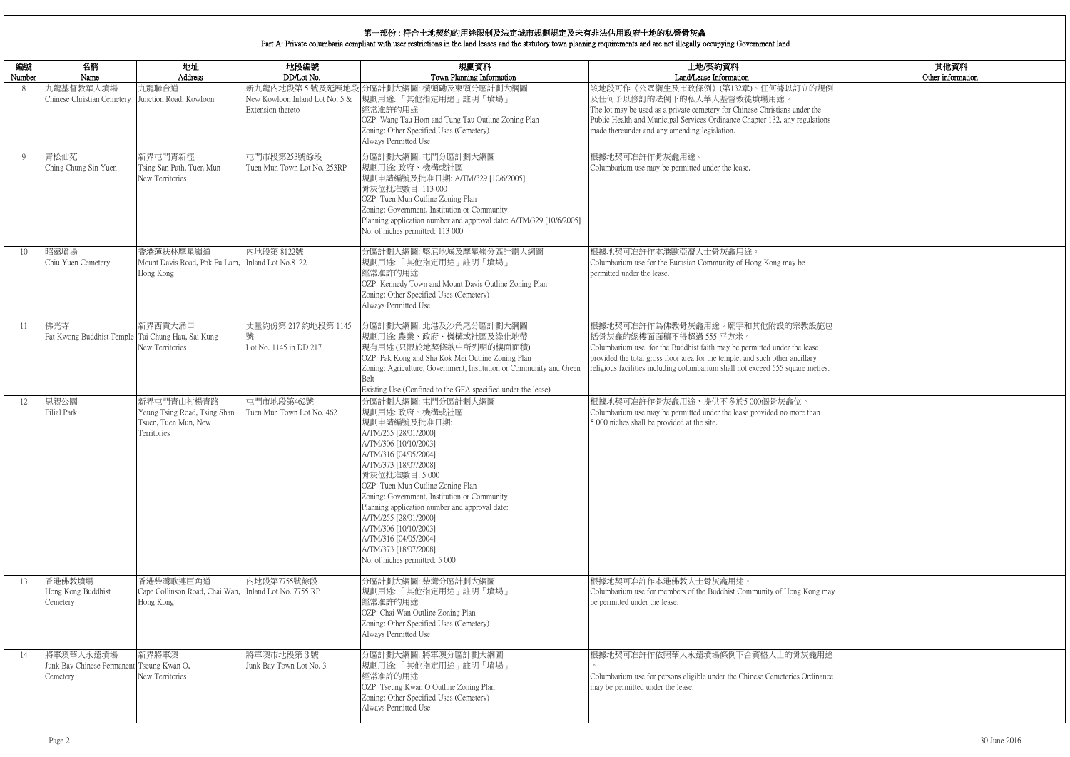|                              | 其他資料<br>Other information |
|------------------------------|---------------------------|
| 的規例                          |                           |
| the<br>ilations              |                           |
|                              |                           |
|                              |                           |
|                              |                           |
| 設施包<br>ase<br>ıry<br>netres. |                           |
| han                          |                           |
|                              |                           |
|                              |                           |
| ong may                      |                           |
| 龕用途                          |                           |
| dinance                      |                           |

# 第一部份 : 符合土地契約的用途限制及法定城市規劃規定及未有非法佔用政府土地的私營骨灰龕

Part A: Private columbaria compliant with user restrictions in the land leases and the statutory town planning requirements and are not illegally occupying Government land

| 編號<br>Number | 名稱<br>Name                                                         | 地址<br>Address                                                                     | 地段編號<br>DD/Lot No.                                  | 規劃資料<br>Town Planning Information                                                                                                                                                                                                                                                                                                                                                                                                                   | 土地/契約資料<br>Land/Lease Information                                                                                                                                                                                                                                                                      |
|--------------|--------------------------------------------------------------------|-----------------------------------------------------------------------------------|-----------------------------------------------------|-----------------------------------------------------------------------------------------------------------------------------------------------------------------------------------------------------------------------------------------------------------------------------------------------------------------------------------------------------------------------------------------------------------------------------------------------------|--------------------------------------------------------------------------------------------------------------------------------------------------------------------------------------------------------------------------------------------------------------------------------------------------------|
| 8            | 九龍基督教華人墳場<br>Chinese Christian Cemetery                            | 九龍聯合道<br>Junction Road, Kowloon                                                   | New Kowloon Inland Lot No. 5 &<br>Extension thereto | 新九龍內地段第5號及延展地段 分區計劃大綱圖: 橫頭磡及東頭分區計劃大綱圖<br> 規劃用途:「其他指定用途」註明「墳場」<br>經常准許的用途<br>OZP: Wang Tau Hom and Tung Tau Outline Zoning Plan<br>Zoning: Other Specified Uses (Cemetery)<br>Always Permitted Use                                                                                                                                                                                                                                                   | 該地段可作《公眾衞生及市政條例》(第132章)、任何據以訂立的規例<br>及任何予以修訂的法例下的私人華人基督教徒墳場用途。<br>The lot may be used as a private cemetery for Chinese Christians under the<br>Public Health and Municipal Services Ordinance Chapter 132, any regulations<br>made thereunder and any amending legislation.                           |
| 9            | 青松仙苑<br>Ching Chung Sin Yuen                                       | 新界屯門青新徑<br>Tsing San Path, Tuen Mun<br>New Territories                            | 屯門市段第253號餘段<br>Tuen Mun Town Lot No. 253RP          | 分區計劃大綱圖: 屯門分區計劃大綱圖<br>規劃用途:政府、機構或社區<br>規劃申請編號及批准日期: A/TM/329 [10/6/2005]<br>骨灰位批准數目: 113 000<br>OZP: Tuen Mun Outline Zoning Plan<br>Zoning: Government, Institution or Community<br>Planning application number and approval date: A/TM/329 [10/6/2005]<br>No. of niches permitted: 113 000                                                                                                                                                        | 根據地契可准許作骨灰龕用途。<br>Columbarium use may be permitted under the lease.                                                                                                                                                                                                                                    |
| 10           | 昭遠墳場<br>Chiu Yuen Cemetery                                         | 香港薄扶林摩星嶺道<br>Mount Davis Road, Pok Fu Lam,<br>Hong Kong                           | 內地段第 8122號<br>Inland Lot No.8122                    | 分區計劃大綱圖:堅尼地城及摩星嶺分區計劃大綱圖<br>規劃用途:「其他指定用途」註明「墳場」<br>經常准許的用途<br>OZP: Kennedy Town and Mount Davis Outline Zoning Plan<br>Zoning: Other Specified Uses (Cemetery)<br>Always Permitted Use                                                                                                                                                                                                                                                               | 根據地契可准許作本港歐亞裔人士骨灰龕用途。<br>Columbarium use for the Eurasian Community of Hong Kong may be<br>permitted under the lease.                                                                                                                                                                                  |
| 11           | 佛光寺<br>Fat Kwong Buddhist Temple Tai Chung Hau, Sai Kung           | 新界西貢大涌口<br>New Territories                                                        | 丈量約份第 217 約地段第 1145<br>Lot No. 1145 in DD 217       | 分區計劃大綱圖: 北港及沙角尾分區計劃大綱圖<br>規劃用途:農業、政府、機構或社區及綠化地帶<br>現有用途(只限於地契條款中所列明的樓面面積)<br>OZP: Pak Kong and Sha Kok Mei Outline Zoning Plan<br>Zoning: Agriculture, Government, Institution or Community and Green<br>Belt<br>Existing Use (Confined to the GFA specified under the lease)                                                                                                                                                                       | 根據地契可准許作為佛教骨灰龕用途。廟宇和其他附設的宗教設施包<br>括骨灰龕的總樓面面積不得超過 555 平方米。<br>Columbarium use for the Buddhist faith may be permitted under the lease<br>provided the total gross floor area for the temple, and such other ancillary<br>religious facilities including columbarium shall not exceed 555 square metres. |
| 12           | 思親公園<br><b>Filial Park</b>                                         | 新界屯門青山村楊青路<br>Yeung Tsing Road, Tsing Shan<br>Tsuen, Tuen Mun, New<br>Territories | 屯門市地段第462號<br>Tuen Mun Town Lot No. 462             | 分區計劃大綱圖:屯門分區計劃大綱圖<br>規劃用途:政府、機構或社區<br>規劃申請編號及批准日期:<br>A/TM/255 [28/01/2000]<br>A/TM/306 [10/10/2003]<br>A/TM/316 [04/05/2004]<br>A/TM/373 [18/07/2008]<br>骨灰位批准數目:5000<br>OZP: Tuen Mun Outline Zoning Plan<br>Zoning: Government, Institution or Community<br>Planning application number and approval date:<br>A/TM/255 [28/01/2000]<br>A/TM/306 [10/10/2003]<br>A/TM/316 [04/05/2004]<br>A/TM/373 [18/07/2008]<br>No. of niches permitted: 5 000 | 根據地契可准許作骨灰龕用途,提供不多於5000個骨灰龕位。<br>Columbarium use may be permitted under the lease provided no more than<br>5 000 niches shall be provided at the site.                                                                                                                                                 |
| 13           | 香港佛教墳場<br>Hong Kong Buddhist<br>Cemetery                           | 香港柴灣歌連臣角道<br>Cape Collinson Road, Chai Wan,<br>Hong Kong                          | 内地段第7755號餘段<br>Inland Lot No. 7755 RP               | 分區計劃大綱圖: 柴灣分區計劃大綱圖<br>規劃用途:「其他指定用途」註明「墳場」<br>經常准許的用途<br>OZP: Chai Wan Outline Zoning Plan<br>Zoning: Other Specified Uses (Cemetery)<br>Always Permitted Use                                                                                                                                                                                                                                                                                        | 根據地契可准許作本港佛教人士骨灰龕用途。<br>Columbarium use for members of the Buddhist Community of Hong Kong may<br>be permitted under the lease.                                                                                                                                                                        |
| 14           | 將軍澳華人永遠墳場<br>Junk Bay Chinese Permanent Tseung Kwan O,<br>Cemetery | 新界將軍澳<br>New Territories                                                          | 將軍澳市地段第3號<br>Junk Bay Town Lot No. 3                | 分區計劃大綱圖:將軍澳分區計劃大綱圖<br>規劃用途:「其他指定用途」註明「墳場」<br>經常准許的用途<br>OZP: Tseung Kwan O Outline Zoning Plan<br>Zoning: Other Specified Uses (Cemetery)<br>Always Permitted Use                                                                                                                                                                                                                                                                                   | 根據地契可准許作依照華人永遠墳場條例下合資格人士的骨灰龕用途<br>Columbarium use for persons eligible under the Chinese Cemeteries Ordinance<br>may be permitted under the lease.                                                                                                                                                     |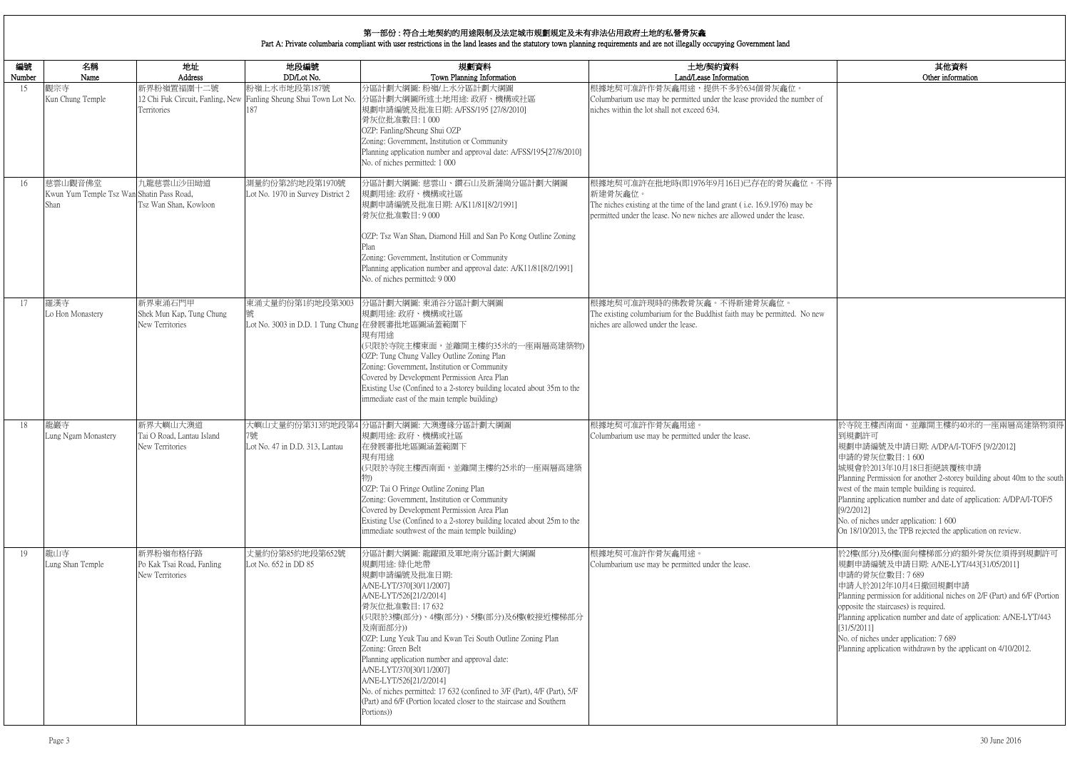| 編號<br>Number | 名稱<br>Name                                                   | 地址<br>Address                                            | 地段編號<br>DD/Lot No.                                                                       | 規劃資料<br>Town Planning Information                                                                                                                                                                                                                                                                                                                                                                                                                                                                                                               | 土地/契約資料<br>Land/Lease Information                                                                                                                                                                    |
|--------------|--------------------------------------------------------------|----------------------------------------------------------|------------------------------------------------------------------------------------------|-------------------------------------------------------------------------------------------------------------------------------------------------------------------------------------------------------------------------------------------------------------------------------------------------------------------------------------------------------------------------------------------------------------------------------------------------------------------------------------------------------------------------------------------------|------------------------------------------------------------------------------------------------------------------------------------------------------------------------------------------------------|
| 15           | 觀宗寺<br>Kun Chung Temple                                      | 新界粉嶺置福圍十二號<br>Territories                                | 粉嶺上水市地段第187號<br>12 Chi Fuk Circuit, Fanling, New Fanling Sheung Shui Town Lot No.<br>187 | 分區計劃大綱圖:粉嶺/上水分區計劃大綱圖<br>分區計劃大綱圖所述土地用途: 政府、機構或社區<br>規劃申請編號及批准日期: A/FSS/195 [27/8/2010]<br>骨灰位批准數目:1000<br>OZP: Fanling/Sheung Shui OZP<br>Zoning: Government, Institution or Community<br>Planning application number and approval date: A/FSS/195-[27/8/2010]<br>No. of niches permitted: 1 000                                                                                                                                                                                                                                                 | 根據地契可准許作骨灰龕用途,提供不多於634個骨灰龕位。<br>Columbarium use may be permitted under the lease provided the number of<br>niches within the lot shall not exceed 634.                                               |
| 16           | 慈雲山觀音佛堂<br>Kwun Yum Temple Tsz Wan Shatin Pass Road,<br>Shan | 九龍慈雲山沙田坳道<br>Tsz Wan Shan, Kowloon                       | 測量約份第2約地段第1970號<br>Lot No. 1970 in Survey District 2                                     | 分區計劃大綱圖:慈雲山、鑽石山及新蒲崗分區計劃大綱圖<br>規劃用途:政府、機構或社區<br>規劃申請編號及批准日期: A/K11/81[8/2/1991]<br>骨灰位批准數目:9000<br>OZP: Tsz Wan Shan, Diamond Hill and San Po Kong Outline Zoning<br>Zoning: Government, Institution or Community<br>Planning application number and approval date: A/K11/81[8/2/1991]<br>No. of niches permitted: 9 000                                                                                                                                                                                                                         | 根據地契可准許在批地時(即1976年9月16日)已存在的骨灰龕位。不得<br>新建骨灰龕位。<br>The niches existing at the time of the land grant (i.e. 16.9.1976) may be<br>permitted under the lease. No new niches are allowed under the lease. |
| 17           | 羅漢寺<br>Lo Hon Monastery                                      | 新界東涌石門甲<br>Shek Mun Kap, Tung Chung<br>New Territories   | 東涌丈量約份第1約地段第3003<br>號<br>Lot No. 3003 in D.D. 1 Tung Chung 在發展審批地區圖涵蓋範圍下                 | 分區計劃大綱圖: 東涌谷分區計劃大綱圖<br>規劃用途:政府、機構或社區<br>現有用途<br>(只限於寺院主樓東面,並離開主樓約35米的一座兩層高建築物)<br>OZP: Tung Chung Valley Outline Zoning Plan<br>Zoning: Government, Institution or Community<br>Covered by Development Permission Area Plan<br>Existing Use (Confined to a 2-storey building located about 35m to the<br>immediate east of the main temple building)                                                                                                                                                                                            | 根據地契可准許現時的佛教骨灰龕。不得新建骨灰龕位。<br>The existing columbarium for the Buddhist faith may be permitted. No new<br>niches are allowed under the lease.                                                         |
| 18           | 龍巖寺<br>Lung Ngam Monastery                                   | 新界大嶼山大澳道<br>Tai O Road, Lantau Island<br>New Territories | 7號<br>Lot No. 47 in D.D. 313, Lantau                                                     | 大嶼山丈量約份第313約地段第4 分區計劃大綱圖: 大澳邊緣分區計劃大綱圖<br>規劃用途: 政府、機構或社區<br>在發展審批地區圖涵蓋範圍下<br>現有用途<br>(只限於寺院主樓西南面,並離開主樓約25米的一座兩層高建築<br>OZP: Tai O Fringe Outline Zoning Plan<br>Zoning: Government, Institution or Community<br>Covered by Development Permission Area Plan<br>Existing Use (Confined to a 2-storey building located about 25m to the<br>immediate southwest of the main temple building)                                                                                                                                                         | 根據地契可准許作骨灰龕用途。<br>Columbarium use may be permitted under the lease.                                                                                                                                  |
| 19           | 龍山寺<br>Lung Shan Temple                                      | 新界粉嶺布格仔路<br>Po Kak Tsai Road, Fanling<br>New Territories | 丈量約份第85約地段第652號<br>Lot No. 652 in DD 85                                                  | 分區計劃大綱圖: 龍躍頭及軍地南分區計劃大綱圖<br>規劃用途: 綠化地帶<br>規劃申請編號及批准日期:<br>A/NE-LYT/370[30/11/2007]<br>A/NE-LYT/526[21/2/2014]<br>骨灰位批准數目: 17 632<br>(只限於3樓(部分)、4樓(部分)、5樓(部分)及6樓(較接近樓梯部分<br>及南面部分))<br>OZP: Lung Yeuk Tau and Kwan Tei South Outline Zoning Plan<br>Zoning: Green Belt<br>Planning application number and approval date:<br>A/NE-LYT/370[30/11/2007]<br>A/NE-LYT/526[21/2/2014]<br>No. of niches permitted: 17 632 (confined to 3/F (Part), 4/F (Part), 5/F<br>(Part) and 6/F (Portion located closer to the staircase and Southern<br>Portions)) | 根據地契可准許作骨灰龕用途。<br>Columbarium use may be permitted under the lease.                                                                                                                                  |

|         | 其他資料                                                                                                                              |
|---------|-----------------------------------------------------------------------------------------------------------------------------------|
|         | Other information                                                                                                                 |
| nber of |                                                                                                                                   |
|         |                                                                                                                                   |
|         |                                                                                                                                   |
| 位。不得    |                                                                                                                                   |
|         |                                                                                                                                   |
| v be    |                                                                                                                                   |
|         |                                                                                                                                   |
|         |                                                                                                                                   |
|         |                                                                                                                                   |
| No new  |                                                                                                                                   |
|         |                                                                                                                                   |
|         |                                                                                                                                   |
|         |                                                                                                                                   |
|         | 於寺院主樓西南面,並離開主樓約40米的一座兩層高建築物須得                                                                                                     |
|         | 到規劃許可<br>規劃申請編號及申請日期: A/DPA/I-TOF/5 [9/2/2012]<br>申請的骨灰位數目:1600                                                                   |
|         | 城規會於2013年10月18日拒絕該覆核申請<br>Planning Permission for another 2-storey building about 40m to the south                                |
|         | west of the main temple building is required.<br>Planning application number and date of application: A/DPA/I-TOF/5<br>[9/2/2012] |
|         | No. of niches under application: 1 600<br>On 18/10/2013, the TPB rejected the application on review.                              |
|         | 於2樓(部分)及6樓(面向樓梯部分)的額外骨灰位須得到規劃許可                                                                                                   |
|         | 規劃申請編號及申請日期: A/NE-LYT/443[31/05/2011]<br>申請的骨灰位數目: 7689<br>申請人於2012年10月4日撤回規劃申請                                                   |
|         | Planning permission for additional niches on 2/F (Part) and 6/F (Portion<br>opposite the staircases) is required.                 |
|         | Planning application number and date of application: A/NE-LYT/443<br>[31/5/2011]                                                  |
|         | No. of niches under application: 7 689<br>Planning application withdrawn by the applicant on 4/10/2012.                           |
|         |                                                                                                                                   |
|         |                                                                                                                                   |
|         |                                                                                                                                   |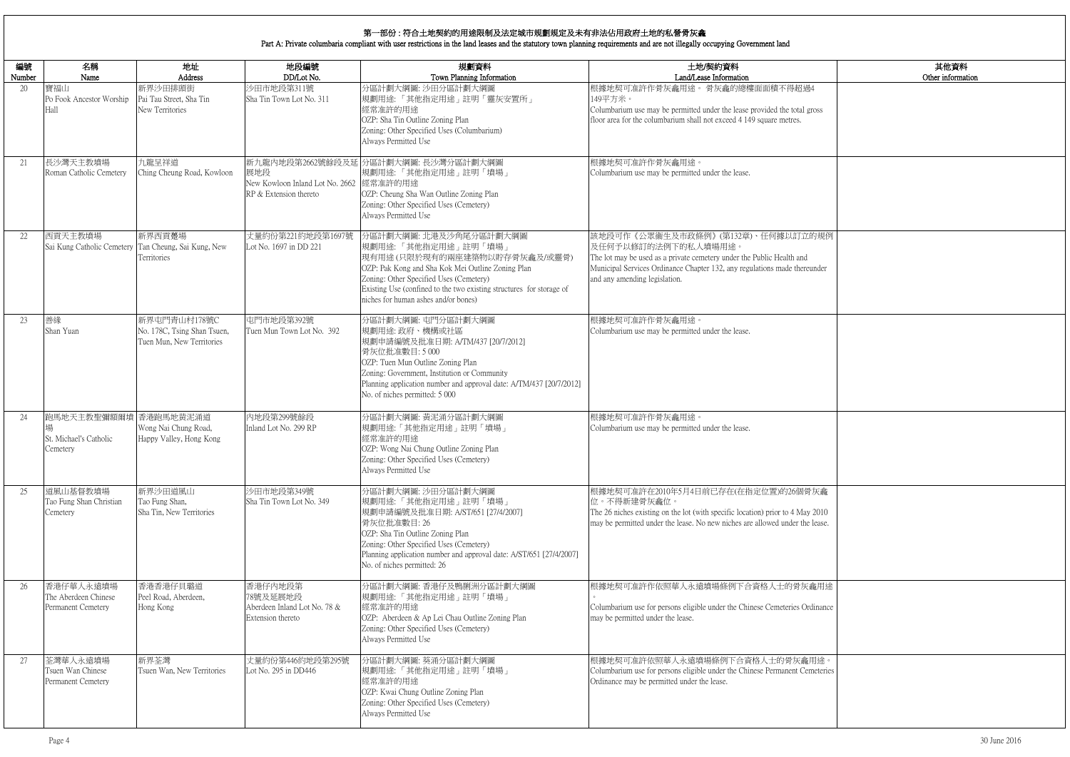|                 | 其他資料              |
|-----------------|-------------------|
|                 | Other information |
| $\overline{1}4$ |                   |
| gross           |                   |
|                 |                   |
|                 |                   |
|                 |                   |
|                 |                   |
|                 |                   |
|                 |                   |
| 的規例             |                   |
|                 |                   |
| under           |                   |
|                 |                   |
|                 |                   |
|                 |                   |
|                 |                   |
|                 |                   |
|                 |                   |
|                 |                   |
|                 |                   |
|                 |                   |
|                 |                   |
|                 |                   |
|                 |                   |
| 灰龕              |                   |
| (2010)          |                   |
| lease.          |                   |
|                 |                   |
|                 |                   |
| 龕用途             |                   |
|                 |                   |
| dinance         |                   |
|                 |                   |
|                 |                   |
| 用途。<br>meteries |                   |
|                 |                   |
|                 |                   |
|                 |                   |

| 編號           | 名稱                                                      | 地址                                                                       | 地段編號                                                                     | 規劃資料                                                                                                                                                                                                                                                                                           | 土地/契約資料                                                                                                                                                                                                                                         |
|--------------|---------------------------------------------------------|--------------------------------------------------------------------------|--------------------------------------------------------------------------|------------------------------------------------------------------------------------------------------------------------------------------------------------------------------------------------------------------------------------------------------------------------------------------------|-------------------------------------------------------------------------------------------------------------------------------------------------------------------------------------------------------------------------------------------------|
| Number<br>20 | Name<br>寶福山<br>Po Fook Ancestor Worship<br>Hall         | Address<br>新界沙田排頭街<br>Pai Tau Street, Sha Tin<br>New Territories         | DD/Lot No.<br>沙田市地段第311號<br>Sha Tin Town Lot No. 311                     | Town Planning Information<br>分區計劃大綱圖: 沙田分區計劃大綱圖<br>規劃用途:「其他指定用途」註明「靈灰安置所」<br>經常准許的用途<br>OZP: Sha Tin Outline Zoning Plan<br>Zoning: Other Specified Uses (Columbarium)<br>Always Permitted Use                                                                                                 | Land/Lease Information<br>根據地契可准許作骨灰龕用途。骨灰龕的總樓面面積不得超過4<br>149平方米。<br>Columbarium use may be permitted under the lease provided the total gross<br>floor area for the columbarium shall not exceed 4 149 square metres.                          |
| 21           | 長沙灣天主教墳場<br>Roman Catholic Cemetery                     | 九龍呈祥道<br>Ching Cheung Road, Kowloon                                      | 展地段<br>New Kowloon Inland Lot No. 2662 經常准許的用途<br>RP & Extension thereto | 新九龍內地段第2662號餘段及延 分區計劃大綱圖: 長沙灣分區計劃大綱圖<br> 規劃用途:「其他指定用途」註明「墳場」<br>OZP: Cheung Sha Wan Outline Zoning Plan<br>Zoning: Other Specified Uses (Cemetery)<br>Always Permitted Use                                                                                                                     | 根據地契可准許作骨灰龕用途。<br>Columbarium use may be permitted under the lease.                                                                                                                                                                             |
| 22           | 西貢天主教墳場<br>Sai Kung Catholic Cemetery                   | 新界西貢躉場<br>Tan Cheung, Sai Kung, New<br>Territories                       | 丈量約份第221約地段第1697號<br>Lot No. 1697 in DD 221                              | 分區計劃大綱圖: 北港及沙角尾分區計劃大綱圖<br>規劃用途:「其他指定用途」註明「墳場」<br> 現有用途(只限於現有的兩座建築物以貯存骨灰龕及/或靈骨)<br>OZP: Pak Kong and Sha Kok Mei Outline Zoning Plan<br>Zoning: Other Specified Uses (Cemetery)<br>Existing Use (confined to the two existing structures for storage of<br>niches for human ashes and/or bones) | 該地段可作《公眾衞生及市政條例》(第132章)、任何據以訂立的規例<br>及任何予以修訂的法例下的私人墳場用途。<br>The lot may be used as a private cemetery under the Public Health and<br>Municipal Services Ordinance Chapter 132, any regulations made thereunder<br>and any amending legislation. |
| 23           | 善緣<br>Shan Yuan                                         | 新界屯門青山村178號C<br>No. 178C, Tsing Shan Tsuen,<br>Tuen Mun, New Territories | 屯門市地段第392號<br>Tuen Mun Town Lot No. 392                                  | 分區計劃大綱圖: 屯門分區計劃大綱圖<br>規劃用途:政府、機構或社區<br>規劃申請編號及批准日期: A/TM/437 [20/7/2012]<br>骨灰位批准數目:5000<br>OZP: Tuen Mun Outline Zoning Plan<br>Zoning: Government, Institution or Community<br>Planning application number and approval date: A/TM/437 [20/7/2012]<br>No. of niches permitted: 5 000         | 根據地契可准許作骨灰龕用途。<br>Columbarium use may be permitted under the lease.                                                                                                                                                                             |
| 24           | 跑馬地天主教聖彌額爾墳<br>St. Michael's Catholic<br>Cemetery       | 香港跑馬地黄泥涌道<br>Wong Nai Chung Road,<br>Happy Valley, Hong Kong             | 內地段第299號餘段<br>Inland Lot No. 299 RP                                      | 分區計劃大綱圖: 黃泥涌分區計劃大綱圖<br>規劃用途:「其他指定用途」註明「墳場」<br>經常准許的用途<br>OZP: Wong Nai Chung Outline Zoning Plan<br>Zoning: Other Specified Uses (Cemetery)<br>Always Permitted Use                                                                                                                            | 根據地契可准許作骨灰龕用途。<br>Columbarium use may be permitted under the lease.                                                                                                                                                                             |
| 25           | 道風山基督教墳場<br>Tao Fung Shan Christian<br>Cemetery         | 新界沙田道風山<br>Tao Fung Shan,<br>Sha Tin, New Territories                    | 沙田市地段第349號<br>Sha Tin Town Lot No. 349                                   | 分區計劃大綱圖: 沙田分區計劃大綱圖<br> 規劃用途:「其他指定用途」註明「墳場」<br> 規劃申請編號及批准日期: A/ST/651 [27/4/2007]<br>骨灰位批准數目: 26<br>OZP: Sha Tin Outline Zoning Plan<br>Zoning: Other Specified Uses (Cemetery)<br>Planning application number and approval date: A/ST/651 [27/4/2007]<br>No. of niches permitted: 26           | 根據地契可准許在2010年5月4日前已存在(在指定位置)的26個骨灰龕<br>位。不得新建骨灰龕位。<br>The 26 niches existing on the lot (with specific location) prior to 4 May 2010<br>may be permitted under the lease. No new niches are allowed under the lease.                            |
| 26           | 香港仔華人永遠墳場<br>The Aberdeen Chinese<br>Permanent Cemetery | 香港香港仔貝璐道<br>Peel Road, Aberdeen,<br>Hong Kong                            | 香港仔内地段第<br>78號及延展地段<br>Aberdeen Inland Lot No. 78 &<br>Extension thereto | 分區計劃大綱圖: 香港仔及鴨脷洲分區計劃大綱圖<br>規劃用途:「其他指定用途」註明「墳場」<br>經常准許的用途<br>OZP: Aberdeen & Ap Lei Chau Outline Zoning Plan<br>Zoning: Other Specified Uses (Cemetery)<br>Always Permitted Use                                                                                                                | 根據地契可准許作依照華人永遠墳場條例下合資格人士的骨灰龕用途<br>Columbarium use for persons eligible under the Chinese Cemeteries Ordinance<br>may be permitted under the lease.                                                                                              |
| 27           | 荃灣華人永遠墳場<br>Tsuen Wan Chinese<br>Permanent Cemetery     | 新界荃灣<br>Tsuen Wan, New Territories                                       | 丈量約份第446約地段第295號<br>Lot No. 295 in DD446                                 | 分區計劃大綱圖: 葵涌分區計劃大綱圖<br>規劃用途:「其他指定用途」註明「墳場」<br>經常准許的用途<br>OZP: Kwai Chung Outline Zoning Plan<br>Zoning: Other Specified Uses (Cemetery)<br>Always Permitted Use                                                                                                                                 | 根據地契可准許依照華人永遠墳場條例下合資格人士的骨灰龕用途。<br>Columbarium use for persons eligible under the Chinese Permanent Cemeteries<br>Ordinance may be permitted under the lease.                                                                                    |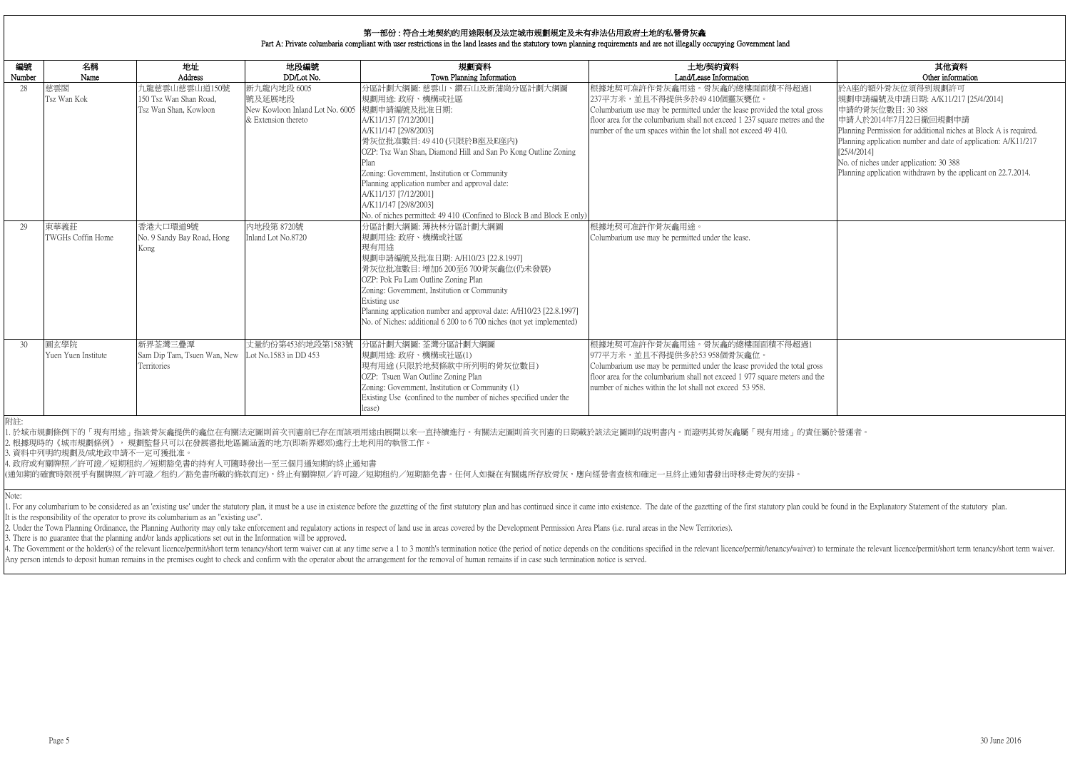|                   | 其他資料                                                              |
|-------------------|-------------------------------------------------------------------|
| 1                 | Other information                                                 |
|                   | 於A座的額外骨灰位須得到規劃許可<br>規劃申請編號及申請日期: A/K11/217 [25/4/2014]            |
| TOSS <sub>3</sub> | 申請的骨灰位數目: 30 388                                                  |
| d the             | 申請人於2014年7月22日撤回規劃申請                                              |
|                   | Planning Permission for additional niches at Block A is required. |
|                   | Planning application number and date of application: A/K11/217    |
|                   | [25/4/2014]                                                       |
|                   | No. of niches under application: 30 388                           |
|                   | Planning application withdrawn by the applicant on 22.7.2014.     |
|                   |                                                                   |
|                   |                                                                   |
|                   |                                                                   |
|                   |                                                                   |
|                   |                                                                   |
|                   |                                                                   |
|                   |                                                                   |
|                   |                                                                   |
|                   |                                                                   |
|                   |                                                                   |
|                   |                                                                   |
|                   |                                                                   |
|                   |                                                                   |
| $\mathbf 1$       |                                                                   |
|                   |                                                                   |
| <b>TOSS</b>       |                                                                   |
| d the             |                                                                   |
|                   |                                                                   |
|                   |                                                                   |
|                   |                                                                   |

| 編號<br>Number | 名稱<br>Name                  | 地址<br>Address                                                    | 地段編號<br>DD/Lot No.                                                              | 規劃資料<br>Town Planning Information                                                                                                                                                                                                                                                                                                                                                                                                                     | 土地/契約資料<br>Land/Lease Information                                                                                                                                                                                                                                                           |
|--------------|-----------------------------|------------------------------------------------------------------|---------------------------------------------------------------------------------|-------------------------------------------------------------------------------------------------------------------------------------------------------------------------------------------------------------------------------------------------------------------------------------------------------------------------------------------------------------------------------------------------------------------------------------------------------|---------------------------------------------------------------------------------------------------------------------------------------------------------------------------------------------------------------------------------------------------------------------------------------------|
| 28           | 慈雲閣<br>Tsz Wan Kok          | 九龍慈雲山慈雲山道150號<br>150 Tsz Wan Shan Road,<br>Tsz Wan Shan, Kowloon | 新九龍內地段 6005<br>號及延展地段<br>New Kowloon Inland Lot No. 6005<br>& Extension thereto | 分區計劃大綱圖: 慈雲山、鑽石山及新蒲崗分區計劃大綱圖<br>規劃用途:政府、機構或社區<br>規劃申請編號及批准日期:<br>A/K11/137 [7/12/2001]<br>A/K11/147 [29/8/2003]<br>骨灰位批准數目: 49 410 (只限於B座及E座內)<br>OZP: Tsz Wan Shan, Diamond Hill and San Po Kong Outline Zoning<br>Plan<br>Zoning: Government, Institution or Community<br>Planning application number and approval date:<br>A/K11/137 [7/12/2001]<br>A/K11/147 [29/8/2003]<br>No. of niches permitted: 49 410 (Confined to Block B and Block E only) | 根據地契可准許作骨灰龕用途。骨灰龕的總樓面面積不得超過1<br>237平方米,並且不得提供多於49 410個靈灰甕位。<br>Columbarium use may be permitted under the lease provided the total gross<br>floor area for the columbarium shall not exceed 1 237 square metres and the<br>number of the urn spaces within the lot shall not exceed 49 410. |
| 29           | 東華義莊<br>TWGHs Coffin Home   | 香港大口環道9號<br>No. 9 Sandy Bay Road, Hong<br>Kong                   | 内地段第 8720號<br>Inland Lot No.8720                                                | 分區計劃大綱圖: 薄扶林分區計劃大綱圖<br>規劃用途: 政府、機構或社區<br>現有用途<br>規劃申請編號及批准日期: A/H10/23 [22.8.1997]<br>骨灰位批准數目:增加6 200至6 700骨灰龕位(仍未發展)<br>OZP: Pok Fu Lam Outline Zoning Plan<br>Zoning: Government, Institution or Community<br>Existing use<br>Planning application number and approval date: A/H10/23 [22.8.1997]<br>No. of Niches: additional 6 200 to 6 700 niches (not yet implemented)                                                                          | 根據地契可准許作骨灰龕用途。<br>Columbarium use may be permitted under the lease.                                                                                                                                                                                                                         |
| 30           | 圓玄學院<br>Yuen Yuen Institute | 新界荃灣三疊潭<br>Sam Dip Tam, Tsuen Wan, New<br>Territories            | 丈量約份第453約地段第1583號<br>Lot No.1583 in DD 453                                      | 分區計劃大綱圖: 荃灣分區計劃大綱圖<br>規劃用途:政府、機構或社區(1)<br>現有用途(只限於地契條款中所列明的骨灰位數目)<br>OZP: Tsuen Wan Outline Zoning Plan<br>Zoning: Government, Institution or Community (1)<br>Existing Use (confined to the number of niches specified under the<br>lease)                                                                                                                                                                                                           | 根據地契可准許作骨灰龕用途。骨灰龕的總樓面面積不得超過1<br>977平方米,並且不得提供多於53 958個骨灰龕位。<br>Columbarium use may be permitted under the lease provided the total gross<br>floor area for the columbarium shall not exceed 1 977 square meters and the<br>number of niches within the lot shall not exceed 53 958.         |

1. For any columbarium to be considered as an 'existing use' under the statutory plan, it must be a use in existence before the gazetting of the first statutory plan and has continued since it came into existence. The date It is the responsibility of the operator to prove its columbarium as an "existing use".

2. Under the Town Planning Ordinance, the Planning Authority may only take enforcement and regulatory actions in respect of land use in areas covered by the Development Permission Area Plans (i.e. rural areas in the New Te

4. The Government or the holder(s) of the relevant licence/permit/short term tenancy/short term waiver can at any time serve a 1 to 3 month's termination notice (the period of notice depends on the conditions specified in Any person intends to deposit human remains in the premises ought to check and confirm with the operator about the arrangement for the removal of human remains if in case such termination notice is served.

Note:

3. There is no guarantee that the planning and/or lands applications set out in the Information will be approved.

附註:

1. 於城市規劃條例下的「現有用途」指該骨灰龕提供的龕位在有關法定圖則首次刊憲前已存在而該項用途由展開以來一直持續進行。有關法定圖則首次刊憲的日期載於該法定圖則的說明書內。而證明其骨灰龕屬「現有用途」的責任屬於營運者。 2. 根據現時的《城市規劃條例》, 規劃監督只可以在發展審批地區圖涵蓋的地方(即新界鄉郊)進行土地利用的執管工作。

3. 資料中列明的規劃及/或地政申請不一定可獲批准。

4. 政府或有關牌照/許可證/短期租約/短期豁免書的持有人可隨時發出一至三個月通知期的終止通知書

(通知期的確實時限視乎有關牌照/許可證/租約/豁免書所載的條款而定),終止有關牌照/許可證/短期租約/短期豁免書。任何人如擬在有關處所存放骨灰,應向經營者查核和確定一旦終止通知書發出時移走骨灰的安排。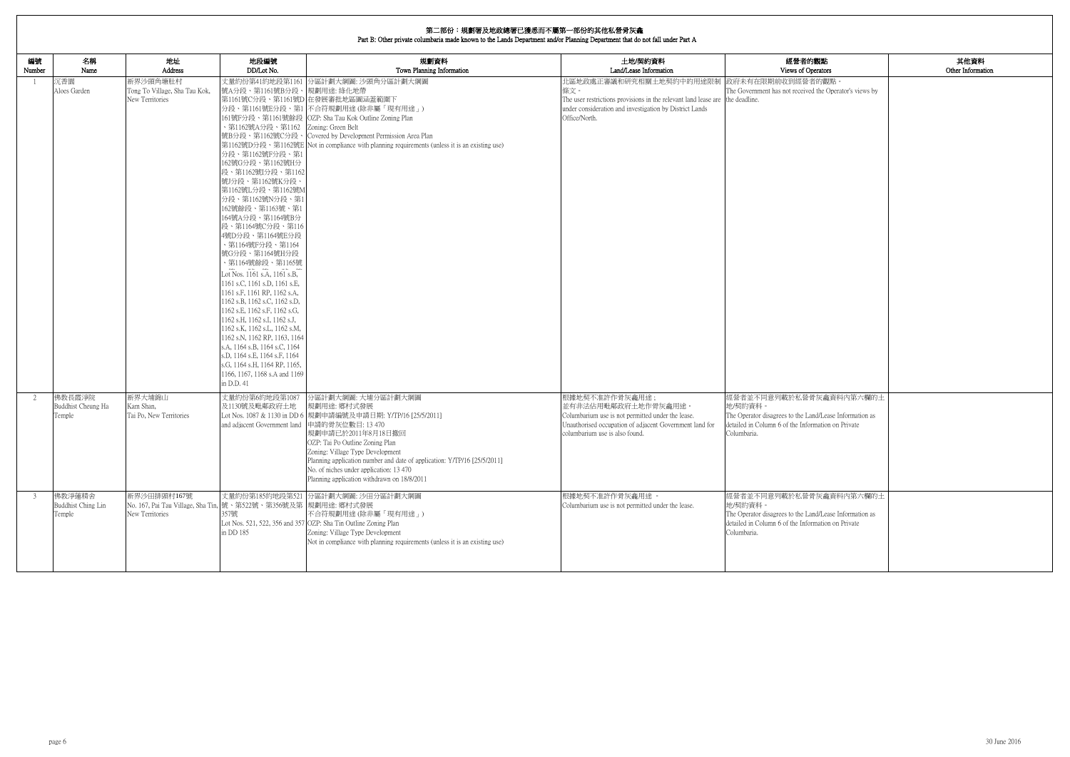| 第二部份:規劃署及地政總署已獲悉而不屬第一部份的其他私營骨灰龕<br>Part B: Other private columbaria made known to the Lands Department and/or Planning Department that do not fall under Part A |                                                                                                  |                                                                                                                                                                                                                                                                                                                                                                                                                                                                                                                                                                                                                                                                                                                                                           |                                                                                                                                                                                                                                                                                                                                                                         |                                                                                                                                                                                                               |                                                                                                                                                                    |                           |
|-----------------------------------------------------------------------------------------------------------------------------------------------------------------|--------------------------------------------------------------------------------------------------|-----------------------------------------------------------------------------------------------------------------------------------------------------------------------------------------------------------------------------------------------------------------------------------------------------------------------------------------------------------------------------------------------------------------------------------------------------------------------------------------------------------------------------------------------------------------------------------------------------------------------------------------------------------------------------------------------------------------------------------------------------------|-------------------------------------------------------------------------------------------------------------------------------------------------------------------------------------------------------------------------------------------------------------------------------------------------------------------------------------------------------------------------|---------------------------------------------------------------------------------------------------------------------------------------------------------------------------------------------------------------|--------------------------------------------------------------------------------------------------------------------------------------------------------------------|---------------------------|
| 編號<br>名稱<br>Number<br>Name                                                                                                                                      | 地址<br>Address                                                                                    | 地段編號<br>DD/Lot No.                                                                                                                                                                                                                                                                                                                                                                                                                                                                                                                                                                                                                                                                                                                                        | 規劃資料<br>Town Planning Information                                                                                                                                                                                                                                                                                                                                       | 土地/契約資料<br>Land/Lease Information                                                                                                                                                                             | 經營者的觀點<br>Views of Operators                                                                                                                                       | 其他資料<br>Other Information |
| 沉香園<br>Aloes Garden                                                                                                                                             | 新界沙頭角塘肚村<br>Tong To Village, Sha Tau Kok,<br>New Territories                                     | 號A分段、第1161號B分段、規劃用途: 綠化地帶<br>、第1162號A分段、第1162 Zoning: Green Belt<br>分段、第1162號F分段、第1<br>162號G分段、第1162號H分<br>段、第1162號I分段、第1162<br>號J分段、第1162號K分段、<br>第1162號L分段、第1162號M<br>分段、第1162號N分段、第1<br>162號餘段、第1163號、第1<br>164號A分段、第1164號B分<br>段、第1164號C分段、第116<br>4號D分段、第1164號E分段<br>· 第1164號F分段、第1164<br>號G分段、第1164號H分段<br>、第1164號餘段、第1165號<br>Lot Nos. 1161 s.A, 1161 s.B,<br>1161 s.C, 1161 s.D, 1161 s.E,<br>1161 s.F, 1161 RP, 1162 s.A,<br>1162 s.B, 1162 s.C, 1162 s.D,<br>1162 s.E, 1162 s.F, 1162 s.G,<br>1162 s.H, 1162 s.I, 1162 s.J,<br>1162 s.K, 1162 s.L, 1162 s.M,<br>1162 s.N, 1162 RP, 1163, 1164<br>s.A, 1164 s.B, 1164 s.C, 1164<br>s.D, 1164 s.E, 1164 s.F, 1164<br>s.G, 1164 s.H, 1164 RP, 1165,<br>1166, 1167, 1168 s.A and 1169<br>in D.D. 41 | 丈量約份第41約地段第1161 分區計劃大綱圖: 沙頭角分區計劃大綱圖<br>第1161號C分段、第1161號D 在發展審批地區圖涵蓋範圍下<br>分段、第1161號E分段、第1 不合符規劃用途(除非屬「現有用途」)<br>161號F分段、第1161號餘段 OZP: Sha Tau Kok Outline Zoning Plan<br>號B分段、第1162號C分段、 Covered by Development Permission Area Plan<br>第1162號D分段、第1162號E Not in compliance with planning requirements (unless it is an existing use)                                   | 此區地政處正審議和研究相關土地契約中的用途限制┃政府未有在限期前收到經營者的觀點。<br>條文。<br>The user restrictions provisions in the relevant land lease are the deadline.<br>under consideration and investigation by District Lands<br>Office/North. | The Government has not received the Operator's views by                                                                                                            |                           |
| 佛教長霞淨院<br>Buddhist Cheung Ha<br>Temple                                                                                                                          | 新界大埔錦山<br>Kam Shan,<br>Tai Po, New Territories                                                   | 丈量約份第6約地段第1087<br>及1130號及毗鄰政府土地<br>and adjacent Government land 申請的骨灰位數目: 13 470                                                                                                                                                                                                                                                                                                                                                                                                                                                                                                                                                                                                                                                                          | 分區計劃大綱圖: 大埔分區計劃大綱圖<br>規劃用途: 鄉村式發展<br>Lot Nos. 1087 & 1130 in DD 6  規劃申請編號及申請日期: Y/TP/16 [25/5/2011]<br> 規劃申請已於2011年8月18日撤回<br>OZP: Tai Po Outline Zoning Plan<br>Zoning: Village Type Development<br>Planning application number and date of application: Y/TP/16 [25/5/2011]<br>No. of niches under application: 13 470<br>Planning application withdrawn on 18/8/2011 | 根據地契不准許作骨灰龕用途;<br>並有非法佔用毗鄰政府土地作骨灰龕用途。<br>Columbarium use is not permitted under the lease.<br>Unauthorised occupation of adjacent Government land for<br>columbarium use is also found.                       | 經營者並不同意列載於私營骨灰龕資料內第六欄的土<br>地/契約資料<br>The Operator disagrees to the Land/Lease Information as<br>detailed in Column 6 of the Information on Private<br>Columbaria.  |                           |
| 佛教淨蓮精舍<br>$\overline{3}$<br>Buddhist Ching Lin<br>Temple                                                                                                        | 新界沙田排頭村167號<br>No. 167, Pai Tau Village, Sha Tin, 號、第522號、第356號及第 規劃用途: 鄉村式發展<br>New Territories | 357號<br>in DD 185                                                                                                                                                                                                                                                                                                                                                                                                                                                                                                                                                                                                                                                                                                                                         | 丈量約份第185約地段第521 分區計劃大綱圖: 沙田分區計劃大綱圖<br>不合符規劃用途(除非屬「現有用途」)<br>Lot Nos. 521, 522, 356 and 357 OZP: Sha Tin Outline Zoning Plan<br>Zoning: Village Type Development<br>Not in compliance with planning requirements (unless it is an existing use)                                                                                                                          | 根據地契不准許作骨灰龕用途。<br>Columbarium use is not permitted under the lease.                                                                                                                                           | 經營者並不同意列載於私營骨灰龕資料內第六欄的土<br>地/契約資料。<br>The Operator disagrees to the Land/Lease Information as<br>detailed in Column 6 of the Information on Private<br>Columbaria. |                           |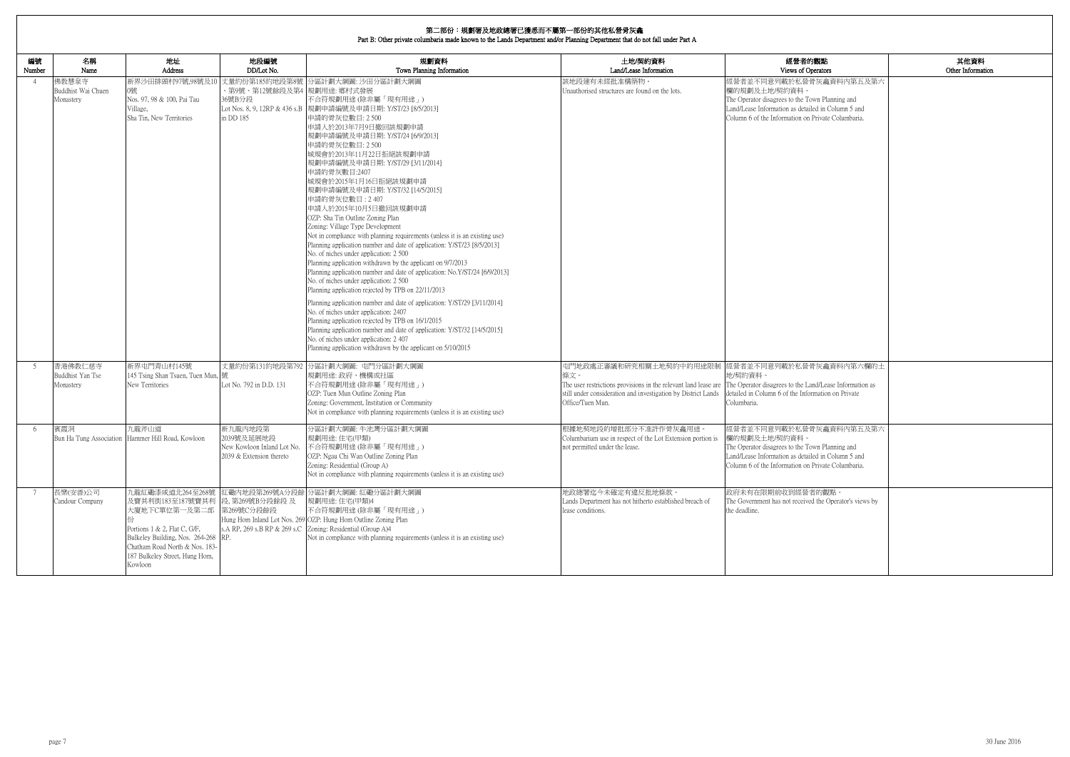| 内觀點<br>)perators                                                | 其他資料<br>Other Information |
|-----------------------------------------------------------------|---------------------------|
| 骨灰龕資料内第五及第六                                                     |                           |
| own Planning and<br>iled in Column 5 and<br>Private Columbaria. |                           |
|                                                                 |                           |
|                                                                 |                           |
|                                                                 |                           |
|                                                                 |                           |
| 骨灰龕資料內第六欄的土                                                     |                           |
| and/Lease Information as<br>ormation on Private                 |                           |
| 骨灰龕資料内第五及第六                                                     |                           |
| own Planning and<br>iled in Column 5 and<br>Private Columbaria. |                           |
| 者的觀點。<br>ed the Operator's views by                             |                           |
|                                                                 |                           |
|                                                                 |                           |

| 編號<br>Number | 名稱<br>Name                               | 地址<br>Address                                                                                                                                                                                                               | 地段編號<br>DD/Lot No.                                                                 | 規劃資料<br>Town Planning Information                                                                                                                                                                                                                                                                                                                                                                                                                                                                                                                                                                                                                                                                                                                                                                                                                                                                                                                                                                                                                                                                                                                                                                                                                                                         | 土地/契約資料<br>Land/Lease Information                                                                                                                                                                                   | 經營者的觀點<br>Views of Operators                                                                                                                                                                            |
|--------------|------------------------------------------|-----------------------------------------------------------------------------------------------------------------------------------------------------------------------------------------------------------------------------|------------------------------------------------------------------------------------|-------------------------------------------------------------------------------------------------------------------------------------------------------------------------------------------------------------------------------------------------------------------------------------------------------------------------------------------------------------------------------------------------------------------------------------------------------------------------------------------------------------------------------------------------------------------------------------------------------------------------------------------------------------------------------------------------------------------------------------------------------------------------------------------------------------------------------------------------------------------------------------------------------------------------------------------------------------------------------------------------------------------------------------------------------------------------------------------------------------------------------------------------------------------------------------------------------------------------------------------------------------------------------------------|---------------------------------------------------------------------------------------------------------------------------------------------------------------------------------------------------------------------|---------------------------------------------------------------------------------------------------------------------------------------------------------------------------------------------------------|
| -4           | 佛教慧泉寺<br>Buddhist Wai Chuen<br>Monastery | 新界沙田排頭村97號,98號及10<br>0號<br>Nos. 97, 98 & 100, Pai Tau<br>Village,<br>Sha Tin, New Territories                                                                                                                               | 丈量約份第185約地段第8號<br>、第9號、第12號餘段及第4  規劃用途: 鄉村式發展<br>36號B分段<br>in DD 185               | 分區計劃大綱圖: 沙田分區計劃大綱圖<br>不合符規劃用途 (除非屬「現有用途」)<br>Lot Nos. 8, 9, 12RP & 436 s.B 規劃申請編號及申請日期: Y/ST/23 [8/5/2013]<br>申請的骨灰位數目: 2 500<br>申請人於2013年7月9日撤回該規劃申請<br>規劃申請編號及申請日期: Y/ST/24 [6/9/2013]<br>申請的骨灰位數目: 2 500<br>城規會於2013年11月22日拒絕該規劃申請<br>規劃申請編號及申請日期: Y/ST/29 [3/11/2014]<br>申請的骨灰數目:2407<br>城規會於2015年1月16日拒絕該規劃申請<br>規劃申請編號及申請日期: Y/ST/32 [14/5/2015]<br>申請的骨灰位數目: 2407<br>申請人於2015年10月5日撤回該規劃申請<br>OZP: Sha Tin Outline Zoning Plan<br>Zoning: Village Type Development<br>Not in compliance with planning requirements (unless it is an existing use)<br>Planning application number and date of application: Y/ST/23 [8/5/2013]<br>No. of niches under application: 2 500<br>Planning application withdrawn by the applicant on 9/7/2013<br>Planning application number and date of application: No.Y/ST/24 [6/9/2013]<br>No. of niches under application: 2 500<br>Planning application rejected by TPB on 22/11/2013<br>Planning application number and date of application: Y/ST/29 [3/11/2014]<br>No. of niches under application: 2407<br>Planning application rejected by TPB on 16/1/2015<br>Planning application number and date of application: Y/ST/32 [14/5/2015]<br>No. of niches under application: 2407<br>Planning application withdrawn by the applicant on 5/10/2015 | 該地段建有未經批准構築物。<br>Unauthorised structures are found on the lots.                                                                                                                                                     | 經營者並不同意列載於私營骨灰龕資料內第五及第六<br>欄的規劃及土地/契約資料。<br>The Operator disagrees to the Town Planning and<br>Land/Lease Information as detailed in Column 5 and<br>Column 6 of the Information on Private Columbaria. |
| -5           | 香港佛教仁慈寺<br>Buddhist Yan Tse<br>Monastery | 新界屯門青山村145號<br>145 Tsing Shan Tsuen, Tuen Mun, 號<br>New Territories                                                                                                                                                         | 丈量約份第131約地段第792<br>Lot No. 792 in D.D. 131                                         | 分區計劃大綱圖: 屯門分區計劃大綱圖<br>規劃用途: 政府、機構或社區<br>不合符規劃用途(除非屬「現有用途」)<br>OZP: Tuen Mun Outline Zoning Plan<br>Zoning: Government, Institution or Community<br>Not in compliance with planning requirements (unless it is an existing use)                                                                                                                                                                                                                                                                                                                                                                                                                                                                                                                                                                                                                                                                                                                                                                                                                                                                                                                                                                                                                                                            | 條文。<br>The user restrictions provisions in the relevant land lease are The Operator disagrees to the Land/Lease Information as<br>still under consideration and investigation by District Lands<br>Office/Tuen Mun. | 屯門地政處正審議和研究相關土地契約中的用途限制 經營者並不同意列載於私營骨灰龕資料內第六欄的土<br>地/契約資料。<br>detailed in Column 6 of the Information on Private<br>Columbaria.                                                                         |
| -6           | 賓霞洞<br>Bun Ha Tung Association           | 九龍斧山道<br>Hammer Hill Road, Kowloon                                                                                                                                                                                          | 新九龍内地段第<br>2039號及延展地段<br>New Kowloon Inland Lot No.<br>$2039 \&$ Extension thereto | 分區計劃大綱圖:牛池灣分區計劃大綱圖<br>規劃用途:住宅(甲類)<br>不合符規劃用途(除非屬「現有用途」)<br>OZP: Ngau Chi Wan Outline Zoning Plan<br>Zoning: Residential (Group A)<br>Not in compliance with planning requirements (unless it is an existing use)                                                                                                                                                                                                                                                                                                                                                                                                                                                                                                                                                                                                                                                                                                                                                                                                                                                                                                                                                                                                                                                                          | 根據地契地段的增批部分不准許作骨灰龕用途。<br>Columbarium use in respect of the Lot Extension portion is<br>not permitted under the lease.                                                                                               | 經營者並不同意列載於私營骨灰龕資料內第五及第六<br>欄的規劃及土地/契約資料<br>The Operator disagrees to the Town Planning and<br>Land/Lease Information as detailed in Column 5 and<br>Column 6 of the Information on Private Columbaria.  |
| 7            | 長樂(安善)公司<br>Candour Company              | 九龍紅磡漆咸道北264至268號<br>及寶其利街183至187號寶其利 段, 第269號B分段餘段 及<br>大廈地下C單位第一及第二部<br>Portions 1 & 2, Flat C, G/F,<br>Bulkeley Building, Nos. 264-268 RP.<br>Chatham Road North & Nos. 183-<br>187 Bulkeley Street, Hung Hom,<br>Kowloon | 第269號C分段餘段                                                                         | 紅磡內地段第269號A分段餘 分區計劃大綱圖: 紅磡分區計劃大綱圖<br>規劃用途:住宅(甲類)4<br>不合符規劃用途(除非屬「現有用途」)<br>Hung Hom Inland Lot Nos. 269 OZP: Hung Hom Outline Zoning Plan<br>s.A RP, 269 s.B RP & 269 s.C Zoning: Residential (Group A)4<br>Not in compliance with planning requirements (unless it is an existing use)                                                                                                                                                                                                                                                                                                                                                                                                                                                                                                                                                                                                                                                                                                                                                                                                                                                                                                                                                                                                   | 地政總署迄今未確定有違反批地條款。<br>Lands Department has not hitherto established breach of<br>lease conditions.                                                                                                                   | 政府未有在限期前收到經營者的觀點。<br>The Government has not received the Operator's views by<br>the deadline.                                                                                                           |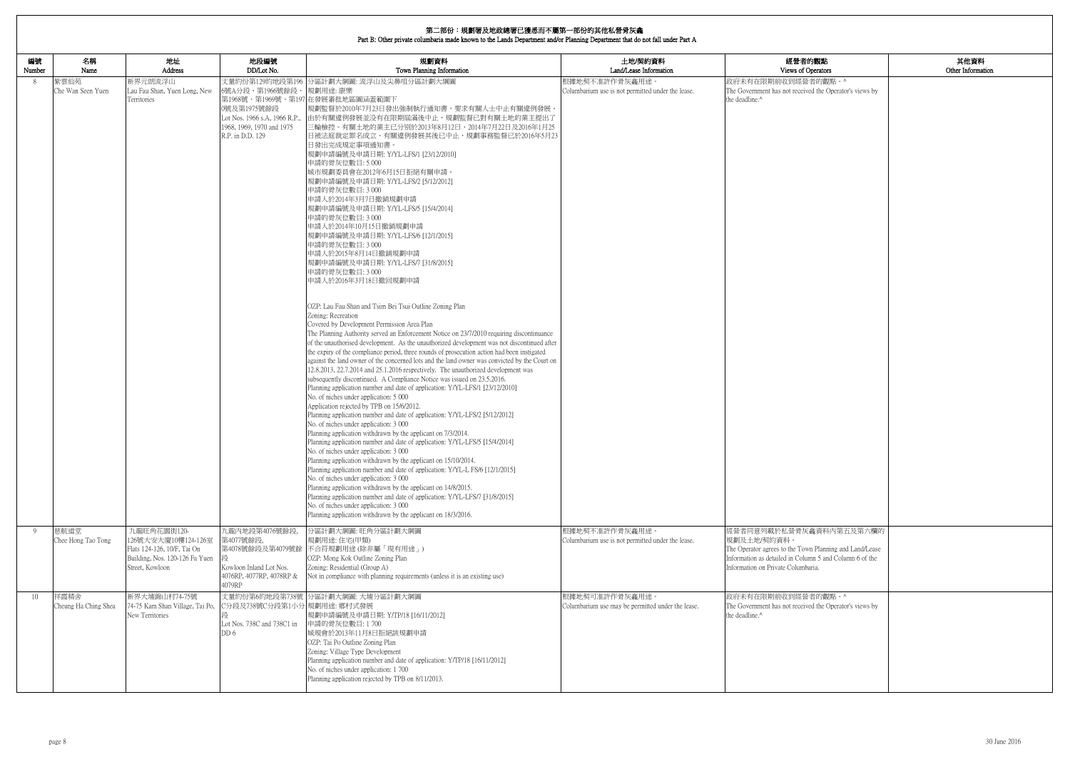|              | 第二部份:規劃署及地政總署已獲悉而不屬第一部份的其他私營骨灰龕<br>Part B: Other private columbaria made known to the Lands Department and/or Planning Department that do not fall under Part A |                                                                                                                        |                                                                                                                        |                                                                                                                                                                                                                                                                                                                                                                                                                                                                                                                                                                                                                                                                                                                                                                                                                                                                                                                                                                                                                                                                                                                                                                                                                                                                                                                                                                                                                                                                                                                                                                                                                                                                                                                                                                                                                                                                                                                                                                                                                                                                                                                                                                                                                                                                                                                                                         |                                                                     |                                                                                                                                                                                                    |                           |
|--------------|-----------------------------------------------------------------------------------------------------------------------------------------------------------------|------------------------------------------------------------------------------------------------------------------------|------------------------------------------------------------------------------------------------------------------------|---------------------------------------------------------------------------------------------------------------------------------------------------------------------------------------------------------------------------------------------------------------------------------------------------------------------------------------------------------------------------------------------------------------------------------------------------------------------------------------------------------------------------------------------------------------------------------------------------------------------------------------------------------------------------------------------------------------------------------------------------------------------------------------------------------------------------------------------------------------------------------------------------------------------------------------------------------------------------------------------------------------------------------------------------------------------------------------------------------------------------------------------------------------------------------------------------------------------------------------------------------------------------------------------------------------------------------------------------------------------------------------------------------------------------------------------------------------------------------------------------------------------------------------------------------------------------------------------------------------------------------------------------------------------------------------------------------------------------------------------------------------------------------------------------------------------------------------------------------------------------------------------------------------------------------------------------------------------------------------------------------------------------------------------------------------------------------------------------------------------------------------------------------------------------------------------------------------------------------------------------------------------------------------------------------------------------------------------------------|---------------------------------------------------------------------|----------------------------------------------------------------------------------------------------------------------------------------------------------------------------------------------------|---------------------------|
| 編號<br>Number | 名稱<br>Name                                                                                                                                                      | 地址<br>Address                                                                                                          | 地段編號<br>DD/Lot No.                                                                                                     | 規劃資料<br>Town Planning Information                                                                                                                                                                                                                                                                                                                                                                                                                                                                                                                                                                                                                                                                                                                                                                                                                                                                                                                                                                                                                                                                                                                                                                                                                                                                                                                                                                                                                                                                                                                                                                                                                                                                                                                                                                                                                                                                                                                                                                                                                                                                                                                                                                                                                                                                                                                       | 土地/契約資料<br>Land/Lease Information                                   | 經營者的觀點<br>Views of Operators                                                                                                                                                                       | 其他資料<br>Other Information |
| 8            | 紫雲仙苑<br>Che Wan Seen Yuen                                                                                                                                       | 新界元朗流浮山<br>Lau Fau Shan, Yuen Long, New<br>Territories                                                                 | 6號A分段、第1966號餘段、規劃用途:康樂<br>0號及第1975號餘段<br>Lot Nos. 1966 s.A, 1966 R.P.<br>1968, 1969, 1970 and 1975<br>R.P. in D.D. 129 | 丈量約份第129約地段第196 分區計劃大綱圖: 流浮山及尖鼻咀分區計劃大綱圖<br>第1968號、第1969號、第197在發展審批地區圖涵蓋範圍下<br>規劃監督於2010年7月23日發出強制執行通知書,要求有關人士中止有關違例發展<br>由於有關違例發展並没有在限期屆滿後中止,規劃監督已對有關土地的業主提出了<br>三輪檢控。有關土地的業主已分别於2013年8月12日、2014年7月22日及2016年1月25<br>日被法庭裁定罪名成立。有關違例發展其後已中止,規劃事務監督已於2016年5月23<br>日發出完成規定事項通知書。<br>規劃申請編號及申請日期: Y/YL-LFS/1 [23/12/2010]<br>申請的骨灰位數目:5000<br>城市規劃委員會在2012年6月15日拒絕有關申請。<br>規劃申請編號及申請日期: Y/YL-LFS/2 [5/12/2012]<br>申請的骨灰位數目: 3 000<br>申請人於2014年3月7日撤銷規劃申請<br>規劃申請編號及申請日期: Y/YL-LFS/5 [15/4/2014]<br>申請的骨灰位數目: 3 000<br>申請人於2014年10月15日撤銷規劃申請<br>規劃申請編號及申請日期: Y/YL-LFS/6 [12/1/2015]<br>申請的骨灰位數目: 3 000<br>申請人於2015年8月14日撤銷規劃申請<br>規劃申請編號及申請日期: Y/YL-LFS/7 [31/8/2015]<br>申請的骨灰位數目: 3 000<br>申請人於2016年3月18日撤回規劃申請<br>OZP: Lau Fau Shan and Tsim Bei Tsui Outline Zoning Plan<br>Zoning: Recreation<br>Covered by Development Permission Area Plan<br>The Planning Authority served an Enforcement Notice on 23/7/2010 requiring discontinuance<br>of the unauthorised development. As the unauthorized development was not discontinued after<br>the expiry of the compliance period, three rounds of prosecution action had been instigated<br>against the land owner of the concerned lots and the land owner was convicted by the Court on<br>12.8.2013, 22.7.2014 and 25.1.2016 respectively. The unauthorized development was<br>subsequently discontinued. A Compliance Notice was issued on 23.5.2016.<br>Planning application number and date of application: Y/YL-LFS/1 [23/12/2010]<br>No. of niches under application: 5 000<br>Application rejected by TPB on 15/6/2012.<br>Planning application number and date of application: Y/YL-LFS/2 [5/12/2012]<br>No. of niches under application: 3 000<br>Planning application withdrawn by the applicant on 7/3/2014.<br>Planning application number and date of application: Y/YL-LFS/5 [15/4/2014]<br>No. of niches under application: 3 000<br>Planning application withdrawn by the applicant on 15/10/2014.<br>Planning application number and date of application: Y/YL-L FS/6 [12/1/2015]<br>No. of niches under application: 3 000<br>Planning application withdrawn by the applicant on 14/8/2015.<br>Planning application number and date of application: Y/YL-LFS/7 [31/8/2015]<br>No. of niches under application: 3 000<br>Planning application withdrawn by the applicant on 18/3/2016. | 根據地契不准許作骨灰龕用途。<br>Columbarium use is not permitted under the lease. | 政府未有在限期前收到經營者的觀點。^<br>The Government has not received the Operator's views by<br>the deadline.^                                                                                                    |                           |
| -9           | 慈航道堂<br>Chee Hong Tao Tong                                                                                                                                      | 九龍旺角花園街120-<br>126號大安大廈10樓124-126室<br>Flats 124-126, 10/F, Tai On<br>Building, Nos. 120-126 Fa Yuen<br>Street, Kowloon | 九龍内地段第4076號餘段,<br>第4077號餘段,<br>第4078號餘段及第4079號餘<br>Kowloon Inland Lot Nos.<br>4076RP, 4077RP, 4078RP &<br>4079RP       | 分區計劃大綱圖: 旺角分區計劃大綱圖<br>規劃用途:住宅(甲類)<br>不合符規劃用途 (除非屬「現有用途」)<br>OZP: Mong Kok Outline Zoning Plan<br>Zoning: Residential (Group A)<br>Not in compliance with planning requirements (unless it is an existing use)                                                                                                                                                                                                                                                                                                                                                                                                                                                                                                                                                                                                                                                                                                                                                                                                                                                                                                                                                                                                                                                                                                                                                                                                                                                                                                                                                                                                                                                                                                                                                                                                                                                                                                                                                                                                                                                                                                                                                                                                                                                                                                                                           | 根據地契不准許作骨灰龕用途。<br>Columbarium use is not permitted under the lease. | 經營者同意列載於私營骨灰龕資料內第五及第六欄的<br>規劃及土地/契約資料。<br>The Operator agrees to the Town Planning and Land/Lease<br>Information as detailed in Column 5 and Column 6 of the<br>Information on Private Columbaria. |                           |
| 10           | 祥霞精舍<br>Cheung Ha Ching Shea                                                                                                                                    | 新界大埔錦山村74-75號<br>74-75 Kam Shan Village, Tai Po,<br>New Territories                                                    | C分段及738號C分段第1小分 規劃用途: 鄉村式發展<br>Lot Nos. 738C and 738C1 in<br>DD 6                                                      | 丈量約份第6約地段第738號 分區計劃大綱圖: 大埔分區計劃大綱圖<br> 規劃申請編號及申請日期: Y/TP/18 [16/11/2012] <br>申請的骨灰位數目:1700<br>城規會於2013年11月8日拒絕該規劃申請<br>OZP: Tai Po Outline Zoning Plan<br>Zoning: Village Type Development<br>Planning application number and date of application: Y/TP/18 [16/11/2012]<br>No. of niches under application: 1700<br>Planning application rejected by TPB on 8/11/2013.                                                                                                                                                                                                                                                                                                                                                                                                                                                                                                                                                                                                                                                                                                                                                                                                                                                                                                                                                                                                                                                                                                                                                                                                                                                                                                                                                                                                                                                                                                                                                                                                                                                                                                                                                                                                                                                                                                                                                                                   | 根據地契可准許作骨灰龕用途。<br>Columbarium use may be permitted under the lease. | 政府未有在限期前收到經營者的觀點。^<br>The Government has not received the Operator's views by<br>the deadline.^                                                                                                    |                           |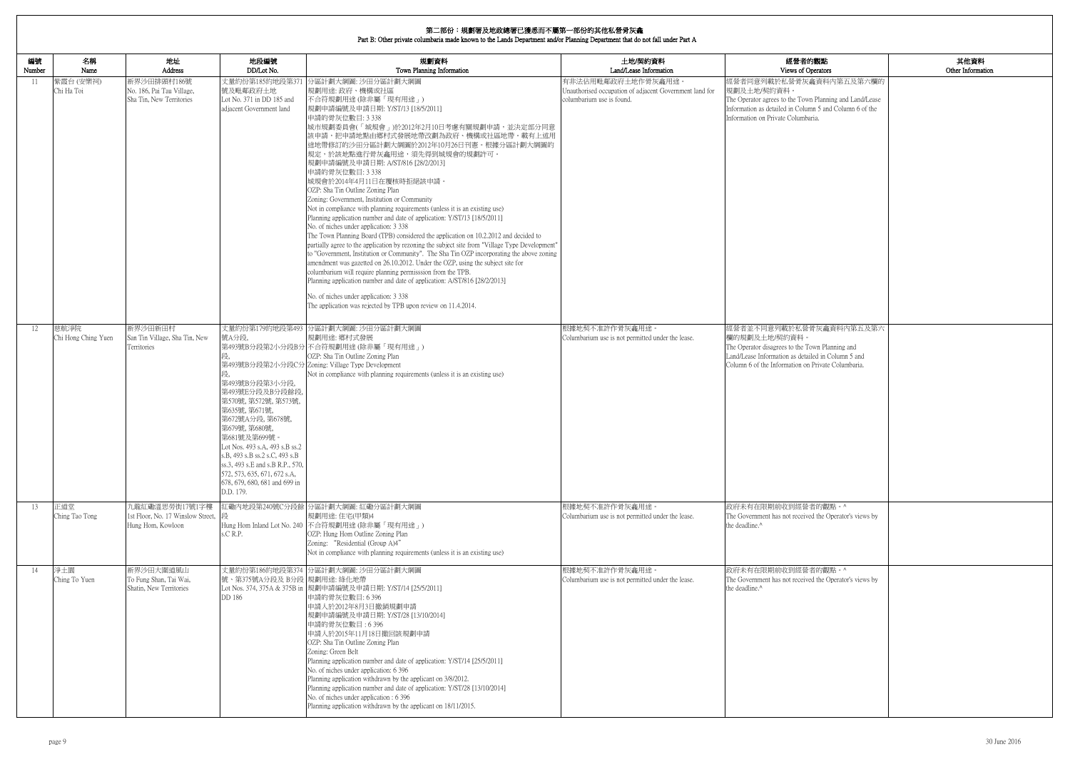| 的觀點                                                             | 其他資料              |
|-----------------------------------------------------------------|-------------------|
| perators                                                        | Other Information |
| 龕資料內第五及第六欄的                                                     |                   |
| n Planning and Land/Lease<br>nn 5 and Column 6 of the<br>aria.  |                   |
|                                                                 |                   |
|                                                                 |                   |
|                                                                 |                   |
|                                                                 |                   |
|                                                                 |                   |
|                                                                 |                   |
|                                                                 |                   |
| 骨灰龕資料内第五及第六                                                     |                   |
| own Planning and<br>iled in Column 5 and<br>Private Columbaria. |                   |
|                                                                 |                   |
|                                                                 |                   |
|                                                                 |                   |
|                                                                 |                   |
| 者的觀點。^                                                          |                   |
| ed the Operator's views by                                      |                   |
|                                                                 |                   |
| 者的觀點。^<br>ed the Operator's views by                            |                   |
|                                                                 |                   |
|                                                                 |                   |
|                                                                 |                   |
|                                                                 |                   |
|                                                                 |                   |

| 編號<br>Number | 名稱<br>Name                  | 地址<br>Address                                                            | 地段編號<br>DD/Lot No.                                                                                                                                                                                                                                                                                                                  | 規劃資料<br>Town Planning Information                                                                                                                                                                                                                                                                                                                                                                                                                                                                                                                                                                                                                                                                                                                                                                                                                                                                                                                                                                                                                                                                                                                                                                                                                                                                                     | 土地/契約資料<br>Land/Lease Information                                                                          | 經營者的觀點<br>Views of Operators                                                                                                                                                                            |
|--------------|-----------------------------|--------------------------------------------------------------------------|-------------------------------------------------------------------------------------------------------------------------------------------------------------------------------------------------------------------------------------------------------------------------------------------------------------------------------------|-----------------------------------------------------------------------------------------------------------------------------------------------------------------------------------------------------------------------------------------------------------------------------------------------------------------------------------------------------------------------------------------------------------------------------------------------------------------------------------------------------------------------------------------------------------------------------------------------------------------------------------------------------------------------------------------------------------------------------------------------------------------------------------------------------------------------------------------------------------------------------------------------------------------------------------------------------------------------------------------------------------------------------------------------------------------------------------------------------------------------------------------------------------------------------------------------------------------------------------------------------------------------------------------------------------------------|------------------------------------------------------------------------------------------------------------|---------------------------------------------------------------------------------------------------------------------------------------------------------------------------------------------------------|
| -11          | 紫霞台 (安樂祠)<br>Chi Ha Toi     | 新界沙田排頭村186號<br>No. 186, Pai Tau Village,<br>Sha Tin, New Territories     | 號及毗鄰政府土地<br>Lot No. 371 in DD 185 and<br>adjacent Government land                                                                                                                                                                                                                                                                   | 丈量約份第185約地段第371 分區計劃大綱圖: 沙田分區計劃大綱圖<br>規劃用途: 政府、機構或社區<br> 不合符規劃用途(除非屬「現有用途」)<br>規劃申請編號及申請日期: Y/ST/13 [18/5/2011]<br>申請的骨灰位數目: 3 338<br>城市規劃委員會(「城規會」)於2012年2月10日考慮有關規劃申請,並決定部分同意<br>該申請,把申請地點由鄉村式發展地帶改劃為政府、機構或社區地帶。載有上述用<br> 途地帶修訂的沙田分區計劃大綱圖於2012年10月26日刊憲。根據分區計劃大綱圖的<br>規定,於該地點進行骨灰龕用途,須先得到城規會的規劃許可。<br> 規劃申請編號及申請日期: A/ST/816 [28/2/2013] <br>申請的骨灰位數目: 3 338<br>城規會於2014年4月11日在覆核時拒絕該申請。<br>OZP: Sha Tin Outline Zoning Plan<br>Zoning: Government, Institution or Community<br>Not in compliance with planning requirements (unless it is an existing use)<br>Planning application number and date of application: Y/ST/13 [18/5/2011]<br>No. of niches under application: 3 338<br>The Town Planning Board (TPB) considered the application on 10.2.2012 and decided to<br>partially agree to the application by rezoning the subject site from "Village Type Development"<br>to "Government, Institution or Community". The Sha Tin OZP incorporating the above zoning<br>amendment was gazetted on 26.10.2012. Under the OZP, using the subject site for<br>columbarium will require planning permisssion from the TPB.<br>Planning application number and date of application: A/ST/816 [28/2/2013]<br>No. of niches under application: 3 338<br>The application was rejected by TPB upon review on 11.4.2014. | 有非法佔用毗鄰政府土地作骨灰龕用途。<br>Unauthorised occupation of adjacent Government land for<br>columbarium use is found. | 經營者同意列載於私營骨灰龕資料內第五及第六欄的<br>規劃及土地/契約資料。<br>The Operator agrees to the Town Planning and Land/Lease<br>Information as detailed in Column 5 and Column 6 of the<br>Information on Private Columbaria.      |
| 12           | 慈航淨院<br>Chi Hong Ching Yuen | 新界沙田新田村<br>San Tin Village, Sha Tin, New<br>Territories                  | 號A分段,<br>段,<br>第493號B分段第3小分段,<br>第493號E分段及B分段餘段,<br>第570號, 第572號, 第573號,<br>第635號, 第671號,<br>第672號A分段, 第678號,<br>第679號, 第680號,<br>第681號及第699號<br>Lot Nos. 493 s.A, 493 s.B ss.2<br>s.B, 493 s.B ss.2 s.C, 493 s.B<br>ss.3, 493 s.E and s.B R.P., 570,<br>572, 573, 635, 671, 672 s.A.<br>678, 679, 680, 681 and 699 in<br>D.D. 179. | 丈量約份第179約地段第493 分區計劃大綱圖: 沙田分區計劃大綱圖<br>規劃用途: 鄉村式發展<br>第493號B分段第2小分段B分 不合符規劃用途(除非屬「現有用途」)<br>OZP: Sha Tin Outline Zoning Plan<br>第493號B分段第2小分段C分 Zoning: Village Type Development<br>Not in compliance with planning requirements (unless it is an existing use)                                                                                                                                                                                                                                                                                                                                                                                                                                                                                                                                                                                                                                                                                                                                                                                                                                                                                                                                                                                                                                                        | 根據地契不准許作骨灰龕用途<br>Columbarium use is not permitted under the lease.                                         | 經營者並不同意列載於私營骨灰龕資料內第五及第六<br>欄的規劃及土地/契約資料。<br>The Operator disagrees to the Town Planning and<br>Land/Lease Information as detailed in Column 5 and<br>Column 6 of the Information on Private Columbaria. |
| 13           | 正道堂<br>Ching Tao Tong       | 九龍紅磡溫思勞街17號1字樓<br>1st Floor, No. 17 Winslow Street,<br>Hung Hom, Kowloon | s.C R.P.                                                                                                                                                                                                                                                                                                                            | 紅磡內地段第240號C分段餘 分區計劃大綱圖: 紅磡分區計劃大綱圖<br>規劃用途:住宅(甲類)4<br>Hung Hom Inland Lot No. 240 不合符規劃用途 (除非屬「現有用途」)<br>OZP: Hung Hom Outline Zoning Plan<br>Zoning: "Residential (Group A)4"<br>Not in compliance with planning requirements (unless it is an existing use)                                                                                                                                                                                                                                                                                                                                                                                                                                                                                                                                                                                                                                                                                                                                                                                                                                                                                                                                                                                                                                                          | 根據地契不准許作骨灰龕用途<br>Columbarium use is not permitted under the lease.                                         | 政府未有在限期前收到經營者的觀點。^<br>The Government has not received the Operator's views by<br>the deadline.^                                                                                                         |
| 14           | 淨土園<br>Ching To Yuen        | 新界沙田大圍道風山<br>To Fung Shan, Tai Wai,<br>Shatin, New Territories           | 號、第375號A分段及 B分段 規劃用途: 綠化地帶<br>DD 186                                                                                                                                                                                                                                                                                                | 丈量約份第186約地段第374 分區計劃大綱圖: 沙田分區計劃大綱圖<br>Lot Nos. 374, 375A & 375B in  規劃申請編號及申請日期: Y/ST/14 [25/5/2011]<br>申請的骨灰位數目: 6 396<br>申請人於2012年8月3日撤銷規劃申請<br>規劃申請編號及申請日期: Y/ST/28 [13/10/2014]<br>申請的骨灰位數目: 6396<br>申請人於2015年11月18日撤回該規劃申請<br>OZP: Sha Tin Outline Zoning Plan<br>Zoning: Green Belt<br>Planning application number and date of application: Y/ST/14 [25/5/2011]<br>No. of niches under application: 6 396<br>Planning application withdrawn by the applicant on 3/8/2012.<br>Planning application number and date of application: Y/ST/28 [13/10/2014]<br>No. of niches under application : 6 396<br>Planning application withdrawn by the applicant on 18/11/2015.                                                                                                                                                                                                                                                                                                                                                                                                                                                                                                                                                                                                                                             | 根據地契不准許作骨灰龕用途。<br>Columbarium use is not permitted under the lease.                                        | 政府未有在限期前收到經營者的觀點。^<br>The Government has not received the Operator's views by<br>the deadline.^                                                                                                         |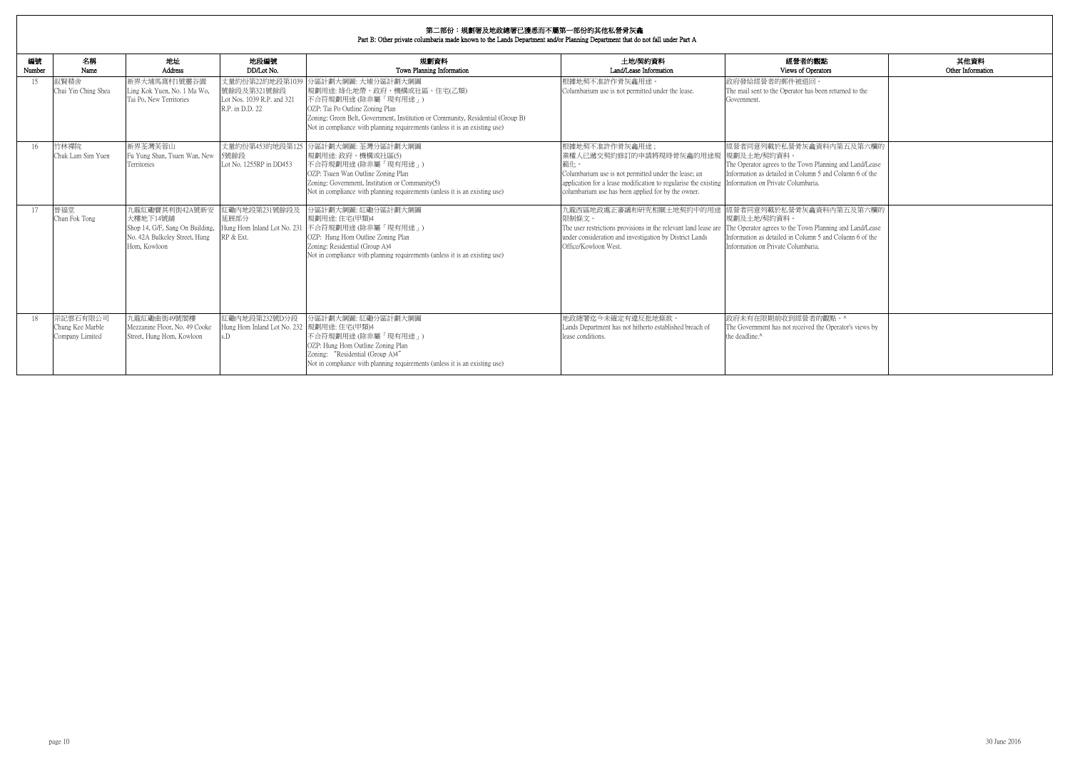| 的觀點                                                            | 其他資料              |
|----------------------------------------------------------------|-------------------|
| )perators                                                      | Other Information |
| $\overline{\mathbb{E}}$<br>as been returned to the             |                   |
|                                                                |                   |
| 龕資料內第五及第六欄的                                                    |                   |
| n Planning and Land/Lease<br>mn 5 and Column 6 of the<br>aria. |                   |
| 龕資料內第五及第六欄的                                                    |                   |
| n Planning and Land/Lease<br>mn 5 and Column 6 of the<br>aria. |                   |
|                                                                |                   |
| 者的觀點。^<br>ed the Operator's views by                           |                   |

| 編號<br>Number | 名稱<br>Name                                      | 地址<br>Address                                                                                                  | 地段編號<br>DD/Lot No.                                                              | 規劃資料<br>Town Planning Information                                                                                                                                                                                                                                            | 土地/契約資料<br>Land/Lease Information                                                                                                                                                                                                                                    | 經營者的觀點<br>Views of Operators                                                                                                                                                                       |
|--------------|-------------------------------------------------|----------------------------------------------------------------------------------------------------------------|---------------------------------------------------------------------------------|------------------------------------------------------------------------------------------------------------------------------------------------------------------------------------------------------------------------------------------------------------------------------|----------------------------------------------------------------------------------------------------------------------------------------------------------------------------------------------------------------------------------------------------------------------|----------------------------------------------------------------------------------------------------------------------------------------------------------------------------------------------------|
| 15           | 叙賢精舍<br>Chui Yin Ching Shea                     | 新界大埔馬窩村1號靈谷園<br>Ling Kok Yuen, No. 1 Ma Wo,<br>Tai Po, New Territories                                         | 丈量約份第22約地段第1039<br>號餘段及第321號餘段<br>Lot Nos. 1039 R.P. and 321<br>R.P. in D.D. 22 | 分區計劃大綱圖: 大埔分區計劃大綱圖<br>規劃用途: 綠化地帶、政府、機構或社區、住宅(乙類)<br> 不合符規劃用途(除非屬「現有用途」)<br>OZP: Tai Po Outline Zoning Plan<br>Zoning: Green Belt, Government, Institution or Community, Residential (Group B)<br>Not in compliance with planning requirements (unless it is an existing use) | 根據地契不准許作骨灰龕用途。<br>Columbarium use is not permitted under the lease.                                                                                                                                                                                                  | 政府發給經營者的郵件被退回。<br>The mail sent to the Operator has been returned to the<br>Government.                                                                                                            |
| 16           | 竹林禪院<br>Chuk Lam Sim Yuen                       | 新界荃灣芙蓉山<br>Fu Yung Shan, Tsuen Wan, New<br>Territories                                                         | 丈量約份第453約地段第125<br>5號餘段<br>Lot No. 1255RP in DD453                              | 分區計劃大綱圖: 荃灣分區計劃大綱圖<br>規劃用途: 政府、機構或社區(5)<br>不合符規劃用途(除非屬「現有用途」)<br>OZP: Tsuen Wan Outline Zoning Plan<br>Zoning: Government, Institution or Community(5)<br>Not in compliance with planning requirements (unless it is an existing use)                                        | 根據地契不准許作骨灰龕用途:<br>業權人已遞交契約修訂的申請將現時骨灰龕的用途規<br>範化。<br>Columbarium use is not permitted under the lease; an<br>application for a lease modification to regularise the existing Information on Private Columbaria.<br>columbarium use has been applied for by the owner. | 經營者同意列載於私營骨灰龕資料內第五及第六欄的<br>規劃及土地/契約資料。<br>The Operator agrees to the Town Planning and Land/Lease<br>Information as detailed in Column 5 and Column 6 of the                                       |
| 17           | 晉福堂<br>Chun Fok Tong                            | 九龍紅磡寶其利街42A號新安<br>大樓地下14號舖<br>Shop 14, G/F, Sang On Building,<br>No. 42A Bulkeley Street, Hung<br>Hom, Kowloon | 紅磡內地段第231號餘段及<br>延展部分<br>Hung Hom Inland Lot No. 231<br>RP & Ext.               | 分區計劃大綱圖:紅磡分區計劃大綱圖<br>規劃用途:住宅(甲類)4<br>不合符規劃用途(除非屬「現有用途」)<br>OZP: Hung Hom Outline Zoning Plan<br>Zoning: Residential (Group A)4<br>Not in compliance with planning requirements (unless it is an existing use)                                                                | 九龍西區地政處正審議和研究相關土地契約中的用途<br>限制條文。<br>The user restrictions provisions in the relevant land lease are<br>under consideration and investigation by District Lands<br>Office/Kowloon West.                                                                               | 經營者同意列載於私營骨灰龕資料內第五及第六欄的<br>規劃及土地/契約資料。<br>The Operator agrees to the Town Planning and Land/Lease<br>Information as detailed in Column 5 and Column 6 of the<br>Information on Private Columbaria. |
| 18           | 宗記雲石有限公司<br>Chung Kee Marble<br>Company Limited | 九龍紅磡曲街49號閣樓<br>Mezzanine Floor, No. 49 Cooke<br>Street, Hung Hom, Kowloon                                      | 紅磡內地段第232號D分段<br>Hung Hom Inland Lot No. 232  規劃用途: 住宅(甲類)4<br>s.D              | 分區計劃大綱圖: 紅磡分區計劃大綱圖<br>不合符規劃用途(除非屬「現有用途」)<br>OZP: Hung Hom Outline Zoning Plan<br>Zoning: "Residential (Group A)4"<br>Not in compliance with planning requirements (unless it is an existing use)                                                                             | 地政總署迄今未確定有違反批地條款。<br>Lands Department has not hitherto established breach of<br>lease conditions.                                                                                                                                                                    | 政府未有在限期前收到經營者的觀點。^<br>The Government has not received the Operator's views by<br>the deadline.^                                                                                                    |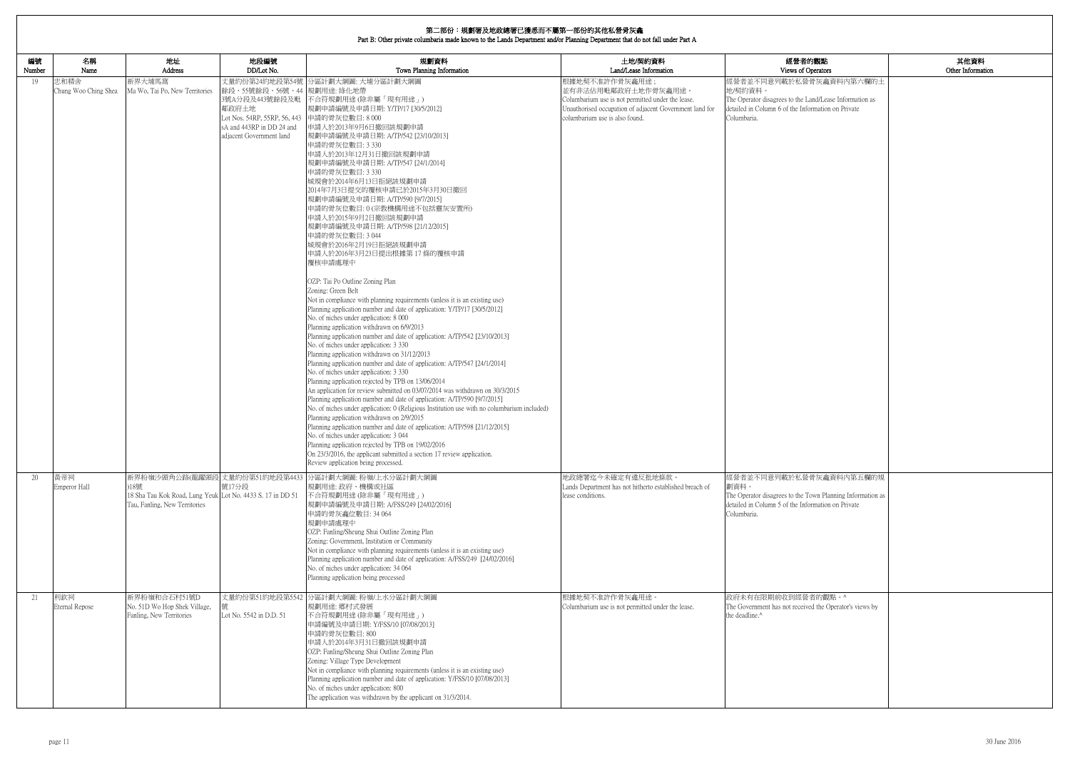| 的觀點                         | 其他資料              |
|-----------------------------|-------------------|
| berators                    | Other Information |
| 骨灰龕資料内第六欄的土                 |                   |
| and/Lease Information as    |                   |
| ormation on Private         |                   |
|                             |                   |
|                             |                   |
|                             |                   |
|                             |                   |
|                             |                   |
|                             |                   |
|                             |                   |
|                             |                   |
|                             |                   |
|                             |                   |
|                             |                   |
|                             |                   |
|                             |                   |
|                             |                   |
|                             |                   |
|                             |                   |
|                             |                   |
|                             |                   |
|                             |                   |
|                             |                   |
|                             |                   |
|                             |                   |
|                             |                   |
|                             |                   |
|                             |                   |
|                             |                   |
|                             |                   |
|                             |                   |
|                             |                   |
|                             |                   |
|                             |                   |
|                             |                   |
| 骨灰龕資料內第五欄的規                 |                   |
|                             |                   |
| own Planning Information as |                   |
| ormation on Private         |                   |
|                             |                   |
|                             |                   |
|                             |                   |
|                             |                   |
|                             |                   |
|                             |                   |
|                             |                   |
| 者的觀點。^                      |                   |
| ed the Operator's views by  |                   |
|                             |                   |
|                             |                   |
|                             |                   |
|                             |                   |
|                             |                   |
|                             |                   |
|                             |                   |
|                             |                   |

| 編號<br>Number | 名稱<br>Name                          | 地址<br>Address                                                                                      | 地段編號<br>DD/Lot No.                                                                                                                             | 規劃資料<br>Town Planning Information                                                                                                                                                                                                                                                                                                                                                                                                                                                                                                                                                                                                                                                                                                                                                                                                                                                                                                                                                                                                                                                                                                                                                                                                                                                                                                                                                                                                                                                                                                                                                                                                                                                                                                                                                                                                                                                                       | 土地/契約資料<br>Land/Lease Information                                                                                                                                                                            | 經營者的觀點<br>Views of Operators                                                                                                                                                                  |
|--------------|-------------------------------------|----------------------------------------------------------------------------------------------------|------------------------------------------------------------------------------------------------------------------------------------------------|---------------------------------------------------------------------------------------------------------------------------------------------------------------------------------------------------------------------------------------------------------------------------------------------------------------------------------------------------------------------------------------------------------------------------------------------------------------------------------------------------------------------------------------------------------------------------------------------------------------------------------------------------------------------------------------------------------------------------------------------------------------------------------------------------------------------------------------------------------------------------------------------------------------------------------------------------------------------------------------------------------------------------------------------------------------------------------------------------------------------------------------------------------------------------------------------------------------------------------------------------------------------------------------------------------------------------------------------------------------------------------------------------------------------------------------------------------------------------------------------------------------------------------------------------------------------------------------------------------------------------------------------------------------------------------------------------------------------------------------------------------------------------------------------------------------------------------------------------------------------------------------------------------|--------------------------------------------------------------------------------------------------------------------------------------------------------------------------------------------------------------|-----------------------------------------------------------------------------------------------------------------------------------------------------------------------------------------------|
| 19<br>20     | 忠和精舍<br>Chung Woo Ching Shea<br>黃帝祠 | 新界大埔馬窩<br>Ma Wo, Tai Po, New Territories                                                           | 餘段、55號餘段、56號、44 規劃用途: 綠化地帶<br>3號A分段及443號餘段及毗<br>鄰政府土地<br>Lot Nos. 54RP, 55RP, 56, 443<br>sA and 443RP in DD 24 and<br>adjacent Government land | 丈量約份第24約地段第54號 分區計劃大綱圖: 大埔分區計劃大綱圖<br>不合符規劃用途 (除非屬「現有用途」)<br> 規劃申請編號及申請日期: Y/TP/17 [30/5/2012]<br>申請的骨灰位數目:8000<br>申請人於2013年9月6日撤回該規劃申請<br> 規劃申請編號及申請日期: A/TP/542 [23/10/2013] <br>申請的骨灰位數目: 3 330<br>申請人於2013年12月31日撤回該規劃申請<br>規劃申請編號及申請日期: A/TP/547 [24/1/2014]<br>申請的骨灰位數目: 3 330<br> 城規會於2014年6月13日拒絕該規劃申請<br>2014年7月3日提交的覆核申請已於2015年3月30日撤回<br>規劃申請編號及申請日期: A/TP/590 [9/7/2015]<br>申請的骨灰位數目:0(宗教機構用途不包括靈灰安置所)<br>申請人於2015年9月2日撤回該規劃申請<br>規劃申請編號及申請日期: A/TP/598 [21/12/2015]<br>申請的骨灰位數目: 3044<br> 城規會於2016年2月19日拒絕該規劃申請<br>申請人於2016年3月23日提出根據第 17 條的覆核申請<br>覆核申請處理中<br>OZP: Tai Po Outline Zoning Plan<br>Zoning: Green Belt<br>Not in compliance with planning requirements (unless it is an existing use)<br>Planning application number and date of application: Y/TP/17 [30/5/2012]<br>No. of niches under application: 8 000<br>Planning application withdrawn on 6/9/2013<br>Planning application number and date of application: A/TP/542 [23/10/2013]<br>No. of niches under application: 3 330<br>Planning application withdrawn on 31/12/2013<br>Planning application number and date of application: A/TP/547 [24/1/2014]<br>No. of niches under application: 3 330<br>Planning application rejected by TPB on 13/06/2014<br>An application for review submitted on 03/07/2014 was withdrawn on 30/3/2015<br>Planning application number and date of application: A/TP/590 [9/7/2015]<br>No. of niches under application: 0 (Religious Institution use with no columbarium included)<br>Planning application withdrawn on 2/9/2015<br>Planning application number and date of application: A/TP/598 [21/12/2015]<br>No. of niches under application: 3 044<br>Planning application rejected by TPB on 19/02/2016<br>On 23/3/2016, the applicant submitted a section 17 review application.<br>Review application being processed.<br>新界粉嶺沙頭角公路(龍躍頭段 丈量約份第51約地段第4433 分區計劃大綱圖:粉嶺/上水分區計劃大綱圖 | 根據地契不准許作骨灰龕用途;<br>並有非法佔用毗鄰政府土地作骨灰龕用途。<br>Columbarium use is not permitted under the lease.<br>Unauthorised occupation of adjacent Government land for<br>columbarium use is also found.<br>地政總署迄今未確定有違反批地條款。 | 經營者並不同意列載於私營骨灰龕資料內第六欄的土<br>地/契約資料。<br>The Operator disagrees to the Land/Lease Information as<br>detailed in Column 6 of the Information on Private<br>Columbaria.<br>經營者並不同意列載於私營骨灰龕資料內第五欄的規 |
|              | Emperor Hall                        | 18號<br>18 Sha Tau Kok Road, Lung Yeuk Lot No. 4433 S. 17 in DD 51<br>Tau, Fanling, New Territories | 號17分段                                                                                                                                          | 規劃用途: 政府、機構或社區<br>不合符規劃用途 (除非屬「現有用途」)<br> 規劃申請編號及申請日期: A/FSS/249 [24/02/2016]<br>申請的骨灰龕位數目: 34 064<br>規劃申請處理中<br>OZP: Fanling/Sheung Shui Outline Zoning Plan<br>Zoning: Government, Institution or Community<br>Not in compliance with planning requirements (unless it is an existing use)<br>Planning application number and date of application: A/FSS/249 [24/02/2016]<br>No. of niches under application: 34 064<br>Planning application being processed                                                                                                                                                                                                                                                                                                                                                                                                                                                                                                                                                                                                                                                                                                                                                                                                                                                                                                                                                                                                                                                                                                                                                                                                                                                                                                                                                                                                                                          | Lands Department has not hitherto established breach of<br>lease conditions.                                                                                                                                 | 劃資料。<br>The Operator disagrees to the Town Planning Information as<br>detailed in Column 5 of the Information on Private<br>Columbaria.                                                       |
| 21           | 利欽祠<br>Eternal Repose               | 新界粉嶺和合石村51號D<br>No. 51D Wo Hop Shek Village,<br>Fanling, New Territories                           | Lot No. 5542 in D.D. 51                                                                                                                        | 丈量約份第51約地段第5542 分區計劃大綱圖: 粉嶺/上水分區計劃大綱圖<br>規劃用途: 鄉村式發展<br>不合符規劃用途(除非屬「現有用途」)<br>申請編號及申請日期: Y/FSS/10 [07/08/2013]<br>申請的骨灰位數目:800<br>申請人於2014年3月31日撤回該規劃申請<br>OZP: Fanling/Sheung Shui Outline Zoning Plan<br>Zoning: Village Type Development<br>Not in compliance with planning requirements (unless it is an existing use)<br>Planning application number and date of application: Y/FSS/10 [07/08/2013]<br>No. of niches under application: 800<br>The application was withdrawn by the applicant on 31/3/2014.                                                                                                                                                                                                                                                                                                                                                                                                                                                                                                                                                                                                                                                                                                                                                                                                                                                                                                                                                                                                                                                                                                                                                                                                                                                                                                                                                                                        | 根據地契不准許作骨灰龕用途。<br>Columbarium use is not permitted under the lease.                                                                                                                                          | 政府未有在限期前收到經營者的觀點。^<br>The Government has not received the Operator's views by<br>the deadline. <sup>^</sup>                                                                                   |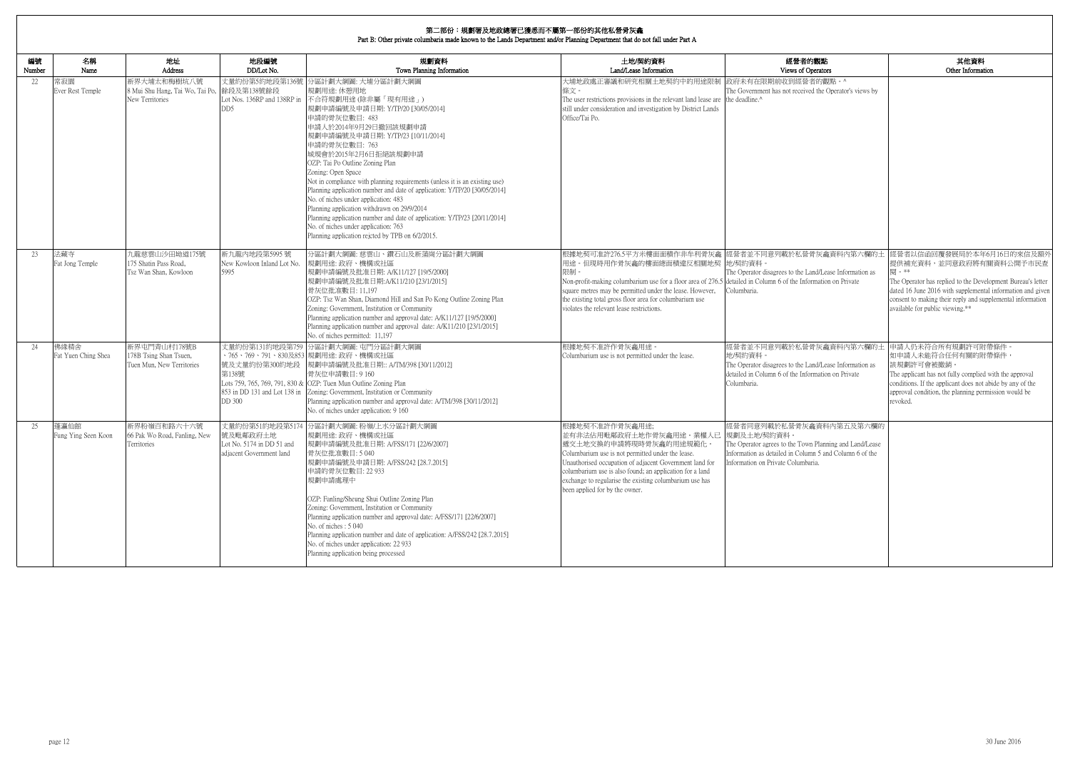## **第二部<del>公:坦劃</del>單**及地政總單已獲采而不屬第二部公的甘*斯*到著是在金

| 編號<br>Number | 名稱<br>Name                  | 地址<br>Address                                                       | 地段編號<br>DD/Lot No.                                                 | 規劃資料<br>Town Planning Information                                                                                                                                                                                                                                                                                                                                                                                                                                                                                                                                                                                                                                                                                                     | 土地/契約資料<br>Land/Lease Information                                                                                                                                                                                                                                                                                                                         | 經營者的觀點<br>Views of Operators                                                                                                                                                         | 其他資料<br>Other Information                                                                                                                                                                                                                                                                                                                        |
|--------------|-----------------------------|---------------------------------------------------------------------|--------------------------------------------------------------------|---------------------------------------------------------------------------------------------------------------------------------------------------------------------------------------------------------------------------------------------------------------------------------------------------------------------------------------------------------------------------------------------------------------------------------------------------------------------------------------------------------------------------------------------------------------------------------------------------------------------------------------------------------------------------------------------------------------------------------------|-----------------------------------------------------------------------------------------------------------------------------------------------------------------------------------------------------------------------------------------------------------------------------------------------------------------------------------------------------------|--------------------------------------------------------------------------------------------------------------------------------------------------------------------------------------|--------------------------------------------------------------------------------------------------------------------------------------------------------------------------------------------------------------------------------------------------------------------------------------------------------------------------------------------------|
| 22           | 常寂園<br>Ever Rest Temple     | 新界大埔太和梅樹坑八號<br>8 Mui Shu Hang, Tai Wo, Tai Po,<br>New Territories   | 丈量約份第5約地段第136號<br>餘段及第138號餘段<br>DD5                                | 分區計劃大綱圖: 大埔分區計劃大綱圖<br>規劃用途: 休憩用地<br>Lot Nos. 136RP and 138RP in 不合符規劃用途 (除非屬「現有用途」)<br>規劃申請編號及申請日期: Y/TP/20 [30/05/2014]<br>申請的骨灰位數目: 483<br>申請人於2014年9月29日撤回該規劃申請<br>規劃申請編號及申請日期: Y/TP/23 [10/11/2014]<br>申請的骨灰位數目: 763<br>城規會於2015年2月6日拒絕該規劃申請<br>OZP: Tai Po Outline Zoning Plan<br>Zoning: Open Space<br>Not in compliance with planning requirements (unless it is an existing use)<br>Planning application number and date of application: Y/TP/20 [30/05/2014]<br>No. of niches under application: 483<br>Planning application withdrawn on 29/9/2014<br>Planning application number and date of application: Y/TP/23 [20/11/2014]<br>No. of niches under application: 763<br>Planning application rejcted by TPB on 6/2/2015. | 大埔地政處正審議和研究相關土地契約中的用途限制<br>條文。<br>The user restrictions provisions in the relevant land lease are the deadline.^<br>still under consideration and investigation by District Lands<br>Office/Tai Po.                                                                                                                                                       | 政府未有在限期前收到經營者的觀點。^<br>The Government has not received the Operator's views by                                                                                                        |                                                                                                                                                                                                                                                                                                                                                  |
| 23           | 法藏寺<br>Fat Jong Temple      | 九龍慈雲山沙田坳道175號<br>175 Shatin Pass Road,<br>Tsz Wan Shan, Kowloon     | 新九龍內地段第5995號<br>New Kowloon Inland Lot No.<br>5995                 | 分區計劃大綱圖: 慈雲山、鑽石山及新蒲崗分區計劃大綱圖<br>規劃用途:政府、機構或社區<br>規劃申請編號及批准日期: A/K11/127 [19/5/2000]<br>規劃申請編號及批准日期:A/K11/210 [23/1/2015]<br>骨灰位批准數目: 11,197<br>OZP: Tsz Wan Shan, Diamond Hill and San Po Kong Outline Zoning Plan<br>Zoning: Government, Institution or Community<br>Planning application number and approval date: A/K11/127 [19/5/2000]<br>Planning application number and approval date: A/K11/210 [23/1/2015]<br>No. of niches permitted: 11,197                                                                                                                                                                                                                                                                                  | 用途。但現時用作骨灰龕的樓面總面積違反相關地契 地/契約資料。<br>限制<br>Non-profit-making columbarium use for a floor area of 276.5 detailed in Column 6 of the Information on Private<br>square metres may be permitted under the lease. However,<br>the existing total gross floor area for columbarium use<br>violates the relevant lease restrictions.                               | The Operator disagrees to the Land/Lease Information as<br>Columbaria.                                                                                                               | 根據地契可准許276.5平方米樓面面積作非牟利骨灰龕  經營者並不同意列載於私營骨灰龕資料內第六欄的土  經營者以信函回覆發展局於本年6月16日的來信及額外<br>提供補充資料,並同意政府將有關資料公開予市民查<br>関 。**<br>The Operator has replied to the Development Bureau's letter<br>dated 16 June 2016 with supplemental information and given<br>consent to making their reply and supplemental information<br>available for public viewing.** |
| 24           | 佛緣精舍<br>Fat Yuen Ching Shea | 新界屯門青山村178號B<br>178B Tsing Shan Tsuen,<br>Tuen Mun, New Territories | 號及丈量約份第300約地段<br>第138號<br>DD 300                                   | 丈量約份第131約地段第759 分區計劃大綱圖: 屯門分區計劃大綱圖<br>、765、769、791、830及853  規劃用途: 政府、機構或社區<br>規劃申請編號及批准日期:: A/TM/398 [30/11/2012]<br>骨灰位申請數目: 9 160<br>Lots 759, 765, 769, 791, 830 & OZP: Tuen Mun Outline Zoning Plan<br>853 in DD 131 and Lot 138 in Zoning: Government, Institution or Community<br>Planning application number and approval date: A/TM/398 [30/11/2012]<br>No. of niches under application: 9 160                                                                                                                                                                                                                                                                                                                                | 根據地契不准許作骨灰龕用途<br>Columbarium use is not permitted under the lease.                                                                                                                                                                                                                                                                                        | 經營者並不同意列載於私營骨灰龕資料內第六欄的土 申請人仍未符合所有規劃許可附帶條件。<br>地/契約資料<br>The Operator disagrees to the Land/Lease Information as<br>detailed in Column 6 of the Information on Private<br>Columbaria. | 如申請人未能符合任何有關的附帶條件,<br>該規劃許可會被撤銷。<br>The applicant has not fully complied with the approval<br>conditions. If the applicant does not abide by any of the<br>approval condition, the planning permission would be<br>revoked.                                                                                                                      |
| 25           | 蓬瀛仙館<br>Fung Ying Seen Koon | 新界粉嶺百和路六十六號<br>66 Pak Wo Road, Fanling, New<br>Territories          | 號发毗鄰政府土地 <br>Lot No. 5174 in DD 51 and<br>adjacent Government land | 丈量約份第51約地段第5174 分區計劃大綱圖: 粉嶺/上水分區計劃大綱圖<br>規劃用途: 政府、機構或社區<br>規劃申請編號及批准日期: A/FSS/171 [22/6/2007]<br>骨灰位批准數目:5040<br>規劃申請編號及申請日期: A/FSS/242 [28.7.2015]<br>申請的骨灰位數目: 22 933<br>規劃申請處理中<br>OZP: Fanling/Sheung Shui Outline Zoning Plan<br>Zoning: Government, Institution or Community<br>Planning application number and approval date: A/FSS/171 [22/6/2007]<br>No. of niches: 5 040<br>Planning application number and date of application: A/FSS/242 [28.7.2015]<br>No. of niches under application: 22 933<br>Planning application being processed                                                                                                                                                                                   | 根據地契不准許作骨灰龕用涂:<br>並有非法佔用毗鄰政府土地作骨灰龕用途。業權人已 規劃及土地/契約資料。<br> 遞交土地交換的申請將現時骨灰龕的用途規範化。<br>Columbarium use is not permitted under the lease.<br>Unauthorised occupation of adjacent Government land for<br>columbarium use is also found; an application for a land<br>exchange to regularise the existing columbarium use has<br>been applied for by the owner. | 經營者同意列載於私營骨灰龕資料內第五及第六欄的<br>The Operator agrees to the Town Planning and Land/Lease<br>Information as detailed in Column 5 and Column 6 of the<br>Information on Private Columbaria.  |                                                                                                                                                                                                                                                                                                                                                  |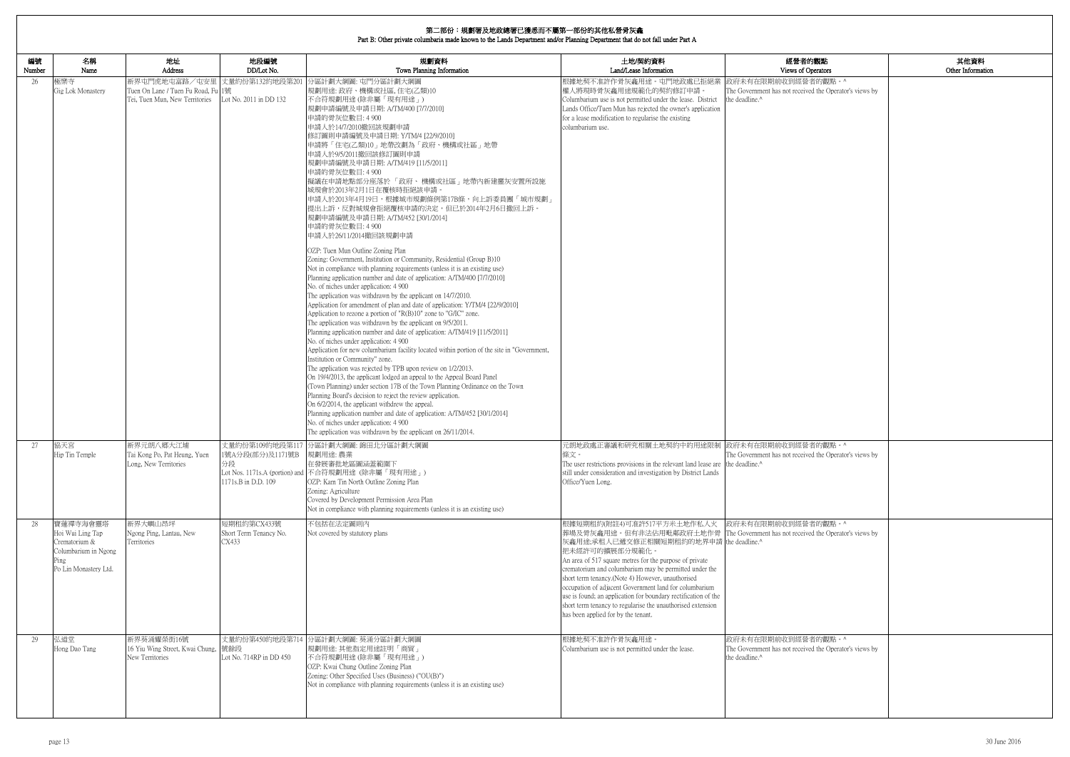|              | 第二部份:規劃署及地政總署已獲悉而不屬第一部份的其他私營骨灰龕<br>Part B: Other private columbaria made known to the Lands Department and/or Planning Department that do not fall under Part A |                                                                                       |                                                                  |                                                                                                                                                                                                                                                                                                                                                                                                                                                                                                                                                                                                                                                                                                                                                                                                                                                                                                                                                                                                                                                                                                                                                                                                                                                                                                                                                                                                                                                                                                                                                                                                                                                                                                                                                                                                                                                                                                                                                                    |                                                                                                                                                                                                                                                                                                                                                                                                                                                                                                                                                                                                            |                                                                                                             |                           |
|--------------|-----------------------------------------------------------------------------------------------------------------------------------------------------------------|---------------------------------------------------------------------------------------|------------------------------------------------------------------|--------------------------------------------------------------------------------------------------------------------------------------------------------------------------------------------------------------------------------------------------------------------------------------------------------------------------------------------------------------------------------------------------------------------------------------------------------------------------------------------------------------------------------------------------------------------------------------------------------------------------------------------------------------------------------------------------------------------------------------------------------------------------------------------------------------------------------------------------------------------------------------------------------------------------------------------------------------------------------------------------------------------------------------------------------------------------------------------------------------------------------------------------------------------------------------------------------------------------------------------------------------------------------------------------------------------------------------------------------------------------------------------------------------------------------------------------------------------------------------------------------------------------------------------------------------------------------------------------------------------------------------------------------------------------------------------------------------------------------------------------------------------------------------------------------------------------------------------------------------------------------------------------------------------------------------------------------------------|------------------------------------------------------------------------------------------------------------------------------------------------------------------------------------------------------------------------------------------------------------------------------------------------------------------------------------------------------------------------------------------------------------------------------------------------------------------------------------------------------------------------------------------------------------------------------------------------------------|-------------------------------------------------------------------------------------------------------------|---------------------------|
| 編號<br>Number | 名稱<br>Name                                                                                                                                                      | 地址<br>Address                                                                         | 地段編號<br>DD/Lot No.                                               | 規劃資料<br>Town Planning Information                                                                                                                                                                                                                                                                                                                                                                                                                                                                                                                                                                                                                                                                                                                                                                                                                                                                                                                                                                                                                                                                                                                                                                                                                                                                                                                                                                                                                                                                                                                                                                                                                                                                                                                                                                                                                                                                                                                                  | 土地/契約資料<br>Land/Lease Information                                                                                                                                                                                                                                                                                                                                                                                                                                                                                                                                                                          | 經營者的觀點<br>Views of Operators                                                                                | 其他資料<br>Other Information |
| 26           | 極樂寺<br>Gig Lok Monastery                                                                                                                                        | 新界屯門虎地屯富路/屯安里<br>Tuen On Lane / Tuen Fu Road, Fu 1號<br>Tei, Tuen Mun, New Territories | 丈量約份第132約地段第20<br>Lot No. 2011 in DD 132                         | 分區計劃大綱圖: 屯門分區計劃大綱圖<br>規劃用途: 政府、機構或社區, 住宅(乙類)10<br>不合符規劃用途(除非屬「現有用途」)<br> 規劃申請編號及申請日期: A/TM/400 [7/7/2010]<br>申請的骨灰位數目: 4 900<br>申請人於14/7/2010撤回該規劃申請<br> 修訂圖則申請編號及申請日期: Y/TM/4 [22/9/2010]<br> 申請將「住宅(乙類)10」地帶改劃為「政府、機構或社區」地帶<br>申請人於9/5/2011撤回該修訂圖則申請<br> 規劃申請編號及申請日期: A/TM/419 [11/5/2011]<br>申請的骨灰位數目: 4 900<br>擬議在申請地點部分座落於「政府、機構或社區」地帶內新建靈灰安置所設施<br>城規會於2013年2月1日在覆核時拒絕該申請。<br> 申請人於2013年4月19日,根據城市規劃條例第17B條,向上訴委員團「城市規劃」<br>提出上訴,反對城規會拒絕覆核申請的決定,但已於2014年2月6日撤回上訴。<br> 規劃申請編號及申請日期: A/TM/452 [30/1/2014] <br>申請的骨灰位數目: 4 900<br>申請人於26/11/2014撤回該規劃申請<br>OZP: Tuen Mun Outline Zoning Plan<br>Zoning: Government, Institution or Community, Residential (Group B)10<br>Not in compliance with planning requirements (unless it is an existing use)<br>Planning application number and date of application: A/TM/400 [7/7/2010]<br>No. of niches under application: 4 900<br>The application was withdrawn by the applicant on 14/7/2010.<br>Application for amendment of plan and date of application: Y/TM/4 [22/9/2010]<br>Application to rezone a portion of " $R(B)10$ " zone to "G/IC" zone.<br>The application was withdrawn by the applicant on 9/5/2011.<br>Planning application number and date of application: A/TM/419 [11/5/2011]<br>No. of niches under application: 4 900<br>Application for new columbarium facility located within portion of the site in "Government,<br>Institution or Community" zone.<br>The application was rejected by TPB upon review on 1/2/2013.<br>On 19/4/2013, the applicant lodged an appeal to the Appeal Board Panel<br>(Town Planning) under section 17B of the Town Planning Ordinance on the Town<br>Planning Board's decision to reject the review application.<br>On 6/2/2014, the applicant withdrew the appeal.<br>Planning application number and date of application: A/TM/452 [30/1/2014]<br>No. of niches under application: 4 900<br>The application was withdrawn by the applicant on 26/11/2014. | 根據地契不准許作骨灰龕用途。屯門地政處已拒絕業<br>權人將現時骨灰龕用途規範化的契約修訂申請<br>Columbarium use is not permitted under the lease. District<br>Lands Office/Tuen Mun has rejected the owner's application<br>for a lease modification to regularise the existing<br>columbarium use.                                                                                                                                                                                                                                                                                                                                                     | 政府未有在限期前收到經營者的觀點。^<br>The Government has not received the Operator's views by<br>the deadline. <sup>^</sup> |                           |
| 27           | 協天宮<br>Hip Tin Temple                                                                                                                                           | 新界元朗八鄉大江埔<br>Tai Kong Po, Pat Heung, Yuen<br>Long, New Territories                    | 丈量約份第109約地段第117<br>1號A分段(部分)及1171號B<br>分段<br>1171s.B in D.D. 109 | 分區計劃大綱圖: 錦田北分區計劃大綱圖<br>規劃用途:農業<br>在發展審批地區圖涵蓋範圍下<br>Lot Nos. 1171s.A (portion) and 不合符規劃用途 (除非屬「現有用途」)<br>OZP: Kam Tin North Outline Zoning Plan<br>Zoning: Agriculture<br>Covered by Development Permission Area Plan<br>Not in compliance with planning requirements (unless it is an existing use)                                                                                                                                                                                                                                                                                                                                                                                                                                                                                                                                                                                                                                                                                                                                                                                                                                                                                                                                                                                                                                                                                                                                                                                                                                                                                                                                                                                                                                                                                                                                                                                                                                                               | 元朗地政處正審議和研究相關土地契約中的用途限制  政府未有在限期前收到經營者的觀點。^<br>條文。<br>The user restrictions provisions in the relevant land lease are the deadline. <sup>^</sup><br>still under consideration and investigation by District Lands<br>Office/Yuen Long.                                                                                                                                                                                                                                                                                                                                                                     | The Government has not received the Operator's views by                                                     |                           |
| 28           | 寶蓮禪寺海會靈塔<br>Hoi Wui Ling Tap<br>Crematorium &<br>Columbarium in Ngong<br>Pıng<br>Po Lin Monastery Ltd.                                                          | 新界大嶼山昂坪<br>Ngong Ping, Lantau, New<br>Territories                                     | 短期租約第CX433號<br>Short Term Tenancy No.<br>CX433                   | 不包括在法定圖則內<br>Not covered by statutory plans                                                                                                                                                                                                                                                                                                                                                                                                                                                                                                                                                                                                                                                                                                                                                                                                                                                                                                                                                                                                                                                                                                                                                                                                                                                                                                                                                                                                                                                                                                                                                                                                                                                                                                                                                                                                                                                                                                                        | 根據短期租約(附註4)可准許517平方米土地作私人火  政府未有在限期前收到經營者的觀點。^<br>葬場及骨灰龕用途。但有非法佔用毗鄰政府土地作骨 The Government has not received the Operator's views by<br>灰龕用途;承租人已遞交修正相關短期租約的地界申請 the deadline.^<br>把未經許可的擴展部分規範化。<br>An area of 517 square metres for the purpose of private<br>crematorium and columbarium may be permitted under the<br>short term tenancy.(Note 4) However, unauthorised<br>occupation of adjacent Government land for columbarium<br>use is found; an application for boundary rectification of the<br>short term tenancy to regularise the unauthorised extension<br>has been applied for by the tenant. |                                                                                                             |                           |
| 29           | 弘道堂<br>Hong Dao Tang                                                                                                                                            | 新界葵涌耀榮街16號<br>16 Yiu Wing Street, Kwai Chung,<br>New Territories                      | 丈量約份第450約地段第714<br>號餘段<br>Lot No. 714RP in DD 450                | 分區計劃大綱圖: 葵涌分區計劃大綱圖<br>規劃用途: 其他指定用途註明「商貿」<br>不合符規劃用途 (除非屬「現有用途」)<br>OZP: Kwai Chung Outline Zoning Plan<br>Zoning: Other Specified Uses (Business) ("OU(B)")<br>Not in compliance with planning requirements (unless it is an existing use)                                                                                                                                                                                                                                                                                                                                                                                                                                                                                                                                                                                                                                                                                                                                                                                                                                                                                                                                                                                                                                                                                                                                                                                                                                                                                                                                                                                                                                                                                                                                                                                                                                                                                                                         | 根據地契不准許作骨灰龕用途。<br>Columbarium use is not permitted under the lease.                                                                                                                                                                                                                                                                                                                                                                                                                                                                                                                                        | 政府未有在限期前收到經營者的觀點。^<br>The Government has not received the Operator's views by<br>the deadline.^             |                           |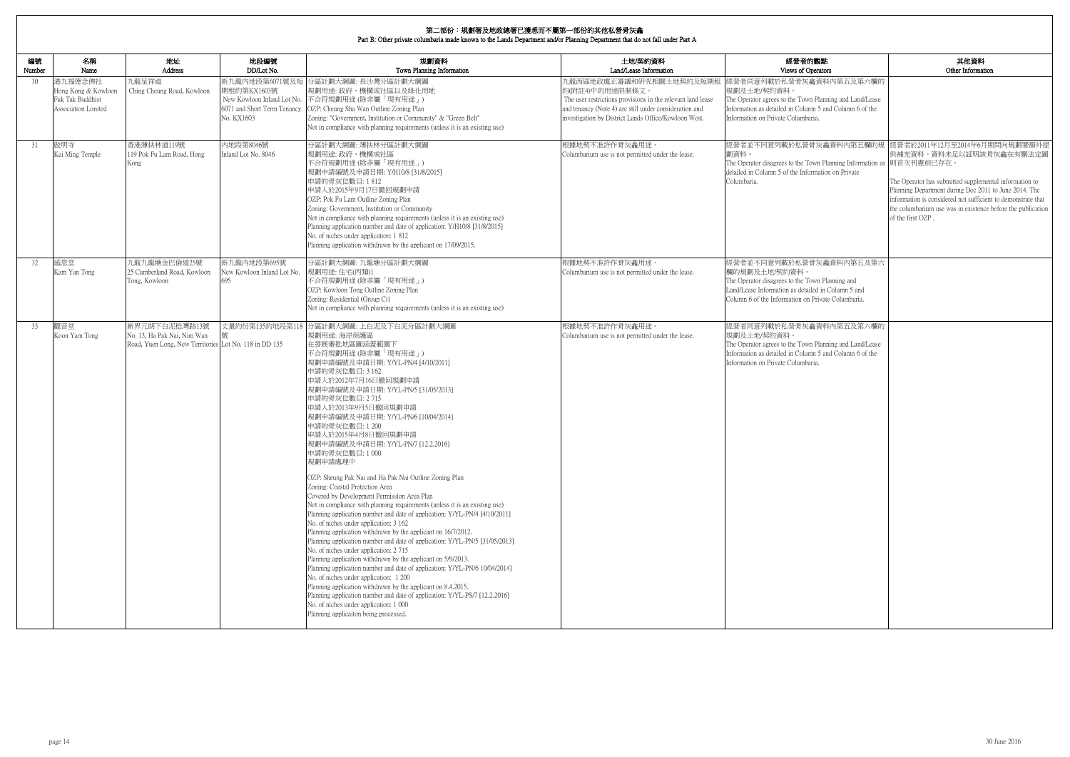|              | Part B: Other private columbaria made known to the Lands Department and/or Planning Department that do not fall under Part A |                                                                                                        |                                                                            |                                                                                                                                                                                                                                                                                                                                                                                                                                                                                                                                                                                                                                                                                                                                                                                                                                                                                                                                                                                                                                                                                                                                                                                                                                                                                                                                                                             |                                                                                                                                                                                                                             |                                                                                                                                                                                                         |                                                                                                                                                                                                                                                                                                                                                         |  |
|--------------|------------------------------------------------------------------------------------------------------------------------------|--------------------------------------------------------------------------------------------------------|----------------------------------------------------------------------------|-----------------------------------------------------------------------------------------------------------------------------------------------------------------------------------------------------------------------------------------------------------------------------------------------------------------------------------------------------------------------------------------------------------------------------------------------------------------------------------------------------------------------------------------------------------------------------------------------------------------------------------------------------------------------------------------------------------------------------------------------------------------------------------------------------------------------------------------------------------------------------------------------------------------------------------------------------------------------------------------------------------------------------------------------------------------------------------------------------------------------------------------------------------------------------------------------------------------------------------------------------------------------------------------------------------------------------------------------------------------------------|-----------------------------------------------------------------------------------------------------------------------------------------------------------------------------------------------------------------------------|---------------------------------------------------------------------------------------------------------------------------------------------------------------------------------------------------------|---------------------------------------------------------------------------------------------------------------------------------------------------------------------------------------------------------------------------------------------------------------------------------------------------------------------------------------------------------|--|
| 編號<br>Number | 名稱<br>Name                                                                                                                   | 地址<br>Address                                                                                          | 地段編號<br>DD/Lot No.                                                         | 規劃資料<br>Town Planning Information                                                                                                                                                                                                                                                                                                                                                                                                                                                                                                                                                                                                                                                                                                                                                                                                                                                                                                                                                                                                                                                                                                                                                                                                                                                                                                                                           | 土地/契約資料<br>Land/Lease Information                                                                                                                                                                                           | 經營者的觀點<br>Views of Operators                                                                                                                                                                            | 其他資料<br>Other Information                                                                                                                                                                                                                                                                                                                               |  |
| 30           | 港九福德念佛社<br>Hong Kong & Kowloon<br>Fuk Tak Buddhist<br>Association Limited                                                    | 九龍呈祥道<br>Ching Cheung Road, Kowloon                                                                    | 新九龍內地段第6071號及短<br>期租約第KX1603號<br>6071 and Short Term Tenancy<br>No. KX1603 | 分區計劃大綱圖:長沙灣分區計劃大綱圖<br>規劃用途: 政府、機構或社區以及綠化用地<br>New Kowloon Inland Lot No. 不合符規劃用途(除非屬「現有用途」)<br>OZP: Cheung Sha Wan Outline Zoning Plan<br>Zoning: "Government, Institution or Community" & "Green Belt"<br>Not in compliance with planning requirements (unless it is an existing use)                                                                                                                                                                                                                                                                                                                                                                                                                                                                                                                                                                                                                                                                                                                                                                                                                                                                                                                                                                                                                                                                                      | 九龍西區地政處正審議和研究相關土地契約及短期租<br>約(附註4)中的用途限制條文。<br>The user restrictions provisions in the relevant land lease<br>and tenancy (Note 4) are still under consideration and<br>investigation by District Lands Office/Kowloon West. | 經營者同意列載於私營骨灰龕資料內第五及第六欄的<br>規劃及土地/契約資料<br>The Operator agrees to the Town Planning and Land/Lease<br>Information as detailed in Column 5 and Column 6 of the<br>Information on Private Columbaria.       |                                                                                                                                                                                                                                                                                                                                                         |  |
| 31           | 啟明寺<br>Kai Ming Temple                                                                                                       | 香港薄扶林道119號<br>119 Pok Fu Lam Road, Hong<br>Kong                                                        | 内地段第8046號<br>Inland Lot No. 8046                                           | 分區計劃大綱圖: 薄扶林分區計劃大綱圖<br>規劃用途:政府、機構或社區<br>不合符規劃用途(除非屬「現有用途」)<br>規劃申請編號及申請日期: Y/H10/8 [31/8/2015]<br>申請的骨灰位數目:1812<br>申請人於2015年9月17日撤回規劃申請<br>OZP: Pok Fu Lam Outline Zoning Plan<br>Zoning: Government, Institution or Community<br>Not in compliance with planning requirements (unless it is an existing use)<br>Planning application number and date of application: Y/H10/8 [31/8/2015]<br>No. of niches under application: 1812<br>Planning application withdrawn by the applicant on 17/09/2015.                                                                                                                                                                                                                                                                                                                                                                                                                                                                                                                                                                                                                                                                                                                                                                                                                                                                        | 根據地契不准許作骨灰龕用途。<br>Columbarium use is not permitted under the lease.                                                                                                                                                         | 劃資料。<br>The Operator disagrees to the Town Planning Information as  則首次刊憲前已存在。<br>detailed in Column 5 of the Information on Private<br>Columbaria.                                                     | 經營者並不同意列載於私營骨灰龕資料內第五欄的規 經營者於2011年12月至2014年6月期間向規劃署額外提<br>供補充資料。資料未足以証明該骨灰龕在有關法定圖<br>The Operator has submitted supplemental information to<br>Planning Department during Dec 2011 to June 2014. The<br>information is considered not sufficient to demonstrate that<br>the columbarium use was in existence before the publication<br>of the first OZP. |  |
| 32           | 感恩堂<br>Kam Yan Tong                                                                                                          | 九龍九龍塘金巴倫道25號<br>25 Cumberland Road, Kowloon<br>Tong, Kowloon                                           | 新九龍内地段第695號<br>New Kowloon Inland Lot No.<br>695                           | 分區計劃大綱圖:九龍塘分區計劃大綱圖<br>規劃用途:住宅(丙類)1<br>不合符規劃用途 (除非屬「現有用途」)<br>OZP: Kowloon Tong Outline Zoning Plan<br>Zoning: Residential (Group C)1<br>Not in compliance with planning requirements (unless it is an existing use)                                                                                                                                                                                                                                                                                                                                                                                                                                                                                                                                                                                                                                                                                                                                                                                                                                                                                                                                                                                                                                                                                                                                                         | 根據地契不准許作骨灰龕用途。<br>Columbarium use is not permitted under the lease.                                                                                                                                                         | 經營者並不同意列載於私營骨灰龕資料內第五及第六<br>欄的規劃及土地/契約資料。<br>The Operator disagrees to the Town Planning and<br>Land/Lease Information as detailed in Column 5 and<br>Column 6 of the Information on Private Columbaria. |                                                                                                                                                                                                                                                                                                                                                         |  |
| 33           | 觀音堂<br>Koon Yam Tong                                                                                                         | 新界元朗下白泥稔灣路13號<br>No. 13, Ha Pak Nai, Nim Wan<br>Road, Yuen Long, New Territories Lot No. 118 in DD 135 | 丈量約份第135約地段第118                                                            | 8 分區計劃大綱圖: 上白泥及下白泥分區計劃大綱圖<br>規劃用途: 海岸保護區<br>在發展審批地區圖涵蓋範圍下<br>不合符規劃用途 (除非屬「現有用途」)<br> 規劃申請編號及申請日期: Y/YL-PN/4 [4/10/2011] <br>申請的骨灰位數目: 3 162<br>申請人於2012年7月16日撤回規劃申請<br> 規劃申請編號及申請日期: Y/YL-PN/5 [31/05/2013]<br>申請的骨灰位數目: 2715<br>申請人於2013年9月5日撤回規劃申請<br> 規劃申請編號及申請日期: Y/YL-PN/6 [10/04/2014]<br>申請的骨灰位數目:1200<br>申請人於2015年4月8日撤回規劃申請<br>規劃申請編號及申請日期: Y/YL-PN/7 [12.2.2016]<br>申請的骨灰位數目:1000<br>規劃申請處理中<br>OZP: Sheung Pak Nai and Ha Pak Nai Outline Zoning Plan<br>Zoning: Coastal Protection Area<br>Covered by Development Permission Area Plan<br>Not in compliance with planning requirements (unless it is an existing use)<br>Planning application number and date of application: Y/YL-PN/4 [4/10/2011]<br>No. of niches under application: 3 162<br>Planning application withdrawn by the applicant on 16/7/2012.<br>Planning application number and date of application: Y/YL-PN/5 [31/05/2013]<br>No. of niches under application: 2715<br>Planning application withdrawn by the applicant on 5/9/2013.<br>Planning application number and date of application: Y/YL-PN/6 10/04/2014]<br>No. of niches under application: 1 200<br>Planning application withdrawn by the applicant on 8.4.2015.<br>Planning application number and date of application: Y/YL-PS/7 [12.2.2016]<br>No. of niches under application: 1 000<br>Planning applicaiton being processed. | 根據地契不准許作骨灰龕用途。<br>Columbarium use is not permitted under the lease.                                                                                                                                                         | 經營者同意列載於私營骨灰龕資料內第五及第六欄的<br>規劃及土地/契約資料。<br>The Operator agrees to the Town Planning and Land/Lease<br>Information as detailed in Column 5 and Column 6 of the<br>Information on Private Columbaria.      |                                                                                                                                                                                                                                                                                                                                                         |  |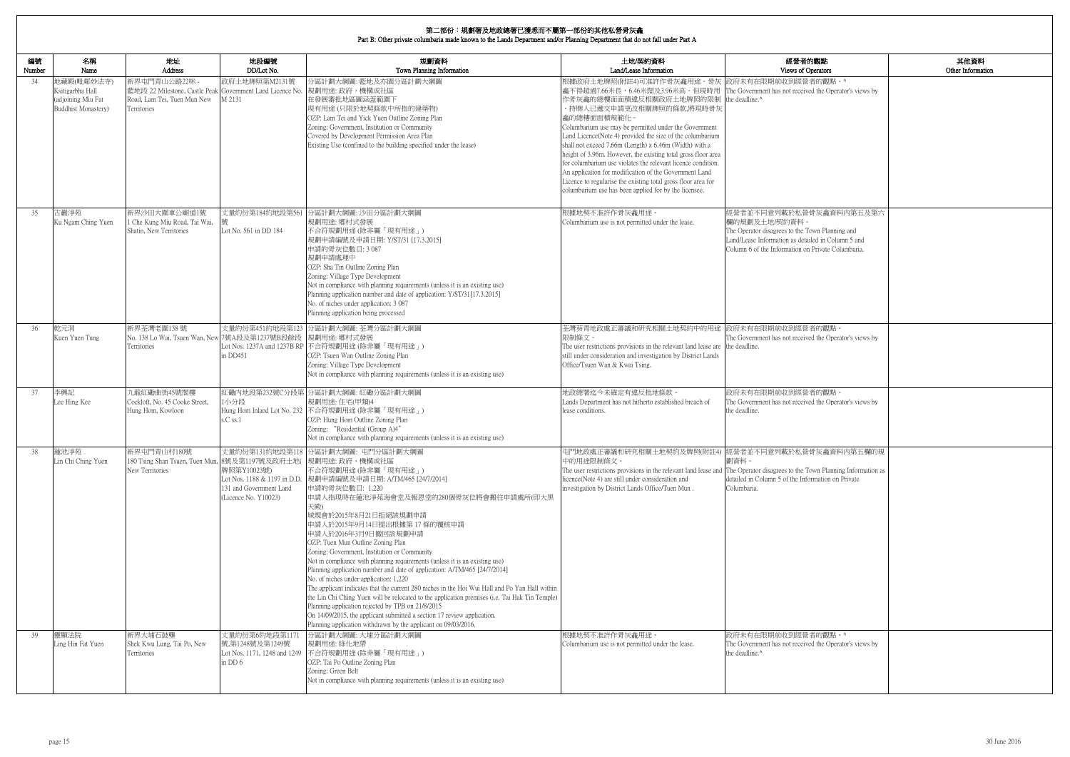Part B: Other private columbaria made known to the Lands Department and/or Planning Department that do not fall under Part A

| 的觀點                                           | 其他資料              |
|-----------------------------------------------|-------------------|
| perators                                      | Other Information |
| 者的觀點。^                                        |                   |
| ed the Operator's views by                    |                   |
|                                               |                   |
|                                               |                   |
|                                               |                   |
|                                               |                   |
|                                               |                   |
|                                               |                   |
|                                               |                   |
|                                               |                   |
| 骨灰龕資料内第五及第六                                   |                   |
| own Planning and                              |                   |
| iled in Column 5 and<br>1 Private Columbaria. |                   |
|                                               |                   |
|                                               |                   |
|                                               |                   |
|                                               |                   |
|                                               |                   |
| 者的觀點。                                         |                   |
| ed the Operator's views by                    |                   |
|                                               |                   |
|                                               |                   |
|                                               |                   |
| 者的觀點。<br>ed the Operator's views by           |                   |
|                                               |                   |
|                                               |                   |
|                                               |                   |
| 骨灰龕資料內第五欄的規                                   |                   |
| 'own Planning Information as                  |                   |
| ormation on Private                           |                   |
|                                               |                   |
|                                               |                   |
|                                               |                   |
|                                               |                   |
|                                               |                   |
|                                               |                   |
|                                               |                   |
|                                               |                   |
|                                               |                   |
|                                               |                   |
| 者的觀點。^                                        |                   |
| ed the Operator's views by                    |                   |
|                                               |                   |
|                                               |                   |
|                                               |                   |

 $\overline{\phantom{a}}$ 

| 編號<br>Number | 名稱<br>Name                                                                  | 地址<br>Address                                                                                                            | 地段編號<br>DD/Lot No.                                                                             | 規劃資料<br>Town Planning Information                                                                                                                                                                                                                                                                                                                                                                                                                                                                                                                                                                                                                                                                                                                                                                                                                                                                                                                   | 土地/契約資料<br>Land/Lease Information                                                                                                                                                                                                                                                                                                                                                                                                                                                                                                                                                                                                                                                                                 | 經營者的觀點<br>Views of Operators                                                                                                                                                                           |
|--------------|-----------------------------------------------------------------------------|--------------------------------------------------------------------------------------------------------------------------|------------------------------------------------------------------------------------------------|-----------------------------------------------------------------------------------------------------------------------------------------------------------------------------------------------------------------------------------------------------------------------------------------------------------------------------------------------------------------------------------------------------------------------------------------------------------------------------------------------------------------------------------------------------------------------------------------------------------------------------------------------------------------------------------------------------------------------------------------------------------------------------------------------------------------------------------------------------------------------------------------------------------------------------------------------------|-------------------------------------------------------------------------------------------------------------------------------------------------------------------------------------------------------------------------------------------------------------------------------------------------------------------------------------------------------------------------------------------------------------------------------------------------------------------------------------------------------------------------------------------------------------------------------------------------------------------------------------------------------------------------------------------------------------------|--------------------------------------------------------------------------------------------------------------------------------------------------------------------------------------------------------|
| 34           | 地藏殿(毗鄰妙法寺)<br>Ksitigarbha Hall<br>(adjoining Miu Fat<br>Buddhist Monastery) | 新界屯門青山公路22咪 -<br>藍地段 22 Milestone, Castle Peak Government Land Licence No.<br>Road, Lam Tei, Tuen Mun New<br>Territories | 政府土地牌照第M2131號<br>M 2131                                                                        | 分區計劃大綱圖: 藍地及亦園分區計劃大綱圖<br> 規劃用途: 政府、機構或社區<br>在發展審批地區圖涵蓋範圍下<br>現有用途(只限於地契條款中所指的建築物)<br>OZP: Lam Tei and Yick Yuen Outline Zoning Plan<br>Zoning: Government, Institution or Community<br>Covered by Development Permission Area Plan<br>Existing Use (confined to the building specified under the lease)                                                                                                                                                                                                                                                                                                                                                                                                                                                                                                                                                                                                                                             | 根據政府土地牌照(附註4)可准許作骨灰龕用途。骨灰 政府未有在限期前收到經營者的觀點。^<br>龕不得超過7.66米長,6.46米闊及3.96米高。但現時用 The Government has not received the Operator's views by<br>作骨灰龕的總樓面面積違反相關政府土地牌照的限制<br>。持牌人已遞交申請更改相關牌照的條款,將現時骨灰<br>龕的總樓面面積規範化。<br>Columbarium use may be permitted under the Government<br>Land Licence(Note 4) provided the size of the columbarium<br>shall not exceed 7.66m (Length) x 6.46m (Width) with a<br>height of 3.96m. However, the existing total gross floor area<br>for columbarium use violates the relevant licence condition.<br>An application for modification of the Government Land<br>Licence to regularise the existing total gross floor area for<br>columbarium use has been applied for by the licensee. | the deadline.^                                                                                                                                                                                         |
| 35           | 古巖淨苑<br>Ku Ngam Ching Yuen                                                  | 新界沙田大圍車公廟道1號<br>1 Che Kung Miu Road, Tai Wai,<br>Shatin, New Territories                                                 | 丈量約份第184約地段第561<br>Lot No. 561 in DD 184                                                       | 分區計劃大綱圖: 沙田分區計劃大綱圖<br>規劃用途: 鄉村式發展<br>不合符規劃用途(除非屬「現有用途」)<br>規劃申請編號及申請日期: Y/ST/31 [17.3.2015]<br>申請的骨灰位數目: 3087<br>規劃申請處理中<br>OZP: Sha Tin Outline Zoning Plan<br>Zoning: Village Type Development<br>Not in compliance with planning requirements (unless it is an existing use)<br>Planning application number and date of application: Y/ST/31[17.3.2015]<br>No. of niches under application: 3 087<br>Planning application being processed                                                                                                                                                                                                                                                                                                                                                                                                                                                                                                        | 根據地契不准許作骨灰龕用途。<br>Columbarium use is not permitted under the lease.                                                                                                                                                                                                                                                                                                                                                                                                                                                                                                                                                                                                                                               | 經營者並不同意列載於私營骨灰龕資料內第五及第六<br>欄的規劃及土地/契約資料<br>The Operator disagrees to the Town Planning and<br>Land/Lease Information as detailed in Column 5 and<br>Column 6 of the Information on Private Columbaria. |
| 36           | 乾元洞<br>Kuen Yuen Tung                                                       | 新界荃灣老圍138號<br>No. 138 Lo Wai, Tsuen Wan, New<br>Territories                                                              | 7號A段及第1237號B段餘段<br>in DD451                                                                    | 丈量約份第451約地段第123 分區計劃大綱圖: 荃灣分區計劃大綱圖<br>規劃用途: 鄉村式發展<br>Lot Nos. 1237A and 1237B RP 不合符規劃用途 (除非屬「現有用途」)<br>OZP: Tsuen Wan Outline Zoning Plan<br>Zoning: Village Type Development<br>Not in compliance with planning requirements (unless it is an existing use)                                                                                                                                                                                                                                                                                                                                                                                                                                                                                                                                                                                                                                                                                       | 荃灣葵青地政處正審議和研究相關土地契約中的用途 政府未有在限期前收到經營者的觀點。<br>限制條文。<br>The user restrictions provisions in the relevant land lease are the deadline.<br>still under consideration and investigation by District Lands<br>Office/Tsuen Wan & Kwai Tsing.                                                                                                                                                                                                                                                                                                                                                                                                                                                                            | The Government has not received the Operator's views by                                                                                                                                                |
| 37           | 李興記<br>Lee Hing Kee                                                         | 九龍紅磡曲街45號閣樓<br>Cockloft, No. 45 Cooke Street,<br>Hung Hom, Kowloon                                                       | 1小分段<br>s.C ss.1                                                                               | 紅磡內地段第232號C分段第 分區計劃大綱圖: 紅磡分區計劃大綱圖<br>規劃用途:住宅(甲類)4<br>Hung Hom Inland Lot No. 232 不合符規劃用途 (除非屬「現有用途」)<br>OZP: Hung Hom Outline Zoning Plan<br>Zoning: "Residential (Group A)4"<br>Not in compliance with planning requirements (unless it is an existing use)                                                                                                                                                                                                                                                                                                                                                                                                                                                                                                                                                                                                                                                                                        | 地政總署迄今未確定有違反批地條款。<br>Lands Department has not hitherto established breach of<br>lease conditions.                                                                                                                                                                                                                                                                                                                                                                                                                                                                                                                                                                                                                 | 政府未有在限期前收到經營者的觀點。<br>The Government has not received the Operator's views by<br>the deadline.                                                                                                          |
| 38           | 蓮池淨苑<br>Lin Chi Ching Yuen                                                  | 新界屯門青山村180號<br>180 Tsing Shan Tsuen, Tuen Mun, 8號及第1197號及政府土地( 規劃用途: 政府、機構或社區<br>New Territories                         | 牌照第Y10023號)<br>Lot Nos. 1188 & 1197 in D.D.<br>131 and Government Land<br>(Licence No. Y10023) | 丈量約份第131約地段第118 分區計劃大綱圖: 屯門分區計劃大綱圖<br>不合符規劃用途(除非屬「現有用途」)<br>規劃申請編號及申請日期: A/TM/465 [24/7/2014]<br>申請的骨灰位數目: 1,220<br> 申請人指現時在蓮池淨苑海會堂及報恩堂的280個骨灰位將會搬往申請處所(即大黑<br>天殿)<br>城規會於2015年8月21日拒絕該規劃申請<br>申請人於2015年9月14日提出根據第17條的覆核申請<br>申請人於2016年3月9日撤回該規劃申請<br>OZP: Tuen Mun Outline Zoning Plan<br>Zoning: Government, Institution or Community<br>Not in compliance with planning requirements (unless it is an existing use)<br>Planning application number and date of application: A/TM/465 [24/7/2014]<br>No. of niches under application: 1,220<br>The applicant indicates that the current 280 niches in the Hoi Wui Hall and Po Yan Hall within<br>the Lin Chi Ching Yuen will be relocated to the application premises (i.e. Tai Hak Tin Temple)<br>Planning application rejected by TPB on 21/8/2015<br>On 14/09/2015, the applicant submitted a section 17 review application.<br>Planning application withdrawn by the applicant on 09/03/2016. | 屯門地政處正審議和研究相關土地契約及牌照(附註4) 經營者並不同意列載於私營骨灰龕資料內第五欄的規<br>中的用途限制條文。<br>The user restrictions provisions in the relevant land lease and The Operator disagrees to the Town Planning Information as<br>licence(Note 4) are still under consideration and<br>investigation by District Lands Office/Tuen Mun.                                                                                                                                                                                                                                                                                                                                                                                                             | 劃資料。<br>detailed in Column 5 of the Information on Private<br>Columbaria.                                                                                                                              |
| 39           | 靈顯法院<br>Ling Hin Fat Yuen                                                   | 新界大埔石鼓壟<br>Shek Kwu Lung, Tai Po, New<br>Territories                                                                     | 丈量約份第6約地段第117<br>號,第1248號及第1249號<br>Lot Nos. 1171, 1248 and 1249<br>in DD 6                    | 分區計劃大綱圖: 大埔分區計劃大綱圖<br>規劃用途: 綠化地帶<br> 不合符規劃用途(除非屬「現有用途」)<br>OZP: Tai Po Outline Zoning Plan<br>Zoning: Green Belt<br>Not in compliance with planning requirements (unless it is an existing use)                                                                                                                                                                                                                                                                                                                                                                                                                                                                                                                                                                                                                                                                                                                                                     | 根據地契不准許作骨灰龕用途。<br>Columbarium use is not permitted under the lease.                                                                                                                                                                                                                                                                                                                                                                                                                                                                                                                                                                                                                                               | 政府未有在限期前收到經營者的觀點。^<br>The Government has not received the Operator's views by<br>the deadline.^                                                                                                        |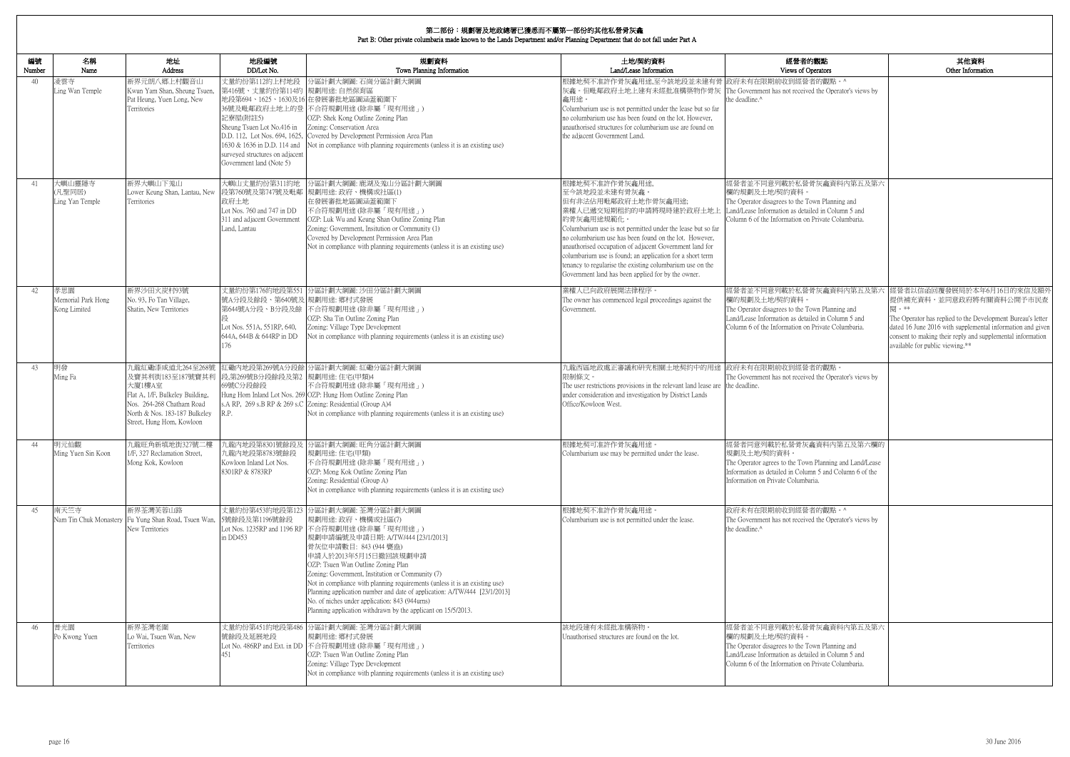| 的觀點<br>)perators                                                                  | 其他資料<br>Other Information                                                                                                                                                                                                                                                                  |
|-----------------------------------------------------------------------------------|--------------------------------------------------------------------------------------------------------------------------------------------------------------------------------------------------------------------------------------------------------------------------------------------|
| 者的觀點。^<br>ed the Operator's views by                                              |                                                                                                                                                                                                                                                                                            |
| 骨灰龕資料内第五及第六                                                                       |                                                                                                                                                                                                                                                                                            |
| 'own Planning and<br>iled in Column 5 and<br>1 Private Columbaria.                |                                                                                                                                                                                                                                                                                            |
| 骨灰龕資料内第五及第六<br>'own Planning and<br>iled in Column 5 and<br>1 Private Columbaria. | 經營者以信函回覆發展局於本年6月16日的來信及額外<br>提供補充資料,並同意政府將有關資料公開予市民查<br>閱。**<br>The Operator has replied to the Development Bureau's letter<br>dated 16 June 2016 with supplemental information and given<br>consent to making their reply and supplemental information<br>available for public viewing.** |
| 者的觀點。<br>ed the Operator's views by                                               |                                                                                                                                                                                                                                                                                            |
| 龕資料內第五及第六欄的<br>n Planning and Land/Lease<br>mn 5 and Column 6 of the<br>aria.     |                                                                                                                                                                                                                                                                                            |
| 者的觀點。^<br>ed the Operator's views by                                              |                                                                                                                                                                                                                                                                                            |
| 骨灰龕資料内第五及第六<br>'own Planning and<br>iled in Column 5 and<br>1 Private Columbaria. |                                                                                                                                                                                                                                                                                            |

| 編號<br>Number | 名稱<br>Name                                | 地址<br>Address                                                                                                                                                                                              | 地段編號<br>DD/Lot No.                                                                                                                                                                   | 規劃資料<br>Town Planning Information                                                                                                                                                                                                                                                                                                                                                                                                                                                                                                                                            | 土地/契約資料<br>Land/Lease Information                                                                                                                                                                                                                                                                                                                                                                                                                                   | 經營者的觀點<br>Views of Operators                                                                                                                                                                            |
|--------------|-------------------------------------------|------------------------------------------------------------------------------------------------------------------------------------------------------------------------------------------------------------|--------------------------------------------------------------------------------------------------------------------------------------------------------------------------------------|------------------------------------------------------------------------------------------------------------------------------------------------------------------------------------------------------------------------------------------------------------------------------------------------------------------------------------------------------------------------------------------------------------------------------------------------------------------------------------------------------------------------------------------------------------------------------|---------------------------------------------------------------------------------------------------------------------------------------------------------------------------------------------------------------------------------------------------------------------------------------------------------------------------------------------------------------------------------------------------------------------------------------------------------------------|---------------------------------------------------------------------------------------------------------------------------------------------------------------------------------------------------------|
| 40           | 凌雲寺<br>Ling Wan Temple                    | 新界元朗八鄉上村觀音山<br>Kwun Yam Shan, Sheung Tsuen,<br>Pat Heung, Yuen Long, New<br>Territories                                                                                                                    | 丈量約份第112約上村地段<br>第416號、丈量約份第114約 規劃用途: 自然保育區<br>記寮屋(附註5)<br>Sheung Tsuen Lot No.416 in<br>1630 & 1636 in D.D. 114 and<br>surveyed structures on adjacent<br>Government land (Note 5) | 分區計劃大綱圖: 石崗分區計劃大綱圖<br>地段第694、1625、1630及16 在發展審批地區圖涵蓋範圍下<br>36號及毗鄰政府土地上的登 不合符規劃用途(除非屬「現有用途」)<br>OZP: Shek Kong Outline Zoning Plan<br>Zoning: Conservation Area<br>D.D. 112, Lot Nos. 694, 1625, Covered by Development Permission Area Plan<br>Not in compliance with planning requirements (unless it is an existing use)                                                                                                                                                                                                                                                   | 根據地契不准許作骨灰龕用途,至今該地段並未建有骨 政府未有在限期前收到經營者的觀點。^<br>灰龕。但毗鄰政府土地上建有未經批准構築物作骨灰 The Government has not received the Operator's views by<br>龕用途。<br>Columbarium use is not permitted under the lease but so far<br>no columbarium use has been found on the lot. However,<br>unauthorised structures for columbarium use are found on<br>the adjacent Government Land.                                                                                                        | the deadline. <sup>^</sup>                                                                                                                                                                              |
| 41           | 大嶼山靈隱寺<br>(凡聖同居)<br>Ling Yan Temple       | 新界大嶼山下羗山<br>Lower Keung Shan, Lantau, New<br>Territories                                                                                                                                                   | 大嶼山丈量約份第311約地<br>政府土地<br>Lot Nos. 760 and 747 in DD<br>311 and adjacent Government<br>Land, Lantau                                                                                   | 分區計劃大綱圖: 鹿湖及羗山分區計劃大綱圖<br>段第760號及第747號及毗鄰 規劃用途: 政府、機構或社區(1)<br>在發展審批地區圖涵蓋範圍下<br>不合符規劃用途(除非屬「現有用途」)<br>OZP: Luk Wu and Keung Shan Outline Zoning Plan<br>Zoning: Government, Insitution or Community (1)<br>Covered by Development Permission Area Plan<br>Not in compliance with planning requirements (unless it is an existing use)                                                                                                                                                                                                                                         | 根據地契不准許作骨灰龕用途,<br>至今該地段並未建有骨灰龕。<br>但有非法佔用毗鄰政府土地作骨灰龕用途;<br>業權人已遞交短期租約的申請將現時建於政府土地上<br>的骨灰龕用途規範化。<br>Columbarium use is not permitted under the lease but so far<br>no columbarium use has been found on the lot. However,<br>unauthorised occupation of adjacent Government land for<br>columbarium use is found; an application for a short term<br>tenancy to regularise the existing columbarium use on the<br>Government land has been applied for by the owner. | 經營者並不同意列載於私營骨灰龕資料內第五及第六<br>欄的規劃及土地/契約資料<br>The Operator disagrees to the Town Planning and<br>Land/Lease Information as detailed in Column 5 and<br>Column 6 of the Information on Private Columbaria.  |
| 42           | 孝思園<br>Memorial Park Hong<br>Kong Limited | 新界沙田火炭村93號<br>No. 93, Fo Tan Village,<br>Shatin, New Territories                                                                                                                                           | 號A分段及餘段、第640號及 規劃用途: 鄉村式發展<br>Lot Nos. 551A, 551RP, 640,<br>644A, 644B & 644RP in DD<br>176                                                                                          | 丈量約份第176約地段第551 分區計劃大綱圖: 沙田分區計劃大綱圖<br>第644號A分段、B分段及餘 不合符規劃用途 (除非屬「現有用途」)<br>OZP: Sha Tin Outline Zoning Plan<br>Zoning: Village Type Development<br>Not in compliance with planning requirements (unless it is an existing use)                                                                                                                                                                                                                                                                                                                                              | 業權人已向政府展開法律程序。<br>The owner has commenced legal proceedings against the<br>Government.                                                                                                                                                                                                                                                                                                                                                                              | 經營者並不同意列載於私營骨灰龕資料內第五及第六<br>欄的規劃及土地/契約資料<br>The Operator disagrees to the Town Planning and<br>Land/Lease Information as detailed in Column 5 and<br>Column 6 of the Information on Private Columbaria.  |
| 43           | 明發<br>Ming Fa                             | 九龍紅磡漆咸道北264至268號<br>及寶其利街183至187號寶其利 段,第269號B分段餘段及第2 規劃用途: 住宅(甲類)4<br>大廈1樓A室<br>Flat A, 1/F, Bulkeley Building,<br>Nos. 264-268 Chatham Road<br>North & Nos. 183-187 Bulkeley<br>Street, Hung Hom, Kowloon | 69號C分段餘段<br>R.P.                                                                                                                                                                     | 紅磡內地段第269號A分段餘 分區計劃大綱圖: 紅磡分區計劃大綱圖<br>不合符規劃用途(除非屬「現有用途」)<br>Hung Hom Inland Lot Nos. 269 OZP: Hung Hom Outline Zoning Plan<br>s.A RP, 269 s.B RP & 269 s.C Zoning: Residential (Group A)4<br>Not in compliance with planning requirements (unless it is an existing use)                                                                                                                                                                                                                                                                                                      | 九龍西區地政處正審議和研究相關土地契約中的用途  政府未有在限期前收到經營者的觀點。<br>限制條文。<br>The user restrictions provisions in the relevant land lease are the deadline.<br>under consideration and investigation by District Lands<br>Office/Kowloon West.                                                                                                                                                                                                                                             | The Government has not received the Operator's views by                                                                                                                                                 |
| 44           | 明元仙觀<br>Ming Yuen Sin Koon                | 九龍旺角新填地街327號二樓<br>$1/F$ , 327 Reclamation Street,<br>Mong Kok, Kowloon                                                                                                                                     | 九龍內地段第8783號餘段<br>Kowloon Inland Lot Nos.<br>8301RP & 8783RP                                                                                                                          | 九龍內地段第8301號餘段及 分區計劃大綱圖: 旺角分區計劃大綱圖<br> 規劃用途: 住宅(甲類)<br>不合符規劃用途(除非屬「現有用途」)<br>OZP: Mong Kok Outline Zoning Plan<br>Zoning: Residential (Group A)<br>Not in compliance with planning requirements (unless it is an existing use)                                                                                                                                                                                                                                                                                                                                                | 根據地契可准許作骨灰龕用途<br>Columbarium use may be permitted under the lease.                                                                                                                                                                                                                                                                                                                                                                                                  | 經營者同意列載於私營骨灰龕資料內第五及第六欄的<br>規劃及土地/契約資料。<br>The Operator agrees to the Town Planning and Land/Lease<br>Information as detailed in Column 5 and Column 6 of the<br>Information on Private Columbaria.      |
| 45           | 南天竺寺                                      | 新界荃灣芙蓉山路<br>Nam Tin Chuk Monastery Fu Yung Shan Road, Tsuen Wan,<br>New Territories                                                                                                                        | 5號餘段及第1196號餘段<br>in DD453                                                                                                                                                            | 丈量約份第453約地段第123 分區計劃大綱圖: 荃灣分區計劃大綱圖<br>規劃用途: 政府、機構或社區(7)<br>Lot Nos. 1235RP and 1196 RP 不合符規劃用途 (除非屬「現有用途」)<br> 規劃申請編號及申請日期: A/TW/444 [23/1/2013] <br>骨灰位申請數目: 843 (944 甕盎)<br>申請人於2013年5月15日撤回該規劃申請<br>OZP: Tsuen Wan Outline Zoning Plan<br>Zoning: Government, Institution or Community (7)<br>Not in compliance with planning requirements (unless it is an existing use)<br>Planning application number and date of application: A/TW/444 [23/1/2013]<br>No. of niches under application: 843 (944urns)<br>Planning application withdrawn by the applicant on 15/5/2013. | 根據地契不准許作骨灰龕用途。<br>Columbarium use is not permitted under the lease.                                                                                                                                                                                                                                                                                                                                                                                                 | 政府未有在限期前收到經營者的觀點。^<br>The Government has not received the Operator's views by<br>the deadline. <sup>^</sup>                                                                                             |
| 46           | 普光園<br>Po Kwong Yuen                      | 新界荃灣老圍<br>Lo Wai, Tsuen Wan, New<br>Territories                                                                                                                                                            | 號餘段及延展地段<br>451                                                                                                                                                                      | 丈量約份第451約地段第486 分區計劃大綱圖: 荃灣分區計劃大綱圖<br>規劃用途: 鄉村式發展<br>Lot No. 486RP and Ext. in DD 不合符規劃用途 (除非屬「現有用途」)<br>OZP: Tsuen Wan Outline Zoning Plan<br>Zoning: Village Type Development<br>Not in compliance with planning requirements (unless it is an existing use)                                                                                                                                                                                                                                                                                                               | 該地段建有未經批准構築物。<br>Unauthorised structures are found on the lot.                                                                                                                                                                                                                                                                                                                                                                                                      | 經營者並不同意列載於私營骨灰龕資料內第五及第六<br>欄的規劃及土地/契約資料。<br>The Operator disagrees to the Town Planning and<br>Land/Lease Information as detailed in Column 5 and<br>Column 6 of the Information on Private Columbaria. |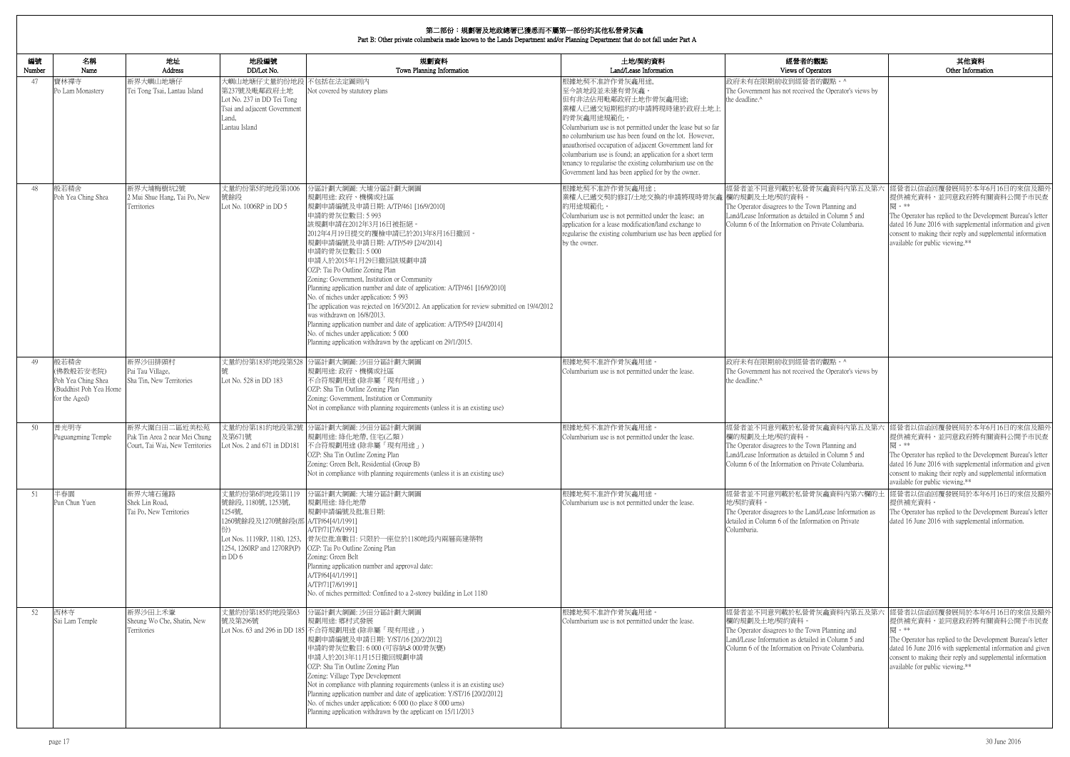| 編號<br>Number | 名稱<br>Name                                                                         | 地址<br><b>Address</b>                                                             | 地段編號<br>DD/Lot No.                                                                                                                                                    | 規劃資料<br>Town Planning Information                                                                                                                                                                                                                                                                                                                                                                                                                                                                                                                                                                                                                                                                                                                                     | 土地/契約資料<br>Land/Lease Information                                                                                                                                                                                                                                                                                                                                                                                                                                   | 經營者的觀點<br>Views of Operators                                                                                                                                                                            |
|--------------|------------------------------------------------------------------------------------|----------------------------------------------------------------------------------|-----------------------------------------------------------------------------------------------------------------------------------------------------------------------|-----------------------------------------------------------------------------------------------------------------------------------------------------------------------------------------------------------------------------------------------------------------------------------------------------------------------------------------------------------------------------------------------------------------------------------------------------------------------------------------------------------------------------------------------------------------------------------------------------------------------------------------------------------------------------------------------------------------------------------------------------------------------|---------------------------------------------------------------------------------------------------------------------------------------------------------------------------------------------------------------------------------------------------------------------------------------------------------------------------------------------------------------------------------------------------------------------------------------------------------------------|---------------------------------------------------------------------------------------------------------------------------------------------------------------------------------------------------------|
| 47           | 寶林禪寺<br>Po Lam Monastery                                                           | 新界大嶼山地塘仔<br>Tei Tong Tsai, Lantau Island                                         | 大嶼山地塘仔丈量約份地段 不包括在法定圖則內<br>第237號及毗鄰政府土地<br>Lot No. 237 in DD Tei Tong<br>Tsai and adjacent Government<br>Land,<br>Lantau Island                                        | Not covered by statutory plans                                                                                                                                                                                                                                                                                                                                                                                                                                                                                                                                                                                                                                                                                                                                        | 根據地契不准許作骨灰龕用途,<br>至今該地段並未建有骨灰龕。<br>但有非法佔用毗鄰政府土地作骨灰龕用途;<br>業權人已遞交短期租約的申請將現時建於政府土地上<br>的骨灰龕用途規範化。<br>Columbarium use is not permitted under the lease but so far<br>no columbarium use has been found on the lot. However,<br>unauthorised occupation of adjacent Government land for<br>columbarium use is found; an application for a short term<br>tenancy to regularise the existing columbarium use on the<br>Government land has been applied for by the owner. | 政府未有在限期前收到經營者的觀點。^<br>The Government has not received the Operator's views by<br>the deadline. <sup>^</sup>                                                                                             |
| 48           | 般若精舍<br>Poh Yea Ching Shea                                                         | 新界大埔梅樹坑2號<br>2 Mui Shue Hang, Tai Po, New<br>Territories                         | 丈量約份第5約地段第1006<br>號餘段<br>Lot No. 1006RP in DD 5                                                                                                                       | 分區計劃大綱圖: 大埔分區計劃大綱圖<br>規劃用途: 政府、機構或社區<br>規劃申請編號及申請日期: A/TP/461 [16/9/2010]<br>申請的骨灰位數目: 5 993<br>該規劃申請在2012年3月16日被拒絕。<br>2012年4月19日提交的覆檢申請已於2013年8月16日撤回。<br>規劃申請編號及申請日期: A/TP/549 [2/4/2014]<br>申請的骨灰位數目:5000<br>申請人於2015年1月29日撤回該規劃申請<br>OZP: Tai Po Outline Zoning Plan<br>Zoning: Government, Institution or Community<br>Planning application number and date of application: A/TP/461 [16/9/2010]<br>No. of niches under application: 5 993<br>The application was rejected on 16/3/2012. An application for review submitted on 19/4/2012<br>was withdrawn on 16/8/2013.<br>Planning application number and date of application: A/TP/549 [2/4/2014]<br>No. of niches under application: 5 000<br>Planning application withdrawn by the applicant on 29/1/2015. | 根據地契不准許作骨灰龕用途;<br>業權人已遞交契約修訂/土地交換的申請將現時骨灰龕 欄的規劃及土地/契約資料<br>的用途規範化。<br>Columbarium use is not permitted under the lease; an<br>application for a lease modification/land exchange to<br>regularise the existing columbarium use has been applied for<br>by the owner.                                                                                                                                                                                                | 經營者並不同意列載於私營骨灰龕資料內第五及第六<br>The Operator disagrees to the Town Planning and<br>Land/Lease Information as detailed in Column 5 and<br>Column 6 of the Information on Private Columbaria.                  |
| 49           | 般若精舍<br>(佛教般若安老院)<br>Poh Yea Ching Shea<br>(Buddhist Poh Yea Home<br>for the Aged) | 新界沙田排頭村<br>Pai Tau Village,<br>Sha Tin, New Territories                          | Lot No. 528 in DD 183                                                                                                                                                 | 丈量約份第183約地段第528 分區計劃大綱圖: 沙田分區計劃大綱圖<br>規劃用途:政府、機構或社區<br>不合符規劃用途 (除非屬「現有用途」)<br>OZP: Sha Tin Outline Zoning Plan<br>Zoning: Government, Institution or Community<br>Not in compliance with planning requirements (unless it is an existing use)                                                                                                                                                                                                                                                                                                                                                                                                                                                                                                                         | 根據地契不准許作骨灰龕用途。<br>Columbarium use is not permitted under the lease.                                                                                                                                                                                                                                                                                                                                                                                                 | 政府未有在限期前收到經營者的觀點。^<br>The Government has not received the Operator's views by<br>the deadline. <sup>^</sup>                                                                                             |
| 50           | 普光明寺<br>Puguangming Temple                                                         | 新界大圍白田二區近美松苑<br>Pak Tin Area 2 near Mei Chung<br>Court, Tai Wai, New Territories | 及第671號<br>Lot Nos. 2 and 671 in DD181                                                                                                                                 | 丈量約份第181約地段第2號 分區計劃大綱圖: 沙田分區計劃大綱圖<br>規劃用途: 綠化地帶, 住宅(乙類)<br>不合符規劃用途 (除非屬「現有用途」)<br>OZP: Sha Tin Outline Zoning Plan<br>Zoning: Green Belt, Residential (Group B)<br>Not in compliance with planning requirements (unless it is an existing use)                                                                                                                                                                                                                                                                                                                                                                                                                                                                                                                        | 根據地契不准許作骨灰龕用途。<br>Columbarium use is not permitted under the lease.                                                                                                                                                                                                                                                                                                                                                                                                 | 經營者並不同意列載於私營骨灰龕資料內第五及第六<br>欄的規劃及土地/契約資料<br>The Operator disagrees to the Town Planning and<br>Land/Lease Information as detailed in Column 5 and<br>Column 6 of the Information on Private Columbaria.  |
| 51           | 半春園<br>Pun Chun Yuen                                                               | 新界大埔石蓮路<br>Shek Lin Road,<br>Tai Po, New Territories                             | 丈量約份第6約地段第1119<br>號餘段, 1180號, 1253號,<br>1254號,<br> 1260號餘段及1270號餘段(部 A/TP/64[4/1/1991]<br>份)<br>Lot Nos. 1119RP, 1180, 1253,<br>1254, 1260RP and 1270RP(P)<br>in DD 6 | 分區計劃大綱圖: 大埔分區計劃大綱圖<br>規劃用途: 綠化地帶<br>規劃申請編號及批准日期:<br>A/TP/71[7/6/1991]<br>骨灰位批准數目:只限於一座位於1180地段內兩層高建築物<br>OZP: Tai Po Outline Zoning Plan<br>Zoning: Green Belt<br>Planning application number and approval date:<br>A/TP/64[4/1/1991]<br>A/TP/71[7/6/1991]<br>No. of niches permitted: Confined to a 2-storey building in Lot 1180                                                                                                                                                                                                                                                                                                                                                                                                                                    | 根據地契不准許作骨灰龕用途。<br>Columbarium use is not permitted under the lease.                                                                                                                                                                                                                                                                                                                                                                                                 | 經營者並不同意列載於私營骨灰龕資料內第六欄的土<br>地/契約資料。<br>The Operator disagrees to the Land/Lease Information as<br>detailed in Column 6 of the Information on Private<br>Columbaria.                                      |
| 52           | 西林寺<br>Sai Lam Temple                                                              | 新界沙田上禾輋<br>Sheung Wo Che, Shatin, New<br>Territories                             | 丈量約份第185約地段第63<br>號及第296號                                                                                                                                             | 分區計劃大綱圖: 沙田分區計劃大綱圖<br>規劃用途: 鄉村式發展<br>Lot Nos. 63 and 296 in DD 185 不合符規劃用途 (除非屬「現有用途」)<br>規劃申請編號及申請日期: Y/ST/16 [20/2/2012]<br>申請的骨灰位數目: 6 000 (可容納-8 000骨灰甕)<br>申請人於2013年11月15日撤回規劃申請<br>OZP: Sha Tin Outline Zoning Plan<br>Zoning: Village Type Development<br>Not in compliance with planning requirements (unless it is an existing use)<br>Planning application number and date of application: Y/ST/16 [20/2/2012]<br>No. of niches under application: 6 000 (to place 8 000 urns)<br>Planning application withdrawn by the applicant on 15/11/2013                                                                                                                                                                                                             | 根據地契不准許作骨灰龕用途。<br>Columbarium use is not permitted under the lease.                                                                                                                                                                                                                                                                                                                                                                                                 | 經營者並不同意列載於私營骨灰龕資料內第五及第六<br>欄的規劃及土地/契約資料。<br>The Operator disagrees to the Town Planning and<br>Land/Lease Information as detailed in Column 5 and<br>Column 6 of the Information on Private Columbaria. |

| <b>付観點</b><br>)perators                                                        | 其他資料<br>Other Information                                                                                                                                                                                                                                                                   |
|--------------------------------------------------------------------------------|---------------------------------------------------------------------------------------------------------------------------------------------------------------------------------------------------------------------------------------------------------------------------------------------|
| 者的觀點。^<br>ed the Operator's views by                                           |                                                                                                                                                                                                                                                                                             |
|                                                                                |                                                                                                                                                                                                                                                                                             |
| 骨灰龕資料内第五及第六<br>own Planning and<br>iled in Column 5 and<br>Private Columbaria. | 經營者以信函回覆發展局於本年6月16日的來信及額外<br>提供補充資料,並同意政府將有關資料公開予市民查<br>閱。**<br>The Operator has replied to the Development Bureau's letter<br>dated 16 June 2016 with supplemental information and given<br>consent to making their reply and supplemental information<br>available for public viewing.**  |
| 者的觀點。^                                                                         |                                                                                                                                                                                                                                                                                             |
| ed the Operator's views by                                                     |                                                                                                                                                                                                                                                                                             |
| 骨灰龕資料内第五及第六<br>own Planning and<br>iled in Column 5 and<br>Private Columbaria. | 經營者以信函回覆發展局於本年6月16日的來信及額外<br>提供補充資料,並同意政府將有關資料公開予市民查<br>閣 。**<br>The Operator has replied to the Development Bureau's letter<br>dated 16 June 2016 with supplemental information and given<br>consent to making their reply and supplemental information<br>available for public viewing.** |
| 骨灰龕資料内第六欄的土<br>and/Lease Information as<br>ormation on Private                 | 經營者以信函回覆發展局於本年6月16日的來信及額外<br>提供補充資料。<br>The Operator has replied to the Development Bureau's letter<br>dated 16 June 2016 with supplemental information.                                                                                                                                    |
|                                                                                |                                                                                                                                                                                                                                                                                             |
| 骨灰龕資料内第五及第六<br>own Planning and<br>iled in Column 5 and<br>Private Columbaria. | 經營者以信函回覆發展局於本年6月16日的來信及額外<br>提供補充資料,並同意政府將有關資料公開予市民查<br>閱。**<br>The Operator has replied to the Development Bureau's letter<br>dated 16 June 2016 with supplemental information and given<br>consent to making their reply and supplemental information<br>available for public viewing.**  |
|                                                                                |                                                                                                                                                                                                                                                                                             |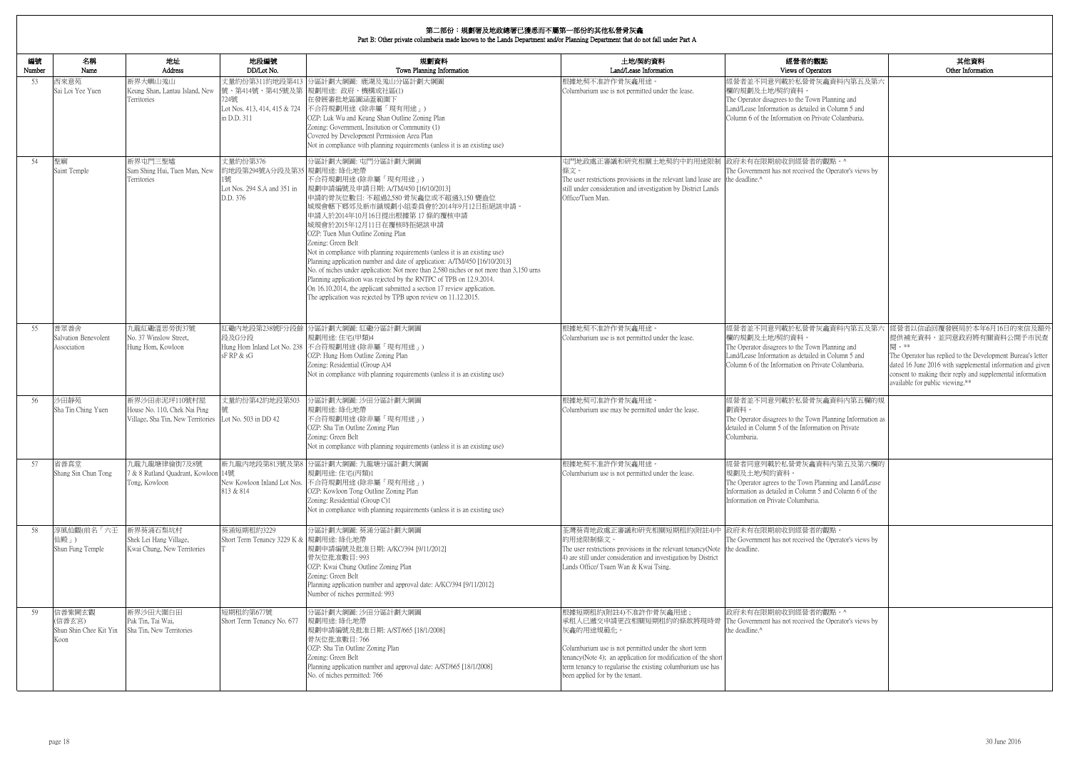| <b>内観點</b><br>perators                                                         | 其他資料<br>Other Information                                                                                                                                                                                                                                                                  |
|--------------------------------------------------------------------------------|--------------------------------------------------------------------------------------------------------------------------------------------------------------------------------------------------------------------------------------------------------------------------------------------|
| 骨灰龕資料内第五及第六                                                                    |                                                                                                                                                                                                                                                                                            |
| own Planning and<br>iled in Column 5 and<br>Private Columbaria.                |                                                                                                                                                                                                                                                                                            |
|                                                                                |                                                                                                                                                                                                                                                                                            |
| 者的觀點。^<br>ed the Operator's views by                                           |                                                                                                                                                                                                                                                                                            |
|                                                                                |                                                                                                                                                                                                                                                                                            |
|                                                                                |                                                                                                                                                                                                                                                                                            |
|                                                                                |                                                                                                                                                                                                                                                                                            |
|                                                                                |                                                                                                                                                                                                                                                                                            |
| 骨灰龕資料内第五及第六<br>own Planning and<br>iled in Column 5 and<br>Private Columbaria. | 經營者以信函回覆發展局於本年6月16日的來信及額外<br>提供補充資料,並同意政府將有關資料公開予市民查<br>閱。**<br>The Operator has replied to the Development Bureau's letter<br>dated 16 June 2016 with supplemental information and given<br>consent to making their reply and supplemental information<br>available for public viewing.** |
| 骨灰龕資料內第五欄的規                                                                    |                                                                                                                                                                                                                                                                                            |
| own Planning Information as<br>ormation on Private                             |                                                                                                                                                                                                                                                                                            |
| 龕資料內第五及第六欄的                                                                    |                                                                                                                                                                                                                                                                                            |
| n Planning and Land/Lease<br>nn 5 and Column 6 of the<br>aria.                 |                                                                                                                                                                                                                                                                                            |
| 者的觀點。<br>ed the Operator's views by                                            |                                                                                                                                                                                                                                                                                            |
|                                                                                |                                                                                                                                                                                                                                                                                            |
| 者的觀點。^<br>ed the Operator's views by                                           |                                                                                                                                                                                                                                                                                            |
|                                                                                |                                                                                                                                                                                                                                                                                            |

| 編號<br>Number | 名稱<br>Name                                         | 地址<br><b>Address</b>                                                               | 地段編號<br>DD/Lot No.                                                                      | 規劃資料<br>Town Planning Information                                                                                                                                                                                                                                                                                                                                                                                                                                                                                                                                                                                                                                                                                                                                  | 土地/契約資料<br>Land/Lease Information                                                                                                                                                                                                                                                                                                                 | 經營者的觀點<br>Views of Operators                                                                                                                                                                            |
|--------------|----------------------------------------------------|------------------------------------------------------------------------------------|-----------------------------------------------------------------------------------------|--------------------------------------------------------------------------------------------------------------------------------------------------------------------------------------------------------------------------------------------------------------------------------------------------------------------------------------------------------------------------------------------------------------------------------------------------------------------------------------------------------------------------------------------------------------------------------------------------------------------------------------------------------------------------------------------------------------------------------------------------------------------|---------------------------------------------------------------------------------------------------------------------------------------------------------------------------------------------------------------------------------------------------------------------------------------------------------------------------------------------------|---------------------------------------------------------------------------------------------------------------------------------------------------------------------------------------------------------|
| 53           | 西來意苑<br>Sai Loi Yee Yuen                           | 新界大嶼山羗山<br>Keung Shan, Lantau Island, New<br>Territories                           | 724號<br>Lot Nos. 413, 414, 415 & 724<br>in D.D. 311                                     | 丈量約份第311約地段第413 分區計劃大綱圖: 鹿湖及羗山分區計劃大綱圖<br> 號、第414號、第415號及第  規劃用途: 政府、機構或社區(1)<br>在發展審批地區圖涵蓋範圍下<br>不合符規劃用途 (除非屬「現有用途」)<br>OZP: Luk Wu and Keung Shan Outline Zoning Plan<br>Zoning: Government, Insitution or Community (1)<br>Covered by Development Permission Area Plan<br>Not in compliance with planning requirements (unless it is an existing use)                                                                                                                                                                                                                                                                                                                                                                                                            | 根據地契不准許作骨灰龕用途。<br>Columbarium use is not permitted under the lease.                                                                                                                                                                                                                                                                               | 經營者並不同意列載於私營骨灰龕資料內第五及第六<br>欄的規劃及土地/契約資料。<br>The Operator disagrees to the Town Planning and<br>Land/Lease Information as detailed in Column 5 and<br>Column 6 of the Information on Private Columbaria. |
| 54           | 聖廟<br>Saint Temple                                 | 新界屯門三聖墟<br>Sam Shing Hui, Tuen Mun, New<br>Territories                             | 丈量約份第376<br>約地段第294號A分段及第35 規劃用途: 綠化地帶<br>1號<br>Lot Nos. 294 S.A and 351 in<br>D.D. 376 | 分區計劃大綱圖: 屯門分區計劃大綱圖<br>不合符規劃用途(除非屬「現有用途」)<br> 規劃申請編號及申請日期: A/TM/450 [16/10/2013]<br> 申請的骨灰位數目: 不超過2,580 骨灰龕位或不超過3,150 甕盎位<br>城規會轄下鄉郊及新市鎮規劃小組委員會於2014年9月12日拒絕該申請。<br>申請人於2014年10月16日提出根據第17條的覆核申請<br>城規會於2015年12月11日在覆核時拒絕該申請<br>OZP: Tuen Mun Outline Zoning Plan<br>Zoning: Green Belt<br>Not in compliance with planning requirements (unless it is an existing use)<br>Planning application number and date of application: A/TM/450 [16/10/2013]<br>No. of niches under application: Not more than 2,580 niches or not more than 3,150 urns<br>Planning application was rejected by the RNTPC of TPB on 12.9.2014.<br>On 16.10.2014, the applicant submitted a section 17 review application.<br>The application was rejected by TPB upon review on 11.12.2015. | 屯門地政處正審議和研究相關土地契約中的用途限制<br>條文。<br>The user restrictions provisions in the relevant land lease are the deadline.^<br>still under consideration and investigation by District Lands<br>Office/Tuen Mun.                                                                                                                                             | 政府未有在限期前收到經營者的觀點。^<br>The Government has not received the Operator's views by                                                                                                                           |
| 55           | 普眾善舍<br>Salvation Benevolent<br>Association        | 九龍紅磡溫思勞街37號<br>No. 37 Winslow Street,<br>Hung Hom, Kowloon                         | 段及G分段<br>sFRP & sG                                                                      | 紅磡內地段第238號F分段餘 分區計劃大綱圖: 紅磡分區計劃大綱圖<br>規劃用途:住宅(甲類)4<br>Hung Hom Inland Lot No. 238 不合符規劃用途 (除非屬「現有用途」)<br>OZP: Hung Hom Outline Zoning Plan<br>Zoning: Residential (Group A)4<br>Not in compliance with planning requirements (unless it is an existing use)                                                                                                                                                                                                                                                                                                                                                                                                                                                                                                         | 根據地契不准許作骨灰龕用途。<br>Columbarium use is not permitted under the lease.                                                                                                                                                                                                                                                                               | 經營者並不同意列載於私營骨灰龕資料內第五及第六<br>欄的規劃及土地/契約資料。<br>The Operator disagrees to the Town Planning and<br>Land/Lease Information as detailed in Column 5 and<br>Column 6 of the Information on Private Columbaria. |
| 56           | 沙田靜苑<br>Sha Tin Ching Yuen                         | 新界沙田赤泥坪110號村屋<br>House No. 110, Chek Nai Ping<br>Village, Sha Tin, New Territories | 丈量約份第42約地段第503<br>Lot No. 503 in DD 42                                                  | 分區計劃大綱圖: 沙田分區計劃大綱圖<br>規劃用涂: 綠化地帶<br>不合符規劃用途 (除非屬「現有用途」)<br>OZP: Sha Tin Outline Zoning Plan<br>Zoning: Green Belt<br>Not in compliance with planning requirements (unless it is an existing use)                                                                                                                                                                                                                                                                                                                                                                                                                                                                                                                                                                   | 根據地契可准許作骨灰龕用途。<br>Columbarium use may be permitted under the lease.                                                                                                                                                                                                                                                                               | 經營者並不同意列載於私營骨灰龕資料內第五欄的規<br>劃資料。<br>The Operator disagrees to the Town Planning Information as<br>detailed in Column 5 of the Information on Private<br>Columbaria.                                      |
| 57           | 省善真堂<br>Shang Sin Chun Tong                        | 九龍九龍塘律倫街7及8號<br>7 & 8 Rutland Quadrant, Kowloon 14號<br>Tong, Kowloon               | 813 & 814                                                                               | 新九龍內地段第813號及第8 分區計劃大綱圖: 九龍塘分區計劃大綱圖<br>規劃用途:住宅(丙類)1<br>New Kowloon Inland Lot Nos. 不合符規劃用途 (除非屬「現有用途」)<br>OZP: Kowloon Tong Outline Zoning Plan<br>Zoning: Residential (Group C)1<br>Not in compliance with planning requirements (unless it is an existing use)                                                                                                                                                                                                                                                                                                                                                                                                                                                                                                    | 根據地契不准許作骨灰龕用途。<br>Columbarium use is not permitted under the lease.                                                                                                                                                                                                                                                                               | 逕營者同意列載於私營骨灰龕資料內第五及第六欄的<br>規劃及土地/契約資料。<br>The Operator agrees to the Town Planning and Land/Lease<br>Information as detailed in Column 5 and Column 6 of the<br>Information on Private Columbaria.      |
| 58           | 淳風仙觀(前名「六壬<br>仙殿」)<br>Shun Fung Temple             | 新界葵涌石梨坑村<br>Shek Lei Hang Village,<br>Kwai Chung, New Territories                  | 葵涌短期租約3229<br>Short Term Tenancy 3229 K & 規劃用途: 綠化地帶                                    | 分區計劃大綱圖: 葵涌分區計劃大綱圖<br>規劃申請編號及批准日期: A/KC/394 [9/11/2012]<br>骨灰位批准數目: 993<br>OZP: Kwai Chung Outline Zoning Plan<br>Zoning: Green Belt<br>Planning application number and approval date: A/KC/394 [9/11/2012]<br>Number of niches permitted: 993                                                                                                                                                                                                                                                                                                                                                                                                                                                                                                                     | 荃灣葵青地政處正審議和研究相關短期租約(附註4)中 政府未有在限期前收到經營者的觀點。<br>的用途限制條文。<br>The user restrictions provisions in the relevant tenancy (Note the deadline.<br>4) are still under consideration and investigation by District<br>Lands Office/ Tsuen Wan & Kwai Tsing.                                                                                                | The Government has not received the Operator's views by                                                                                                                                                 |
| 59           | 信善紫闕玄觀<br>(信善玄宮)<br>Shun Shin Chee Kit Yin<br>Koon | 新界沙田大圍白田<br>Pak Tin, Tai Wai,<br>Sha Tin, New Territories                          | 短期租約第677號<br>Short Term Tenancy No. 677                                                 | 分區計劃大綱圖: 沙田分區計劃大綱圖<br>規劃用途: 綠化地帶<br>規劃申請編號及批准日期: A/ST/665 [18/1/2008]<br>骨灰位批准數目: 766<br>OZP: Sha Tin Outline Zoning Plan<br>Zoning: Green Belt<br>Planning application number and approval date: A/ST/665 [18/1/2008]<br>No. of niches permitted: 766                                                                                                                                                                                                                                                                                                                                                                                                                                                                                                             | 根據短期租約(附註4)不准許作骨灰龕用途;<br>承租人已遞交申請更改相關短期租約的條款將現時骨 The Government has not received the Operator's views by<br>灰龕的用途規範化。<br>Columbarium use is not permitted under the short term<br>tenancy(Note 4); an application for modification of the short<br>term tenancy to regularise the existing columbarium use has<br>been applied for by the tenant. | 政府未有在限期前收到經營者的觀點。^<br>the deadline.^                                                                                                                                                                    |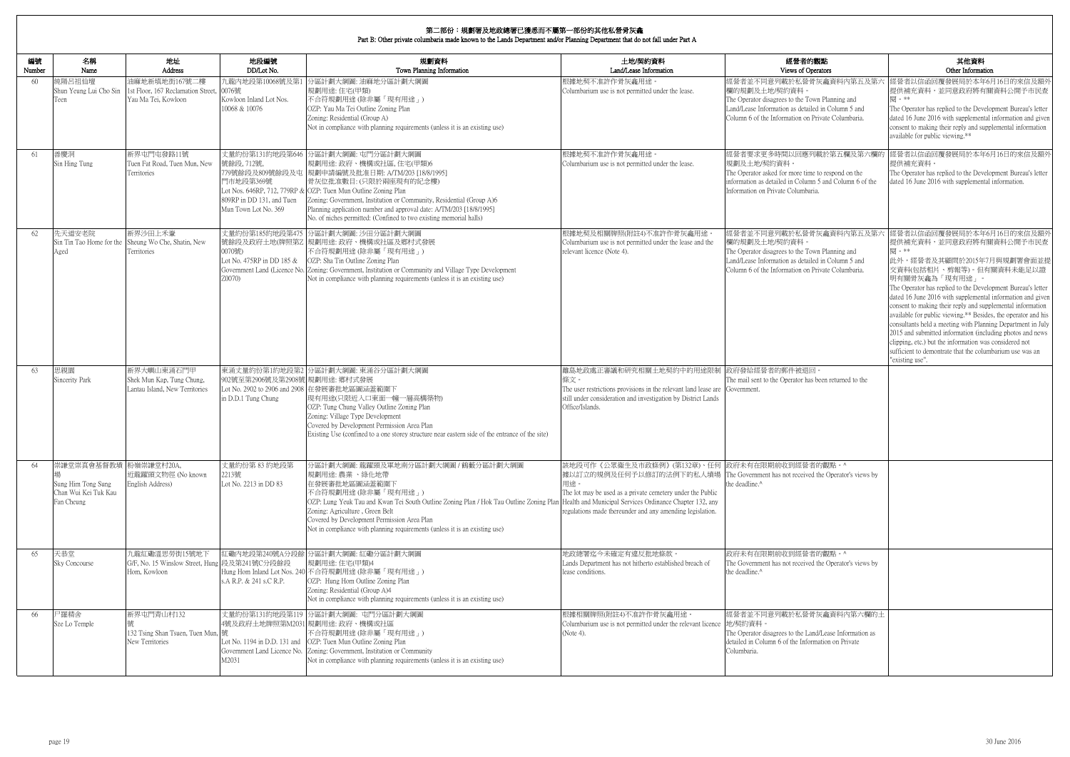| 編號<br>Number | 名稱<br>Name                                                                        | 地址<br>Address                                                                  | 地段編號<br>DD/Lot No.                                                           | 規劃資料<br>Town Planning Information                                                                                                                                                                                                                                                                                                                                                                                                    | 土地/契約資料<br>Land/Lease Information                                                                                                                                                                                                                                   | 經營者的觀點<br>Views of Operators                                                                                                                                                                            | 其他資料<br>Other Information                                                                                                                                                                                                                                                                                                                                                                                                                                                                                                                                                                                                                                                  |
|--------------|-----------------------------------------------------------------------------------|--------------------------------------------------------------------------------|------------------------------------------------------------------------------|--------------------------------------------------------------------------------------------------------------------------------------------------------------------------------------------------------------------------------------------------------------------------------------------------------------------------------------------------------------------------------------------------------------------------------------|---------------------------------------------------------------------------------------------------------------------------------------------------------------------------------------------------------------------------------------------------------------------|---------------------------------------------------------------------------------------------------------------------------------------------------------------------------------------------------------|----------------------------------------------------------------------------------------------------------------------------------------------------------------------------------------------------------------------------------------------------------------------------------------------------------------------------------------------------------------------------------------------------------------------------------------------------------------------------------------------------------------------------------------------------------------------------------------------------------------------------------------------------------------------------|
| 60           | 純陽呂祖仙壇<br>Shun Yeung Lui Cho Sin<br>Teen                                          | 油麻地新填地街167號二樓<br>1st Floor, 167 Reclamation Street,<br>Yau Ma Tei, Kowloon     | 九龍內地段第10068號及第1<br>0076號<br>Kowloon Inland Lot Nos.<br>10068 & 10076         | 分區計劃大綱圖:油麻地分區計劃大綱圖<br>規劃用途:住宅(甲類)<br>不合符規劃用途(除非屬「現有用途」)<br>OZP: Yau Ma Tei Outline Zoning Plan<br>Zoning: Residential (Group A)<br>Not in compliance with planning requirements (unless it is an existing use)                                                                                                                                                                                                                       | 根據地契不准許作骨灰龕用途<br>Columbarium use is not permitted under the lease.                                                                                                                                                                                                  | 經營者並不同意列載於私營骨灰龕資料內第五及第六<br>欄的規劃及土地/契約資料。<br>The Operator disagrees to the Town Planning and<br>Land/Lease Information as detailed in Column 5 and<br>Column 6 of the Information on Private Columbaria. | 經營者以信函回覆發展局於本年6月16日的來信及額外<br>提供補充資料,並同意政府將有關資料公開予市民查<br>閣 。**<br>The Operator has replied to the Development Bureau's letter<br>dated 16 June 2016 with supplemental information and given<br>consent to making their reply and supplemental information<br>available for public viewing.**                                                                                                                                                                                                                                                                                                                                                                                |
| 61           | 善慶洞<br>Sin Hing Tung                                                              | 新界屯門屯發路11號<br>Tuen Fat Road, Tuen Mun, New<br>Territories                      | 號餘段, 712號,<br>門市地段第369號<br>809RP in DD 131, and Tuen<br>Mun Town Lot No. 369 | 丈量約份第131約地段第646 分區計劃大綱圖: 屯門分區計劃大綱圖<br>規劃用途: 政府、機構或社區, 住宅(甲類)6<br>779號餘段及809號餘段及屯  規劃申請編號及批准日期: A/TM/203 [18/8/1995]<br>骨灰位批准數目: (只限於兩座現有的紀念樓)<br>Lot Nos. 646RP, 712, 779RP & OZP: Tuen Mun Outline Zoning Plan<br>Zoning: Government, Institution or Community, Residential (Group A)6<br>Planning application number and approval date: A/TM/203 [18/8/1995]<br>No. of niches permitted: (Confined to two existing memorial halls) | 根據地契不准許作骨灰龕用途。<br>Columbarium use is not permitted under the lease.                                                                                                                                                                                                 | 經營者要求更多時間以回應列載於第五欄及第六欄的<br>規劃及土地/契約資料。<br>The Operator asked for more time to respond on the<br>information as detailed in Column 5 and Column 6 of the<br>Information on Private Columbaria.           | 經營者以信函回覆發展局於本年6月16日的來信及額タ<br>提供補充資料。<br>The Operator has replied to the Development Bureau's letter<br>dated 16 June 2016 with supplemental information.                                                                                                                                                                                                                                                                                                                                                                                                                                                                                                                   |
| 62           | 先天道安老院<br>Aged                                                                    | 新界沙田上禾輋<br>Sin Tin Tao Home for the Sheung Wo Che, Shatin, New<br>Territories  | 0070號)<br>Lot No. 475RP in DD 185 &<br>Z0070)                                | 丈量約份第185約地段第475 分區計劃大綱圖: 沙田分區計劃大綱圖<br>號餘段及政府土地(牌照第Z 規劃用途: 政府、機構或社區及鄉村式發展<br>不合符規劃用途(除非屬「現有用途」)<br>OZP: Sha Tin Outline Zoning Plan<br>Government Land (Licence No. Zoning: Government, Institution or Community and Village Type Development<br>Not in compliance with planning requirements (unless it is an existing use)                                                                                                          | 根據地契及相關牌照(附註4)不准許作骨灰龕用途<br>Columbarium use is not permitted under the lease and the<br>relevant licence (Note 4).                                                                                                                                                   | 經營者並不同意列載於私營骨灰龕資料內第五及第六<br>欄的規劃及土地/契約資料。<br>The Operator disagrees to the Town Planning and<br>Land/Lease Information as detailed in Column 5 and<br>Column 6 of the Information on Private Columbaria. | 經營者以信函回覆發展局於本年6月16日的來信及額タ<br>提供補充資料,並同意政府將有關資料公開予市民查<br>閣 。**<br>此外,經營者及其顧問於2015年7月與規劃署會面並提<br>交資料(包括相片、剪報等)。但有關資料未能足以證<br>明有關骨灰龕為「現有用途」。<br>The Operator has replied to the Development Bureau's letter<br>dated 16 June 2016 with supplemental information and given<br>consent to making their reply and supplemental information<br>available for public viewing.** Besides, the operator and his<br>consultants held a meeting with Planning Department in July<br>2015 and submitted information (including photos and news<br>clipping, etc.) but the information was considered not<br>sufficient to demontrate that the columbarium use was an<br>"existing use". |
| 63           | 思親園<br>Sincerity Park                                                             | 新界大嶼山東涌石門甲<br>Shek Mun Kap, Tung Chung,<br>Lantau Island, New Territories      | 902號至第2906號及第2908號 規劃用途: 鄉村式發展<br>in D.D.1 Tung Chung                        | 東涌丈量約份第1約地段第2 分區計劃大綱圖: 東涌谷分區計劃大綱圖<br>Lot No. 2902 to 2906 and 2908 在發展審批地區圖涵蓋範圍下<br>現有用途(只限近入口東面一幢一層高構築物)<br>OZP: Tung Chung Valley Outline Zoning Plan<br>Zoning: Village Type Development<br>Covered by Development Permission Area Plan<br>Existing Use (confined to a one storey structure near eastern side of the entrance of the site)                                                                                        | 離島地政處正審議和研究相關土地契約中的用途限制<br>條文。<br>The user restrictions provisions in the relevant land lease are Government.<br>still under consideration and investigation by District Lands<br>Office/Islands.                                                                   | 政府發給經營者的郵件被退回<br>The mail sent to the Operator has been returned to the                                                                                                                                 |                                                                                                                                                                                                                                                                                                                                                                                                                                                                                                                                                                                                                                                                            |
| 64           | 崇謙堂崇真會基督教墳 粉嶺崇謙堂村20A,<br>Sung Him Tong Sung<br>Chan Wui Kei Tuk Kau<br>Fan Cheung | 折龍躍頭文物徑 (No known<br>English Address)                                          | 丈量約份第83約地段第<br>2213號<br>Lot No. 2213 in DD 83                                | 分區計劃大綱圖: 龍躍頭及軍地南分區計劃大綱圖 / 鶴藪分區計劃大綱圖<br>規劃用途:農業、綠化地帶<br>在發展審批地區圖涵蓋範圍下<br>不合符規劃用途 (除非屬「現有用途」)<br>OZP: Lung Yeuk Tau and Kwan Tei South Outline Zoning Plan / Hok Tau Outline Zoning Plan Health and Municipal Services Ordinance Chapter 132, any<br>Zoning: Agriculture, Green Belt<br>Covered by Development Permission Area Plan<br>Not in compliance with planning requirements (unless it is an existing use)                     | 該地段可作《公眾衞生及市政條例》(第132章)、任何 政府未有在限期前收到經營者的觀點。^<br> 據以訂立的規例及任何予以修訂的法例下的私人墳場 The Government has not received the Operator's views by<br>用途。<br>The lot may be used as a private cemetery under the Public<br>regulations made thereunder and any amending legislation. | the deadline. <sup>^</sup>                                                                                                                                                                              |                                                                                                                                                                                                                                                                                                                                                                                                                                                                                                                                                                                                                                                                            |
| 65           | 天恭堂<br>Sky Concourse                                                              | 九龍紅磡溫思勞街15號地下<br>G/F, No. 15 Winslow Street, Hung 段及第241號C分段餘段<br>Hom, Kowloon | s.A R.P. & 241 s.C R.P.                                                      | 紅磡內地段第240號A分段餘 分區計劃大綱圖: 紅磡分區計劃大綱圖<br>規劃用途:住宅(甲類)4<br>Hung Hom Inland Lot Nos. 240 不合符規劃用途 (除非屬「現有用途」)<br>OZP: Hung Hom Outline Zoning Plan<br>Zoning: Residential (Group A)4<br>Not in compliance with planning requirements (unless it is an existing use)                                                                                                                                                                          | 地政總署迄今未確定有違反批地條款。<br>Lands Department has not hitherto established breach of<br>lease conditions.                                                                                                                                                                   | 政府未有在限期前收到經營者的觀點。^<br>The Government has not received the Operator's views by<br>the deadline.^                                                                                                         |                                                                                                                                                                                                                                                                                                                                                                                                                                                                                                                                                                                                                                                                            |
| 66           | 尸羅精舍<br>Sze Lo Temple                                                             | 新界屯門青山村132<br>132 Tsing Shan Tsuen, Tuen Mun, 號<br>New Territories             | M2031                                                                        | 丈量約份第131約地段第119 分區計劃大綱圖: 屯門分區計劃大綱圖<br>4號及政府土地牌照第M2031 規劃用途: 政府、機構或社區<br>不合符規劃用途 (除非屬「現有用途」)<br>Lot No. 1194 in D.D. 131 and OZP: Tuen Mun Outline Zoning Plan<br>Government Land Licence No. Zoning: Government, Institution or Community<br>Not in compliance with planning requirements (unless it is an existing use)                                                                                                             | 根據相關牌照(附註4)不准許作骨灰龕用途。<br>Columbarium use is not permitted under the relevant licence 地契約資料。<br>(Note 4).                                                                                                                                                            | 經營者並不同意列載於私營骨灰龕資料內第六欄的土<br>The Operator disagrees to the Land/Lease Information as<br>detailed in Column 6 of the Information on Private<br>Columbaria.                                                 |                                                                                                                                                                                                                                                                                                                                                                                                                                                                                                                                                                                                                                                                            |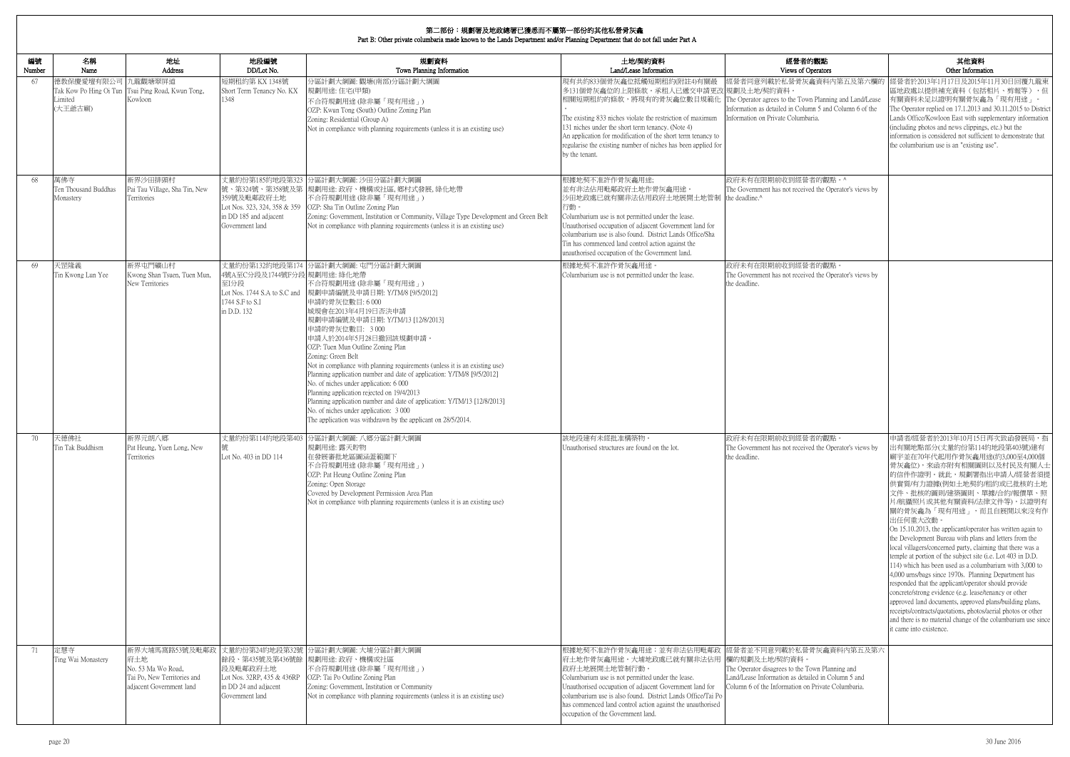| 編號           | 名稱                                       | 地址                                                                                                     | 地段編號                                                                                                        | 規劃資料                                                                                                                                                                                                                                                                                                                                                                                                                                                                                                                                                                                                                                                                                                                  | 土地/契約資料                                                                                                                                                                                                                                                                                                                                                                                        | 經營者的觀點                                                                                                                                                                                                    | 其他資料                                                                                                                                                                                                                                                                                                                                                                                                                                                                                                                                                                                                                                                                                                                                                                                                                                                                                                                                                                                                          |
|--------------|------------------------------------------|--------------------------------------------------------------------------------------------------------|-------------------------------------------------------------------------------------------------------------|-----------------------------------------------------------------------------------------------------------------------------------------------------------------------------------------------------------------------------------------------------------------------------------------------------------------------------------------------------------------------------------------------------------------------------------------------------------------------------------------------------------------------------------------------------------------------------------------------------------------------------------------------------------------------------------------------------------------------|------------------------------------------------------------------------------------------------------------------------------------------------------------------------------------------------------------------------------------------------------------------------------------------------------------------------------------------------------------------------------------------------|-----------------------------------------------------------------------------------------------------------------------------------------------------------------------------------------------------------|---------------------------------------------------------------------------------------------------------------------------------------------------------------------------------------------------------------------------------------------------------------------------------------------------------------------------------------------------------------------------------------------------------------------------------------------------------------------------------------------------------------------------------------------------------------------------------------------------------------------------------------------------------------------------------------------------------------------------------------------------------------------------------------------------------------------------------------------------------------------------------------------------------------------------------------------------------------------------------------------------------------|
| Number<br>67 | Name<br>德教保慶愛壇有限公司<br>Limited<br>(大王爺古廟) | Address<br>九龍觀塘翠屏道<br>Tak Kow Po Hing Oi Tun Tsui Ping Road, Kwun Tong,<br>Kowloon                     | DD/Lot No.<br>短期租約第 KX 1348號<br>Short Term Tenancy No. KX<br>1348                                           | Town Planning Information<br>分區計劃大綱圖:觀塘(南部)分區計劃大綱圖<br>規劃用途:住宅(甲類)<br>不合符規劃用途(除非屬「現有用途」)<br>OZP: Kwun Tong (South) Outline Zoning Plan<br>Zoning: Residential (Group A)<br>Not in compliance with planning requirements (unless it is an existing use)                                                                                                                                                                                                                                                                                                                                                                                                                                                                 | Land/Lease Information<br>現有共約833個骨灰龕位抵觸短期租約(附註4)有關最<br>多131個骨灰龕位的上限條款。承租人已遞交申請更改 規劃及土地/契約資料<br>相關短期租約的條款,將現有的骨灰龕位數目規範化<br>The existing 833 niches violate the restriction of maximum<br>131 niches under the short term tenancy. (Note 4)<br>An application for modification of the short term tenancy to<br>regularise the existing number of niches has been applied for<br>by the tenant.  | Views of Operators<br>經營者同意列載於私營骨灰龕資料內第五及第六欄的<br>The Operator agrees to the Town Planning and Land/Lease<br>Information as detailed in Column 5 and Column 6 of the<br>Information on Private Columbaria. | Other Information<br>逕營者於2013年1月17日及2015年11月30日回覆九龍東<br>區地政處以提供補充資料(包括相片、剪報等),但<br>有關資料未足以證明有關骨灰龕為「現有用途」。<br>The Operator replied on 17.1.2013 and 30.11.2015 to District<br>Lands Office/Kowloon East with supplementary information<br>(including photos and news clippings, etc.) but the<br>information is considered not sufficient to demonstrate that<br>the columbarium use is an "existing use".                                                                                                                                                                                                                                                                                                                                                                                                                                                                                                                                                                                                     |
| 68           | 萬佛寺<br>Ten Thousand Buddhas<br>Monastery | 新界沙田排頭村<br>Pai Tau Village, Sha Tin, New<br>Territories                                                | 丈量約份第185約地段第323<br>359號及毗鄰政府土地<br>Lot Nos. 323, 324, 358 & 359<br>in DD 185 and adjacent<br>Government land | 分區計劃大綱圖: 沙田分區計劃大綱圖<br>號、第324號、第358號及第 規劃用途: 政府、機構或社區, 鄉村式發展, 綠化地帶<br>不合符規劃用途(除非屬「現有用途」)<br>OZP: Sha Tin Outline Zoning Plan<br>Zoning: Government, Institution or Community, Village Type Development and Green Belt<br>Not in compliance with planning requirements (unless it is an existing use)                                                                                                                                                                                                                                                                                                                                                                                                                   | 根據地契不准許作骨灰龕用途;<br>並有非法佔用毗鄰政府土地作骨灰龕用途。<br>沙田地政處已就有關非法佔用政府土地展開土地管制 the deadline.^<br>行動。<br>Columbarium use is not permitted under the lease.<br>Unauthorised occupation of adjacent Government land for<br>columbarium use is also found. District Lands Office/Sha<br>Tin has commenced land control action against the<br>unauthorised occupation of the Government land.                     | 政府未有在限期前收到經營者的觀點。^<br>The Government has not received the Operator's views by                                                                                                                             |                                                                                                                                                                                                                                                                                                                                                                                                                                                                                                                                                                                                                                                                                                                                                                                                                                                                                                                                                                                                               |
| 69           | 天罡隆義<br>Tin Kwong Lun Yee                | 新界屯門礦山村<br>Kwong Shan Tsuen, Tuen Mun,<br>New Territories                                              | 4號A至C分段及1744號F分段 規劃用途: 綠化地帶<br>至I分段<br>Lot Nos. 1744 S.A to S.C and<br>1744 S.F to S.I<br>in D.D. 132       | 丈量約份第132約地段第174 分區計劃大綱圖: 屯門分區計劃大綱圖<br>不合符規劃用途(除非屬「現有用途」)<br> 規劃申請編號及申請日期: Y/TM/8 [9/5/2012] <br>申請的骨灰位數目:6000<br>城規會在2013年4月19日否決申請<br>規劃申請編號及申請日期: Y/TM/13 [12/8/2013]<br>申請的骨灰位數目: 3000<br>申請人於2014年5月28日撤回該規劃申請。<br>OZP: Tuen Mun Outline Zoning Plan<br>Zoning: Green Belt<br>Not in compliance with planning requirements (unless it is an existing use)<br>Planning application number and date of application: Y/TM/8 [9/5/2012]<br>No. of niches under application: 6 000<br>Planning application rejected on 19/4/2013<br>Planning application number and date of application: Y/TM/13 [12/8/2013]<br>No. of niches under application: 3 000<br>The application was withdrawn by the applicant on 28/5/2014. | 根據地契不准許作骨灰龕用途。<br>Columbarium use is not permitted under the lease.                                                                                                                                                                                                                                                                                                                            | 政府未有在限期前收到經營者的觀點。<br>The Government has not received the Operator's views by<br>the deadline.                                                                                                             |                                                                                                                                                                                                                                                                                                                                                                                                                                                                                                                                                                                                                                                                                                                                                                                                                                                                                                                                                                                                               |
| 70           | 天德佛社<br>in Tak Buddhism                  | 新界元朗八鄉<br>Pat Heung, Yuen Long, New<br>Territories                                                     | Lot No. 403 in DD 114                                                                                       | 丈量約份第114約地段第403 分區計劃大綱圖: 八鄉分區計劃大綱圖<br>規劃用途: 露天貯物<br>在發展審批地區圖涵蓋範圍下<br>不合符規劃用途 (除非屬「現有用途」)<br>OZP: Pat Heung Outline Zoning Plan<br>Zoning: Open Storage<br>Covered by Development Permission Area Plan<br>Not in compliance with planning requirements (unless it is an existing use)                                                                                                                                                                                                                                                                                                                                                                                                                                  | 該地段建有未經批准構築物。<br>Jnauthorised structures are found on the lot.                                                                                                                                                                                                                                                                                                                                 | 政府未有在限期前收到經營者的觀點。<br>The Government has not received the Operator's views by<br>the deadline.                                                                                                             | 申請者/經營者於2013年10月15日再次致函發展局,指<br>出有關地點部分(丈量約份第114約地段第403號)建有<br> 廟宇並在70年代起用作骨灰龕用途(約3,000至4,000個<br> 骨灰龕位),來函亦附有相關圖則以及村民及有關人士 <br>的信件作證明。就此,規劃署指出申請人/經營者須提<br>供實質/有力證據(例如土地契約/租約或已批核的土地<br>文件、批核的圖則/建築圖則、單據/合約/報價單、照<br>片/航攝照片或其他有關資料/法律文件等),以證明有<br>關的骨灰龕為「現有用途」,而且自展開以來沒有作<br>出任何重大改動。<br>On 15.10.2013, the applicant/operator has written again to<br>the Development Bureau with plans and letters from the<br>local villagers/concerned party, claiming that there was a<br>temple at portion of the subject site ( <i>i.e.</i> Lot 403 in D.D.<br>114) which has been used as a columbarium with 3,000 to<br>4,000 urns/bags since 1970s. Planning Department has<br>responded that the applicant/operator should provide<br>concrete/strong evidence (e.g. lease/tenancy or other<br>approved land documents, approved plans/building plans,<br>receipts/contracts/quotations, photos/aerial photos or other<br>and there is no material change of the columbarium use since<br>it came into existence. |
| 71           | 定慧寺<br>Ting Wai Monastery                | 新界大埔馬窩路53號及毗鄰政<br>府土地<br>No. 53 Ma Wo Road,<br>Tai Po, New Territories and<br>adjacent Government land | 段及毗鄰政府土地<br>Lot Nos. 32RP, 435 & 436RP<br>in DD 24 and adjacent<br>Government land                          | 丈量約份第24約地段第32號 分區計劃大綱圖: 大埔分區計劃大綱圖<br>餘段、第435號及第436號餘 規劃用途: 政府、機構或社區<br>不合符規劃用途 (除非屬「現有用途」)<br>OZP: Tai Po Outline Zoning Plan<br>Zoning: Government, Institution or Community<br>Not in compliance with planning requirements (unless it is an existing use)                                                                                                                                                                                                                                                                                                                                                                                                                                                          | 根據地契不准許作骨灰龕用途;並有非法佔用毗鄰政 經營者並不同意列載於私營骨灰龕資料內第五及第六<br> 府土地作骨灰龕用途。大埔地政處已就有關非法佔用  欄的規劃及土地/契約資料。<br>政府土地展開土地管制行動。<br>Columbarium use is not permitted under the lease.<br>Unauthorised occupation of adjacent Government land for<br>columbarium use is also found. District Lands Office/Tai Po<br>has commenced land control action against the unauthorised<br>occupation of the Government land. | The Operator disagrees to the Town Planning and<br>Land/Lease Information as detailed in Column 5 and<br>Column 6 of the Information on Private Columbaria.                                               |                                                                                                                                                                                                                                                                                                                                                                                                                                                                                                                                                                                                                                                                                                                                                                                                                                                                                                                                                                                                               |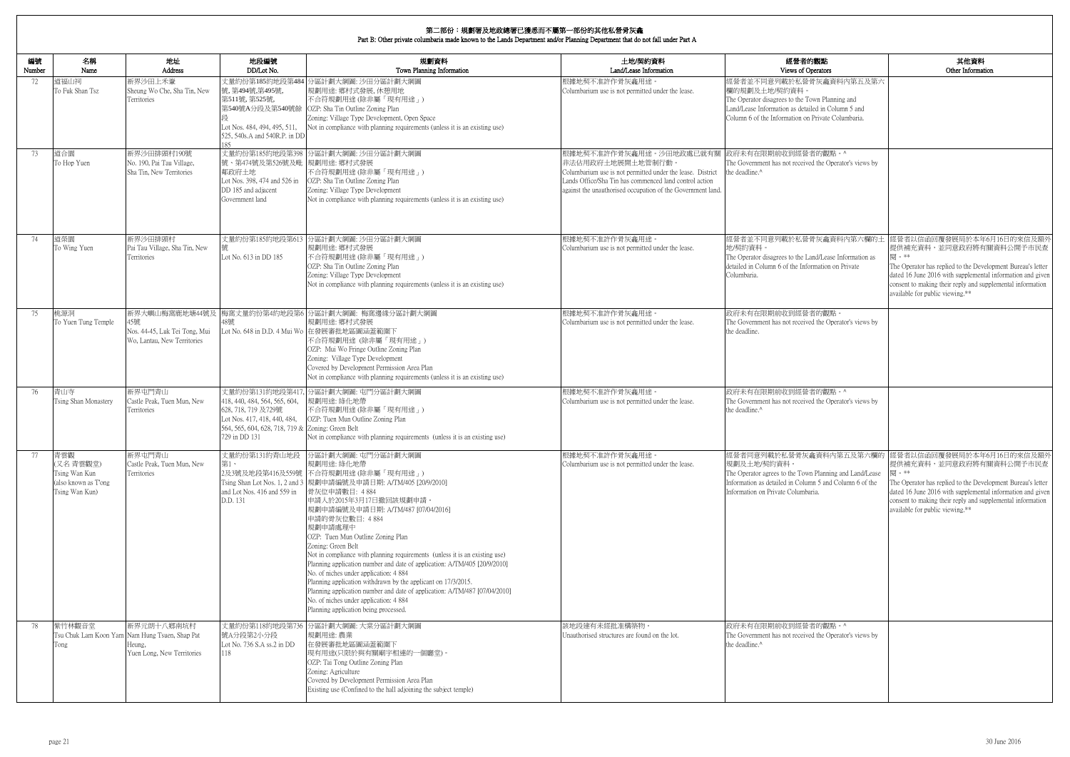| )perators<br>骨灰龕資料內第五及第六<br>閱。**<br>available for public viewing.**<br>提供補充資料,並同意政府將有關資料公開予市民查<br>閱。**<br>available for public viewing.**                                                                                      | 内觀點                                                             | 其他資料<br>Other Information                                                                                                                                                                                          |
|--------------------------------------------------------------------------------------------------------------------------------------------------------------------------------------------------------------------------------|-----------------------------------------------------------------|--------------------------------------------------------------------------------------------------------------------------------------------------------------------------------------------------------------------|
|                                                                                                                                                                                                                                |                                                                 |                                                                                                                                                                                                                    |
| 者的觀點。^<br>ed the Operator's views by                                                                                                                                                                                           | own Planning and<br>iled in Column 5 and<br>Private Columbaria. |                                                                                                                                                                                                                    |
|                                                                                                                                                                                                                                |                                                                 |                                                                                                                                                                                                                    |
| 骨灰龕資料内第六欄的土<br>and/Lease Information as<br>ormation on Private<br>者的觀點。<br>ed the Operator's views by<br>者的觀點。^<br>ed the Operator's views by<br>龕資料內第五及第六欄的<br>n Planning and Land/Lease<br>nn 5 and Column 6 of the<br>aria. |                                                                 |                                                                                                                                                                                                                    |
|                                                                                                                                                                                                                                |                                                                 | 經營者以信函回覆發展局於本年6月16日的來信及額外                                                                                                                                                                                          |
|                                                                                                                                                                                                                                |                                                                 | 提供補充資料,並同意政府將有關資料公開予市民查<br>The Operator has replied to the Development Bureau's letter<br>dated 16 June 2016 with supplemental information and given<br>consent to making their reply and supplemental information |
|                                                                                                                                                                                                                                |                                                                 |                                                                                                                                                                                                                    |
|                                                                                                                                                                                                                                |                                                                 |                                                                                                                                                                                                                    |
|                                                                                                                                                                                                                                |                                                                 |                                                                                                                                                                                                                    |
|                                                                                                                                                                                                                                |                                                                 | 經營者以信函回覆發展局於本年6月16日的來信及額外                                                                                                                                                                                          |
|                                                                                                                                                                                                                                |                                                                 | The Operator has replied to the Development Bureau's letter<br>dated 16 June 2016 with supplemental information and given<br>consent to making their reply and supplemental information                            |
|                                                                                                                                                                                                                                |                                                                 |                                                                                                                                                                                                                    |
| 者的觀點。^<br>ed the Operator's views by                                                                                                                                                                                           |                                                                 |                                                                                                                                                                                                                    |

| 編號<br>Number | 名稱<br>Name                                                                 | 地址<br>Address                                                                                        | 地段編號<br>DD/Lot No.                                                                                                                                         | 規劃資料<br>Town Planning Information                                                                                                                                                                                                                                                                                                                                                                                                                                                                                                                                                                                                                                                                                                                              | 土地/契約資料<br>Land/Lease Information                                                                                                                                                                                                  | 經營者的觀點<br>Views of Operators                                                                                                                                                                            |
|--------------|----------------------------------------------------------------------------|------------------------------------------------------------------------------------------------------|------------------------------------------------------------------------------------------------------------------------------------------------------------|----------------------------------------------------------------------------------------------------------------------------------------------------------------------------------------------------------------------------------------------------------------------------------------------------------------------------------------------------------------------------------------------------------------------------------------------------------------------------------------------------------------------------------------------------------------------------------------------------------------------------------------------------------------------------------------------------------------------------------------------------------------|------------------------------------------------------------------------------------------------------------------------------------------------------------------------------------------------------------------------------------|---------------------------------------------------------------------------------------------------------------------------------------------------------------------------------------------------------|
| 72           | 道福山祠<br>To Fuk Shan Tsz                                                    | 新界沙田上禾輋<br>Sheung Wo Che, Sha Tin, New<br>Territories                                                | 號,第494號,第495號,<br>第511號, 第525號,<br>Lot Nos. 484, 494, 495, 511,<br>525, 540s.A and 540R.P. in DD<br>185                                                    | 丈量約份第185約地段第484 分區計劃大綱圖: 沙田分區計劃大綱圖<br> 規劃用途: 鄉村式發展, 休憩用地<br>不合符規劃用途(除非屬「現有用途」)<br>第540號A分段及第540號餘 OZP: Sha Tin Outline Zoning Plan<br>Zoning: Village Type Development, Open Space<br>Not in compliance with planning requirements (unless it is an existing use)                                                                                                                                                                                                                                                                                                                                                                                                                                                                                              | 根據地契不准許作骨灰龕用途。<br>Columbarium use is not permitted under the lease.                                                                                                                                                                | 經營者並不同意列載於私營骨灰龕資料內第五及第六<br>欄的規劃及土地/契約資料。<br>The Operator disagrees to the Town Planning and<br>Land/Lease Information as detailed in Column 5 and<br>Column 6 of the Information on Private Columbaria. |
| 73           | 道合園<br>To Hop Yuen                                                         | 新界沙田排頭村190號<br>No. 190, Pai Tau Village,<br>Sha Tin, New Territories                                 | 號、第474號及第526號及毗 規劃用途: 鄉村式發展<br>鄰政府土地<br>Lot Nos. 398, 474 and 526 in<br>DD 185 and adjacent<br>Government land                                             | 丈量約份第185約地段第398 分區計劃大綱圖: 沙田分區計劃大綱圖<br>不合符規劃用途(除非屬「現有用途」)<br>OZP: Sha Tin Outline Zoning Plan<br>Zoning: Village Type Development<br>Not in compliance with planning requirements (unless it is an existing use)                                                                                                                                                                                                                                                                                                                                                                                                                                                                                                                                                | 根據地契不准許作骨灰龕用涂。沙田地政處已就有關<br>非法佔用政府土地展開土地管制行動<br>Columbarium use is not permitted under the lease. District<br>Lands Office/Sha Tin has commenced land control action<br>against the unauthorised occupation of the Government land. | 政府未有在限期前收到經營者的觀點。^<br>The Government has not received the Operator's views by<br>the deadline. <sup>^</sup>                                                                                             |
| 74           | 道榮園<br>To Wing Yuen                                                        | 新界沙田排頭村<br>Pai Tau Village, Sha Tin, New<br>Territories                                              | Lot No. 613 in DD 185                                                                                                                                      | 丈量約份第185約地段第613 分區計劃大綱圖: 沙田分區計劃大綱圖<br>規劃用途: 鄉村式發展<br>不合符規劃用途(除非屬「現有用途」)<br>OZP: Sha Tin Outline Zoning Plan<br>Zoning: Village Type Development<br>Not in compliance with planning requirements (unless it is an existing use)                                                                                                                                                                                                                                                                                                                                                                                                                                                                                                                                 | 根據地契不准許作骨灰龕用途。<br>Columbarium use is not permitted under the lease.                                                                                                                                                                | 經營者並不同意列載於私營骨灰龕資料內第六欄的土<br>地/契約資料。<br>The Operator disagrees to the Land/Lease Information as<br>detailed in Column 6 of the Information on Private<br>Columbaria.                                      |
| 75           | 桃源洞<br>To Yuen Tung Temple                                                 | 新界大嶼山梅窩鹿地塘44號及<br>45號<br>Nos. 44-45, Luk Tei Tong, Mui<br>Wo. Lantau, New Territories                | 18號                                                                                                                                                        | 梅窩丈量約份第4約地段第6 分區計劃大綱圖: 梅窩邊緣分區計劃大綱圖<br>規劃用途: 鄉村式發展<br>Lot No. 648 in D.D. 4 Mui Wo 在發展審批地區圖涵蓋範圍下<br>不合符規劃用途 (除非屬「現有用途」)<br>OZP: Mui Wo Fringe Outline Zoning Plan<br>Zoning: Village Type Development<br>Covered by Development Permission Area Plan<br>Not in compliance with planning requirements (unless it is an existing use)                                                                                                                                                                                                                                                                                                                                                                                                                             | 根據地契不准許作骨灰龕用途。<br>Columbarium use is not permitted under the lease.                                                                                                                                                                | 政府未有在限期前收到經營者的觀點。<br>The Government has not received the Operator's views by<br>the deadline.                                                                                                           |
| 76           | 青山寺<br>Tsing Shan Monastery                                                | 新界屯門青山<br>Castle Peak, Tuen Mun, New<br>Territories                                                  | 418, 440, 484, 564, 565, 604,<br>628, 718, 719 及729號<br>Lot Nos. 417, 418, 440, 484,<br>564, 565, 604, 628, 718, 719 & Zoning: Green Belt<br>729 in DD 131 | 丈量約份第131約地段第417, 分區計劃大綱圖: 屯門分區計劃大綱圖<br>規劃用途: 綠化地帶<br>不合符規劃用途(除非屬「現有用途」)<br>OZP: Tuen Mun Outline Zoning Plan<br>Not in compliance with planning requirements (unless it is an existing use)                                                                                                                                                                                                                                                                                                                                                                                                                                                                                                                                                                    | 根據地契不准許作骨灰龕用途。<br>Columbarium use is not permitted under the lease.                                                                                                                                                                | 政府未有在限期前收到經營者的觀點。^<br>The Government has not received the Operator's views by<br>the deadline.^                                                                                                         |
| 77           | 青雲觀<br>(又名青雲觀堂)<br>Tsing Wan Kun<br>(also known as T'ong<br>Tsing Wan Kun) | 新界屯門青山<br>Castle Peak, Tuen Mun, New<br>Territories                                                  | 丈量約份第131約青山地段<br>第1、<br>and Lot Nos. 416 and 559 in<br>D.D. 131                                                                                            | 分區計劃大綱圖:屯門分區計劃大綱圖<br>規劃用途: 綠化地帶<br>2及3號及地段第416及559號 不合符規劃用途(除非屬「現有用途」)<br>Tsing Shan Lot Nos. 1, 2 and 3  規劃申請編號及申請日期: A/TM/405 [20/9/2010]<br>骨灰位申請數目: 4884<br>申請人於2015年3月17日撤回該規劃申請。<br> 規劃申請編號及申請日期: A/TM/487 [07/04/2016] <br>申請的骨灰位數目: 4884<br>規劃申請處理中<br>OZP: Tuen Mun Outline Zoning Plan<br>Zoning: Green Belt<br>Not in compliance with planning requirements (unless it is an existing use)<br>Planning application number and date of application: A/TM/405 [20/9/2010]<br>No. of niches under application: 4 884<br>Planning application withdrawn by the applicant on 17/3/2015.<br>Planning application number and date of application: A/TM/487 [07/04/2010]<br>No. of niches under application: 4 884<br>Planning application being processed. | 根據地契不准許作骨灰龕用途。<br>Columbarium use is not permitted under the lease.                                                                                                                                                                | 經營者同意列載於私營骨灰龕資料內第五及第六欄的<br>規劃及土地/契約資料。<br>The Operator agrees to the Town Planning and Land/Lease<br>Information as detailed in Column 5 and Column 6 of the<br>Information on Private Columbaria.      |
| 78           | 紫竹林觀音堂<br>Tong                                                             | 新界元朗十八鄉南坑村<br>Tsu Chuk Lam Koon Yam Nam Hung Tsuen, Shap Pat<br>Heung.<br>Yuen Long, New Territories | 號A分段第2小分段<br>Lot No. 736 S.A ss.2 in DD<br>118                                                                                                             | 丈量約份第118約地段第736 分區計劃大綱圖: 大棠分區計劃大綱圖<br> 規劃用途: 農業<br>在發展審批地區圖涵蓋範圍下<br> 現有用途(只限於與有關廟宇相連的一個廳堂)。<br>OZP: Tai Tong Outline Zoning Plan<br>Zoning: Agriculture<br>Covered by Development Permission Area Plan<br>Existing use (Confined to the hall adjoining the subject temple)                                                                                                                                                                                                                                                                                                                                                                                                                                                                                     | 該地段建有未經批准構築物。<br>Unauthorised structures are found on the lot.                                                                                                                                                                     | 政府未有在限期前收到經營者的觀點。^<br>The Government has not received the Operator's views by<br>the deadline.^                                                                                                         |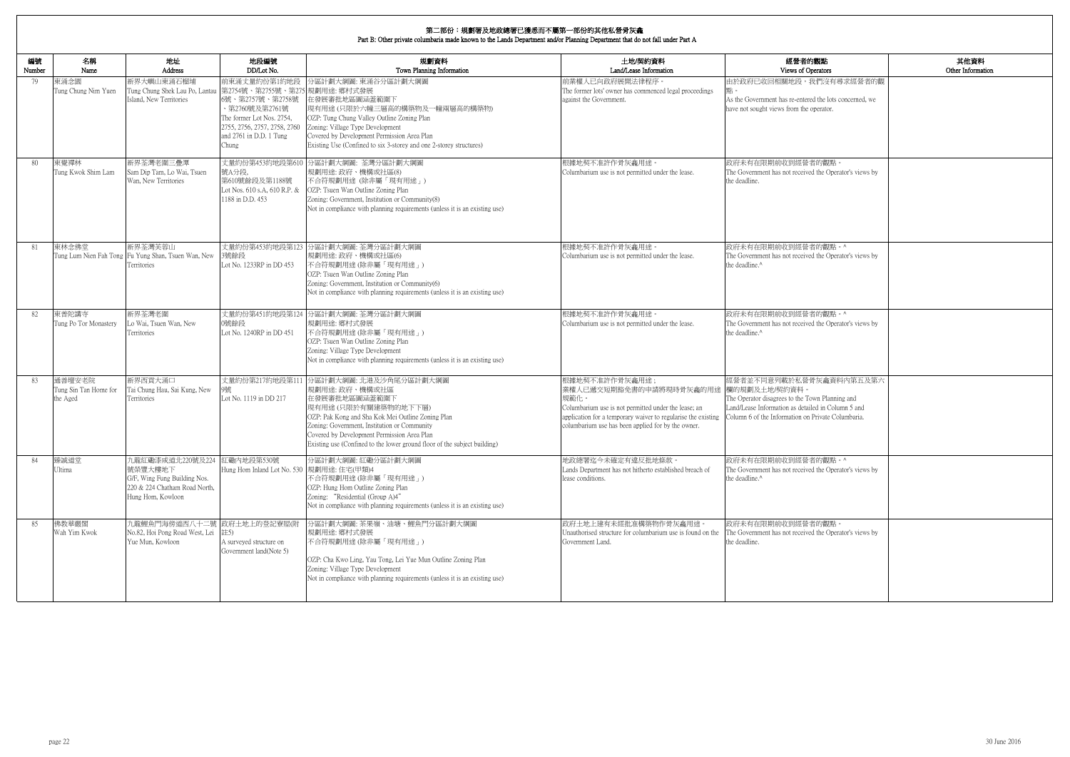| 的觀點<br>berators                                                   | 其他資料<br>Other Information |
|-------------------------------------------------------------------|---------------------------|
| 我們沒有尋求經營者的觀                                                       |                           |
| red the lots concerned, we<br>operator.                           |                           |
|                                                                   |                           |
| 者的觀點。<br>ed the Operator's views by                               |                           |
|                                                                   |                           |
| 者的觀點。^<br>ed the Operator's views by                              |                           |
| 者的觀點。^                                                            |                           |
| ed the Operator's views by                                        |                           |
| 骨灰龕資料内第五及第六                                                       |                           |
| own Planning and<br>iled in Column 5 and<br>1 Private Columbaria. |                           |
| 者的觀點。^                                                            |                           |
| ed the Operator's views by                                        |                           |
| 者的觀點。                                                             |                           |
| ed the Operator's views by                                        |                           |
|                                                                   |                           |

| 編號<br>Number | 名稱<br>Name                                  | 地址<br><b>Address</b>                                                                                                         | 地段編號<br>DD/Lot No.                                                                                                                                                                   | 規劃資料<br>Town Planning Information                                                                                                                                                                                                                                                                                                 | 土地/契約資料<br>Land/Lease Information                                                                                                                                                                                                              | 經營者的觀點<br>Views of Operators                                                                                                                                                           |
|--------------|---------------------------------------------|------------------------------------------------------------------------------------------------------------------------------|--------------------------------------------------------------------------------------------------------------------------------------------------------------------------------------|-----------------------------------------------------------------------------------------------------------------------------------------------------------------------------------------------------------------------------------------------------------------------------------------------------------------------------------|------------------------------------------------------------------------------------------------------------------------------------------------------------------------------------------------------------------------------------------------|----------------------------------------------------------------------------------------------------------------------------------------------------------------------------------------|
| 79           | 東涌念園<br>Tung Chung Nim Yuen                 | 新界大嶼山東涌石榴埔<br>Tung Chung Shek Lau Po, Lantau<br>Island, New Territories                                                      | 前東涌丈量約份第1約地段<br>第2754號、第2755號、第275 規劃用途: 鄉村式發展<br>6號、第2757號、第2758號<br>等2760號及第2761號<br>The former Lot Nos. 2754,<br>2755, 2756, 2757, 2758, 2760<br>and 2761 in D.D. 1 Tung<br>Chung | 分區計劃大綱圖: 東涌谷分區計劃大綱圖<br>在發展審批地區圖涵蓋範圍下<br>現有用途(只限於六幢三層高的構築物及一幢兩層高的構築物)<br>OZP: Tung Chung Valley Outline Zoning Plan<br>Zoning: Village Type Development<br>Covered by Development Permission Area Plan<br>Existing Use (Confined to six 3-storey and one 2-storey structures)                                                      | 前業權人已向政府展開法律程序。<br>The former lots' owner has commenced legal proceedings<br>against the Government.                                                                                                                                           | 由於政府已收回相關地段,我們沒有尋求經營者的觀<br>As the Government has re-entered the lots concerned, we<br>have not sought views from the operator.                                                         |
| 80           | 東覺禪林<br>Tung Kwok Shim Lam                  | 新界荃灣老圍三疊潭<br>Sam Dip Tam, Lo Wai, Tsuen<br>Wan, New Territories                                                              | 號A分段,<br>第610號餘段及第1188號<br>Lot Nos. 610 s.A, 610 R.P. &<br>1188 in D.D. 453                                                                                                          | 丈量約份第453約地段第610 分區計劃大綱圖: 荃灣分區計劃大綱圖<br>規劃用途: 政府、機構或社區(8)<br>不合符規劃用途 (除非屬「現有用途」)<br>OZP: Tsuen Wan Outline Zoning Plan<br>Zoning: Government, Institution or Community(8)<br>Not in compliance with planning requirements (unless it is an existing use)                                                                            | 根據地契不准許作骨灰龕用途<br>Columbarium use is not permitted under the lease.                                                                                                                                                                             | 政府未有在限期前收到經營者的觀點。<br>The Government has not received the Operator's views by<br>the deadline.                                                                                          |
| 81           | 東林念佛堂<br>Tung Lum Nien Fah Tong             | 新界荃灣芙蓉山<br>Fu Yung Shan, Tsuen Wan, New<br>Territories                                                                       | 丈量約份第453約地段第123<br>3號餘段<br>Lot No. 1233RP in DD 453                                                                                                                                  | 分區計劃大綱圖: 荃灣分區計劃大綱圖<br>規劃用途: 政府、機構或社區(6)<br>不合符規劃用途(除非屬「現有用途」)<br>OZP: Tsuen Wan Outline Zoning Plan<br>Zoning: Government, Institution or Community(6)<br>Not in compliance with planning requirements (unless it is an existing use)                                                                                             | 根據地契不准許作骨灰龕用途。<br>Columbarium use is not permitted under the lease.                                                                                                                                                                            | 政府未有在限期前收到經營者的觀點。^<br>The Government has not received the Operator's views by<br>the deadline.^                                                                                        |
| 82           | 東普陀講寺<br>Tung Po Tor Monastery              | 新界荃灣老圍<br>Lo Wai, Tsuen Wan, New<br>Territories                                                                              | 0號餘段<br>Lot No. 1240RP in DD 451                                                                                                                                                     | 丈量約份第451約地段第124 分區計劃大綱圖: 荃灣分區計劃大綱圖<br>規劃用途: 鄉村式發展<br>不合符規劃用途 (除非屬「現有用途」)<br>OZP: Tsuen Wan Outline Zoning Plan<br>Zoning: Village Type Development<br>Not in compliance with planning requirements (unless it is an existing use)                                                                                                 | 根據地契不准許作骨灰龕用途<br>Columbarium use is not permitted under the lease.                                                                                                                                                                             | 政府未有在限期前收到經營者的觀點。^<br>The Government has not received the Operator's views by<br>the deadline.^                                                                                        |
| -83          | 通善壇安老院<br>Tung Sin Tan Home for<br>the Aged | 新界西貢大涌口<br>Tai Chung Hau, Sai Kung, New<br>Territories                                                                       | Lot No. 1119 in DD 217                                                                                                                                                               | 丈量約份第217約地段第111 分區計劃大綱圖: 北港及沙角尾分區計劃大綱圖<br>規劃用途: 政府、機構或社區<br>在發展審批地區圖涵蓋範圍下<br>現有用途(只限於有關建築物的地下下層)<br>OZP: Pak Kong and Sha Kok Mei Outline Zoning Plan<br>Zoning: Government, Institution or Community<br>Covered by Development Permission Area Plan<br>Existing use (Confined to the lower ground floor of the subject building) | 根據地契不准許作骨灰龕用途;<br>業權人已遞交短期豁免書的申請將現時骨灰龕的用途 欄的規劃及土地/契約資料。<br>規範化。<br>Columbarium use is not permitted under the lease; an<br>application for a temporary waiver to regularise the existing<br>columbarium use has been applied for by the owner. | 經營者並不同意列載於私營骨灰龕資料內第五及第六<br>The Operator disagrees to the Town Planning and<br>Land/Lease Information as detailed in Column 5 and<br>Column 6 of the Information on Private Columbaria. |
| 84           | 臻誠道堂<br>Ultima                              | 九龍紅磡漆咸道北220號及224 紅磡內地段第530號<br>號榮豐大樓地下<br>G/F, Wing Fung Building Nos.<br>220 & 224 Chatham Road North,<br>Hung Hom, Kowloon | Hung Hom Inland Lot No. 530 規劃用途: 住宅(甲類)4                                                                                                                                            | 分區計劃大綱圖:紅磡分區計劃大綱圖<br>不合符規劃用途 (除非屬「現有用途」)<br>OZP: Hung Hom Outline Zoning Plan<br>Zoning: "Residential (Group A)4"<br>Not in compliance with planning requirements (unless it is an existing use)                                                                                                                                  | 地政總署迄今未確定有違反批地條款。<br>Lands Department has not hitherto established breach of<br>lease conditions.                                                                                                                                              | 政府未有在限期前收到經營者的觀點。^<br>The Government has not received the Operator's views by<br>the deadline.^                                                                                        |
| 85           | 佛教華嚴閣<br>Wah Yim Kwok                       | 九龍鯉魚門海傍道西八十二號 政府土地上的登記寮屋(附<br>No.82, Hoi Pong Road West, Lei<br>Yue Mun, Kowloon                                             | 註5)<br>A surveyed structure on<br>Government land(Note 5)                                                                                                                            | 分區計劃大綱圖: 茶果嶺、油塘、鯉魚門分區計劃大綱圖<br>規劃用途: 鄉村式發展<br>不合符規劃用途 (除非屬「現有用途」)<br>OZP: Cha Kwo Ling, Yau Tong, Lei Yue Mun Outline Zoning Plan<br>Zoning: Village Type Development<br>Not in compliance with planning requirements (unless it is an existing use)                                                                               | 政府土地上建有未經批准構築物作骨灰龕用途。<br>Unauthorised structure for columbarium use is found on the<br>Government Land.                                                                                                                                        | 政府未有在限期前收到經營者的觀點。<br>The Government has not received the Operator's views by<br>the deadline.                                                                                          |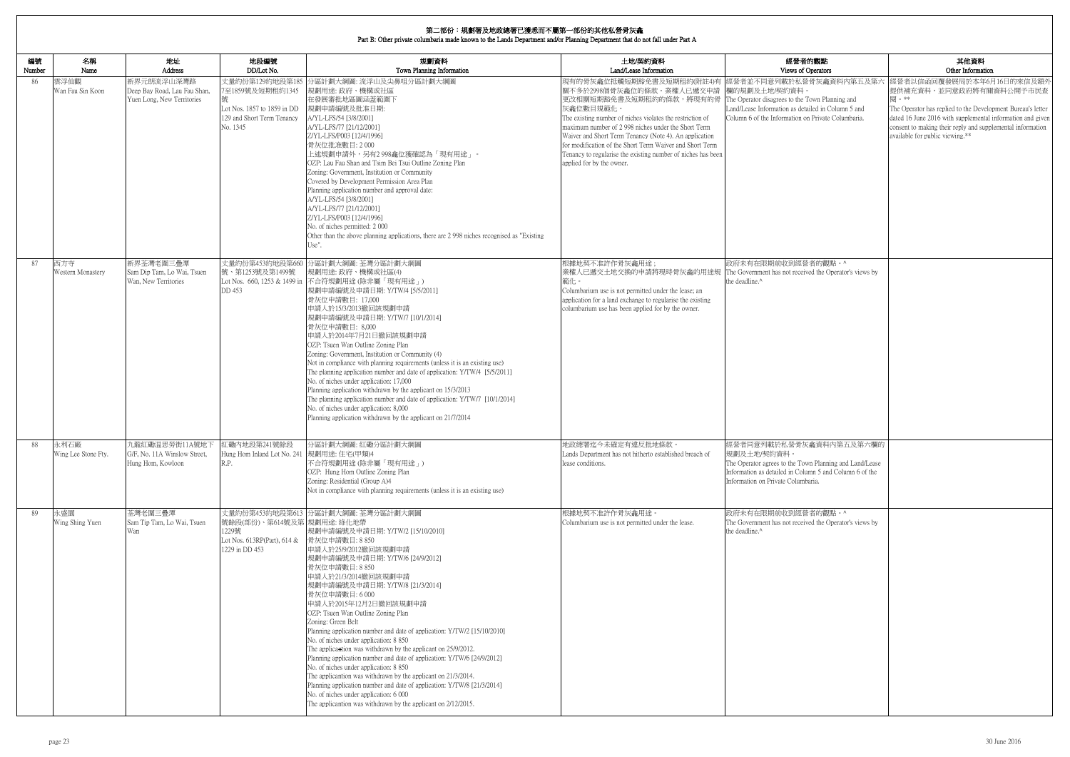| 内觀點                                                                           | 其他資料                                                                                                                                                                                                                                                          |
|-------------------------------------------------------------------------------|---------------------------------------------------------------------------------------------------------------------------------------------------------------------------------------------------------------------------------------------------------------|
| perators<br>骨灰龕資料内第五及第六                                                       | Other Information<br>經營者以信函回覆發展局於本年6月16日的來信及額外                                                                                                                                                                                                                |
| own Planning and<br>iled in Column 5 and<br>Private Columbaria.               | 提供補充資料,並同意政府將有關資料公開予市民查<br>閱。**<br>The Operator has replied to the Development Bureau's letter<br>dated 16 June 2016 with supplemental information and given<br>consent to making their reply and supplemental information<br>available for public viewing.** |
|                                                                               |                                                                                                                                                                                                                                                               |
|                                                                               |                                                                                                                                                                                                                                                               |
| 者的觀點。^<br>ed the Operator's views by                                          |                                                                                                                                                                                                                                                               |
|                                                                               |                                                                                                                                                                                                                                                               |
|                                                                               |                                                                                                                                                                                                                                                               |
|                                                                               |                                                                                                                                                                                                                                                               |
| 龕資料内第五及第六欄的<br>n Planning and Land/Lease<br>nn 5 and Column 6 of the<br>aria. |                                                                                                                                                                                                                                                               |
| 者的觀點。^<br>ed the Operator's views by                                          |                                                                                                                                                                                                                                                               |
|                                                                               |                                                                                                                                                                                                                                                               |
|                                                                               |                                                                                                                                                                                                                                                               |
|                                                                               |                                                                                                                                                                                                                                                               |
|                                                                               |                                                                                                                                                                                                                                                               |

| 編號<br>Number | 名稱<br>Name                  | 地址<br>Address                                                            | 地段編號<br>DD/Lot No.                                                                                           | 規劃資料<br>Town Planning Information                                                                                                                                                                                                                                                                                                                                                                                                                                                                                                                                                                                                                                                                                                                                                                                                                                                                            | 土地/契約資料<br>Land/Lease Information                                                                                                                                                                                                                                                                                                                                                                                                                                                       | 經營者的觀點<br>Views of Operators                                                                                                                                                                       |
|--------------|-----------------------------|--------------------------------------------------------------------------|--------------------------------------------------------------------------------------------------------------|--------------------------------------------------------------------------------------------------------------------------------------------------------------------------------------------------------------------------------------------------------------------------------------------------------------------------------------------------------------------------------------------------------------------------------------------------------------------------------------------------------------------------------------------------------------------------------------------------------------------------------------------------------------------------------------------------------------------------------------------------------------------------------------------------------------------------------------------------------------------------------------------------------------|-----------------------------------------------------------------------------------------------------------------------------------------------------------------------------------------------------------------------------------------------------------------------------------------------------------------------------------------------------------------------------------------------------------------------------------------------------------------------------------------|----------------------------------------------------------------------------------------------------------------------------------------------------------------------------------------------------|
| 86           | 雲浮仙觀<br>Wan Fau Sin Koon    | 新界元朗流浮山深灣路<br>Deep Bay Road, Lau Fau Shan,<br>Yuen Long, New Territories | 丈量約份第129約地段第185<br>7至1859號及短期租約1345<br>Lot Nos. 1857 to 1859 in DD<br>129 and Short Term Tenancy<br>No. 1345 | 分區計劃大綱圖: 流浮山及尖鼻咀分區計劃大綱圖<br>規劃用途: 政府、機構或社區<br>在發展審批地區圖涵蓋範圍下<br>規劃申請編號及批准日期:<br>A/YL-LFS/54 [3/8/2001]<br>A/YL-LFS/77 [21/12/2001]<br>Z/YL-LFS/P003 [12/4/1996]<br>骨灰位批准數目: 2000<br>上述規劃申請外,另有2 998龕位獲確認為「現有用途」。<br>OZP: Lau Fau Shan and Tsim Bei Tsui Outline Zoning Plan<br>Zoning: Government, Institution or Community<br>Covered by Development Permission Area Plan<br>Planning application number and approval date:<br>A/YL-LFS/54 [3/8/2001]<br>A/YL-LFS/77 [21/12/2001]<br>Z/YL-LFS/P003 [12/4/1996]<br>No. of niches permitted: 2000<br>Other than the above planning applications, there are 2 998 niches recognised as "Existing"<br>Use".                                                                                                                                                                                                                                                       | 現有的骨灰龕位抵觸短期豁免書及短期租約(附註4)有<br> 關不多於2998個骨灰龕位的條款。業權人已遞交申請<br>更改相關短期豁免書及短期租約的條款,將現有的骨  The Operator disagrees to the Town Planning and<br>灰龕位數目規範化。<br>The existing number of niches violates the restriction of<br>maximum number of 2 998 niches under the Short Term<br>Waiver and Short Term Tenancy (Note 4). An application<br>for modification of the Short Term Waiver and Short Term<br>Tenancy to regularise the existing number of niches has been<br>applied for by the owner. | 經營者並不同意列載於私營骨灰龕資料內第五及第六<br>欄的規劃及土地/契約資料<br>Land/Lease Information as detailed in Column 5 and<br>Column 6 of the Information on Private Columbaria.                                                |
| 87           | 西方寺<br>Western Monastery    | 新界荃灣老圍三疊潭<br>Sam Dip Tam, Lo Wai, Tsuen<br>Wan, New Territories          | 號、第1253號及第1499號<br>DD 453                                                                                    | 丈量約份第453約地段第660 分區計劃大綱圖: 荃灣分區計劃大綱圖<br>規劃用途: 政府、機構或社區(4)<br>Lot Nos. 660, 1253 & 1499 in 不合符規劃用途 (除非屬「現有用途」)<br> 規劃申請編號及申請日期: Y/TW/4 [5/5/2011]<br>骨灰位申請數目: 17,000<br>申請人於15/3/2013撤回該規劃申請<br> 規劃申請編號及申請日期: Y/TW/7 [10/1/2014]<br>骨灰位申請數目: 8,000<br>申請人於2014年7月21日撤回該規劃申請<br>OZP: Tsuen Wan Outline Zoning Plan<br>Zoning: Government, Institution or Community (4)<br>Not in compliance with planning requirements (unless it is an existing use)<br>The planning application number and date of application: Y/TW/4 [5/5/2011]<br>No. of niches under application: 17,000<br>Planning application withdrawn by the applicant on 15/3/2013<br>The planning application number and date of application: Y/TW/7 [10/1/2014]<br>No. of niches under application: 8,000<br>Planning application withdrawn by the applicant on 21/7/2014                                                                          | 根據地契不准許作骨灰龕用途;<br>業權人已遞交土地交換的申請將現時骨灰龕的用途規 The Government has not received the Operator's views by<br>範化。<br>Columbarium use is not permitted under the lease; an<br>application for a land exchange to regularise the existing<br>columbarium use has been applied for by the owner.                                                                                                                                                                                                    | 政府未有在限期前收到經營者的觀點。^<br>the deadline.^                                                                                                                                                               |
| 88           | 永利石廠<br>Wing Lee Stone Fty. | 九龍紅磡温思勞街11A號地下<br>G/F, No. 11A Winslow Street,<br>Hung Hom, Kowloon      | 紅磡内地段第241號餘段<br>Hung Hom Inland Lot No. 241 規劃用途: 住宅(甲類)4<br>R.P.                                            | 分區計劃大綱圖:紅磡分區計劃大綱圖<br>不合符規劃用途(除非屬「現有用途」)<br>OZP: Hung Hom Outline Zoning Plan<br>Zoning: Residential (Group A)4<br>Not in compliance with planning requirements (unless it is an existing use)                                                                                                                                                                                                                                                                                                                                                                                                                                                                                                                                                                                                                                                                                                                | 地政總署迄今未確定有違反批地條款。<br>Lands Department has not hitherto established breach of<br>lease conditions.                                                                                                                                                                                                                                                                                                                                                                                       | 經營者同意列載於私營骨灰龕資料內第五及第六欄的<br>規劃及土地/契約資料。<br>The Operator agrees to the Town Planning and Land/Lease<br>Information as detailed in Column 5 and Column 6 of the<br>Information on Private Columbaria. |
| 89           | 永盛園<br>Wing Shing Yuen      | 荃灣老圍三疊潭<br>Sam Tip Tam, Lo Wai, Tsuen<br>Wan                             | 號餘段(部份)、第614號及第 規劃用途: 綠化地帶<br>1229號<br>Lot Nos. 613RP(Part), 614 &<br>1229 in DD 453                         | 丈量約份第453約地段第613 分區計劃大綱圖: 荃灣分區計劃大綱圖<br> 規劃申請編號及申請日期: Y/TW/2 [15/10/2010] <br>骨灰位申請數目: 8 850<br>申請人於25/9/2012撤回該規劃申請<br> 規劃申請編號及申請日期: Y/TW/6 [24/9/2012]<br>骨灰位申請數目: 8 850<br>申請人於21/3/2014撤回該規劃申請<br> 規劃申請編號及申請日期: Y/TW/8 [21/3/2014]<br>骨灰位申請數目:6000<br>申請人於2015年12月2日撤回該規劃申請<br>OZP: Tsuen Wan Outline Zoning Plan<br>Zoning: Green Belt<br>Planning application number and date of application: Y/TW/2 [15/10/2010]<br>No. of niches under application: 8 850<br>The applicantion was withdrawn by the applicant on 25/9/2012.<br>Planning application number and date of application: Y/TW/6 [24/9/2012]<br>No. of niches under application: 8 850<br>The applicantion was withdrawn by the applicant on 21/3/2014.<br>Planning application number and date of application: Y/TW/8 [21/3/2014]<br>No. of niches under application: 6 000<br>The applicantion was withdrawn by the applicant on 2/12/2015. | 根據地契不准許作骨灰龕用途<br>Columbarium use is not permitted under the lease.                                                                                                                                                                                                                                                                                                                                                                                                                      | 政府未有在限期前收到經營者的觀點。^<br>The Government has not received the Operator's views by<br>the deadline. <sup>^</sup>                                                                                        |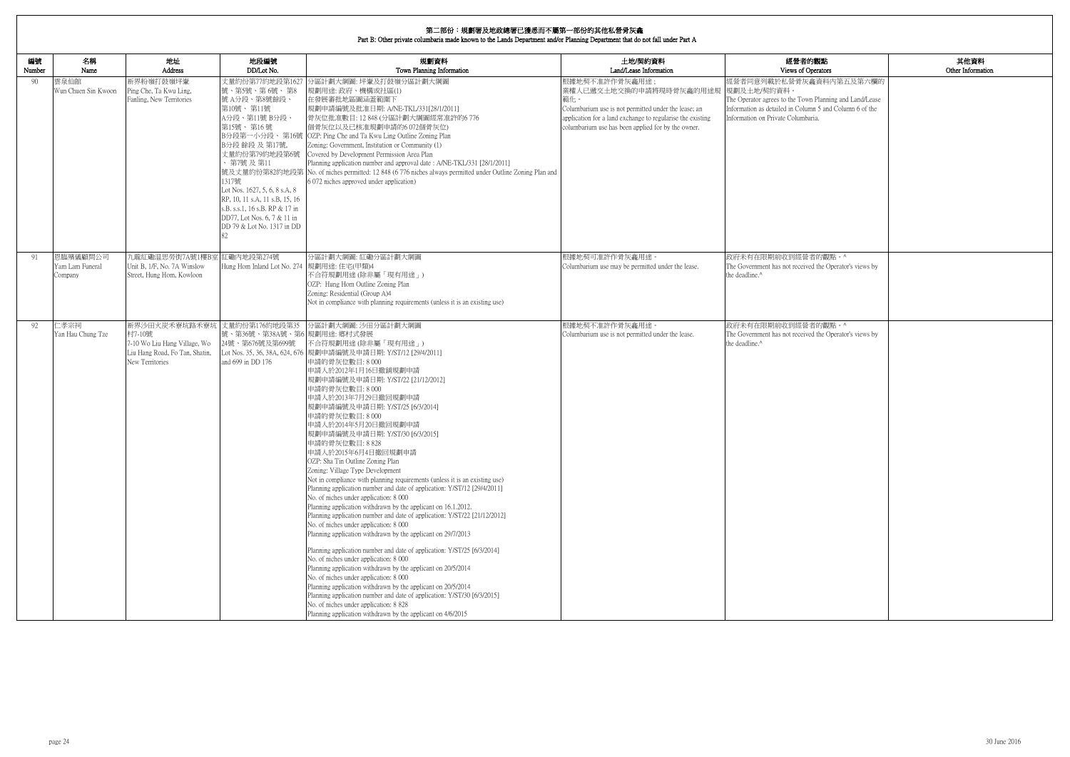| 的觀點                                                            | 其他資料              |
|----------------------------------------------------------------|-------------------|
| )perators                                                      | Other Information |
| 龕資料內第五及第六欄的                                                    |                   |
| n Planning and Land/Lease<br>mn 5 and Column 6 of the<br>aria. |                   |
|                                                                |                   |
|                                                                |                   |
|                                                                |                   |
|                                                                |                   |
|                                                                |                   |
| 者的觀點。^<br>ed the Operator's views by                           |                   |
|                                                                |                   |
| 者的觀點。^                                                         |                   |
| ed the Operator's views by                                     |                   |
|                                                                |                   |
|                                                                |                   |
|                                                                |                   |
|                                                                |                   |
|                                                                |                   |
|                                                                |                   |
|                                                                |                   |
|                                                                |                   |
|                                                                |                   |
|                                                                |                   |

| 編號<br>Number | 名稱<br>Name                             | 地址<br>Address                                                                                                               | 地段編號<br>DD/Lot No.                                                                                                                                                                                                                                                                                                  | 規劃資料<br>Town Planning Information                                                                                                                                                                                                                                                                                                                                                                                                                                                                                                                                                                                                                                                                                                                                                                                                                                                                                                                                                                                                                                                                                                                                                                                                                                                                                                                                                                                   | 土地/契約資料<br>Land/Lease Information                                                                                                                                                                                           | 經營者的觀點<br>Views of Operators                                                                                                                                                                       |
|--------------|----------------------------------------|-----------------------------------------------------------------------------------------------------------------------------|---------------------------------------------------------------------------------------------------------------------------------------------------------------------------------------------------------------------------------------------------------------------------------------------------------------------|---------------------------------------------------------------------------------------------------------------------------------------------------------------------------------------------------------------------------------------------------------------------------------------------------------------------------------------------------------------------------------------------------------------------------------------------------------------------------------------------------------------------------------------------------------------------------------------------------------------------------------------------------------------------------------------------------------------------------------------------------------------------------------------------------------------------------------------------------------------------------------------------------------------------------------------------------------------------------------------------------------------------------------------------------------------------------------------------------------------------------------------------------------------------------------------------------------------------------------------------------------------------------------------------------------------------------------------------------------------------------------------------------------------------|-----------------------------------------------------------------------------------------------------------------------------------------------------------------------------------------------------------------------------|----------------------------------------------------------------------------------------------------------------------------------------------------------------------------------------------------|
| -90          | 雲泉仙館<br>Wun Chuen Sin Kwoon            | 新界粉嶺打鼓嶺坪輋<br>Ping Che, Ta Kwu Ling,<br>Fanling, New Territories                                                             | 丈量約份第77約地段第1627<br>號、第5號、第6號、第8<br>號A分段、第8號餘段、<br>第10號、第11號<br>A分段、第11號 B分段、<br>第15號、第16號<br>B分段 餘段 及 第17號,<br>丈量約份第79約地段第6號<br>、第7號及第11<br>1317號<br>Lot Nos. 1627, 5, 6, 8 s.A, 8<br>RP, 10, 11 s.A, 11 s.B, 15, 16<br>s.B. s.s.1, 16 s.B. RP & 17 in<br>DD77, Lot Nos. 6, 7 & 11 in<br>DD 79 & Lot No. 1317 in DD | 分區計劃大綱圖: 坪輋及打鼓嶺分區計劃大綱圖<br>規劃用途: 政府、機構或社區(1)<br>在發展審批地區圖涵蓋範圍下<br>規劃申請編號及批准日期: A/NE-TKL/331[28/1/2011]<br>骨灰位批准數目: 12 848 (分區計劃大綱圖經常准許的6 776<br>個骨灰位以及已核准規劃申請的6072個骨灰位)<br>B分段第一小分段、第16號 OZP: Ping Che and Ta Kwu Ling Outline Zoning Plan<br>Zoning: Government, Institution or Community (1)<br>Covered by Development Permission Area Plan<br>Planning application number and approval date: A/NE-TKL/331 [28/1/2011]<br>號及丈量約份第82約地段第 No. of niches permitted: 12 848 (6 776 niches always permitted under Outline Zoning Plan and<br>6 072 niches approved under application)                                                                                                                                                                                                                                                                                                                                                                                                                                                                                                                                                                                                                                                                                                                                                                                                                                    | 恨據地契不准許作骨灰龕用途<br>業權人已遞交土地交換的申請將現時骨灰龕的用途規<br>範化。<br>Columbarium use is not permitted under the lease; an<br>application for a land exchange to regularise the existing<br>columbarium use has been applied for by the owner. | 經營者同意列載於私營骨灰龕資料內第五及第六欄的<br>規劃及土地/契約資料。<br>The Operator agrees to the Town Planning and Land/Lease<br>Information as detailed in Column 5 and Column 6 of the<br>Information on Private Columbaria. |
| 91           | 恩臨殯儀顧問公司<br>Yam Lam Funeral<br>Company | 九龍紅磡温思勞街7A號1樓B室 紅磡內地段第274號<br>Unit B, 1/F, No. 7A Winslow<br>Street, Hung Hom, Kowloon                                      | Hung Hom Inland Lot No. 274 規劃用途: 住宅(甲類)4                                                                                                                                                                                                                                                                           | 分區計劃大綱圖:紅磡分區計劃大綱圖<br>不合符規劃用途 (除非屬「現有用途」)<br>OZP: Hung Hom Outline Zoning Plan<br>Zoning: Residential (Group A)4<br>Not in compliance with planning requirements (unless it is an existing use)                                                                                                                                                                                                                                                                                                                                                                                                                                                                                                                                                                                                                                                                                                                                                                                                                                                                                                                                                                                                                                                                                                                                                                                                                      | 根據地契可准許作骨灰龕用途<br>Columbarium use may be permitted under the lease.                                                                                                                                                          | 政府未有在限期前收到經營者的觀點。^<br>The Government has not received the Operator's views by<br>the deadline.^                                                                                                    |
| 92           | 仁孝宗祠<br>Yan Hau Chung Tze              | 新界沙田火炭禾寮坑路禾寮坑 丈量約份第176約地段第35<br>村7-10號<br>7-10 Wo Liu Hang Village, Wo<br>Liu Hang Road, Fo Tan, Shatin,<br>New Territories | 號、第36號、第38A號、第6 規劃用途: 鄉村式發展<br>24號、第676號及第699號<br>and 699 in DD 176                                                                                                                                                                                                                                                 | 分區計劃大綱圖: 沙田分區計劃大綱圖<br>不合符規劃用途(除非屬「現有用途」)<br>Lot Nos. 35, 36, 38A, 624, 676 規劃申請編號及申請日期: Y/ST/12 [29/4/2011]<br>申請的骨灰位數目:8000<br>申請人於2012年1月16日撤銷規劃申請<br>規劃申請編號及申請日期: Y/ST/22 [21/12/2012]<br>申請的骨灰位數目:8000<br>申請人於2013年7月29日撤回規劃申請<br>規劃申請編號及申請日期: Y/ST/25 [6/3/2014]<br>申請的骨灰位數目:8000<br>申請人於2014年5月20日撤回規劃申請<br>規劃申請編號及申請日期: Y/ST/30 [6/3/2015]<br>申請的骨灰位數目: 8 828<br>申請人於2015年6月4日撤回規劃申請<br>OZP: Sha Tin Outline Zoning Plan<br>Zoning: Village Type Development<br>Not in compliance with planning requirements (unless it is an existing use)<br>Planning application number and date of application: Y/ST/12 [29/4/2011]<br>No. of niches under application: 8 000<br>Planning application withdrawn by the applicant on 16.1.2012.<br>Planning application number and date of application: Y/ST/22 [21/12/2012]<br>No. of niches under application: 8 000<br>Planning application withdrawn by the applicant on 29/7/2013<br>Planning application number and date of application: Y/ST/25 [6/3/2014]<br>No. of niches under application: 8 000<br>Planning application withdrawn by the applicant on 20/5/2014<br>No. of niches under application: 8 000<br>Planning application withdrawn by the applicant on 20/5/2014<br>Planning application number and date of application: Y/ST/30 [6/3/2015]<br>No. of niches under application: 8 828<br>Planning application withdrawn by the applicant on 4/6/2015 | 根據地契不准許作骨灰龕用途。<br>Columbarium use is not permitted under the lease.                                                                                                                                                         | 政府未有在限期前收到經營者的觀點。^<br>The Government has not received the Operator's views by<br>the deadline.^                                                                                                    |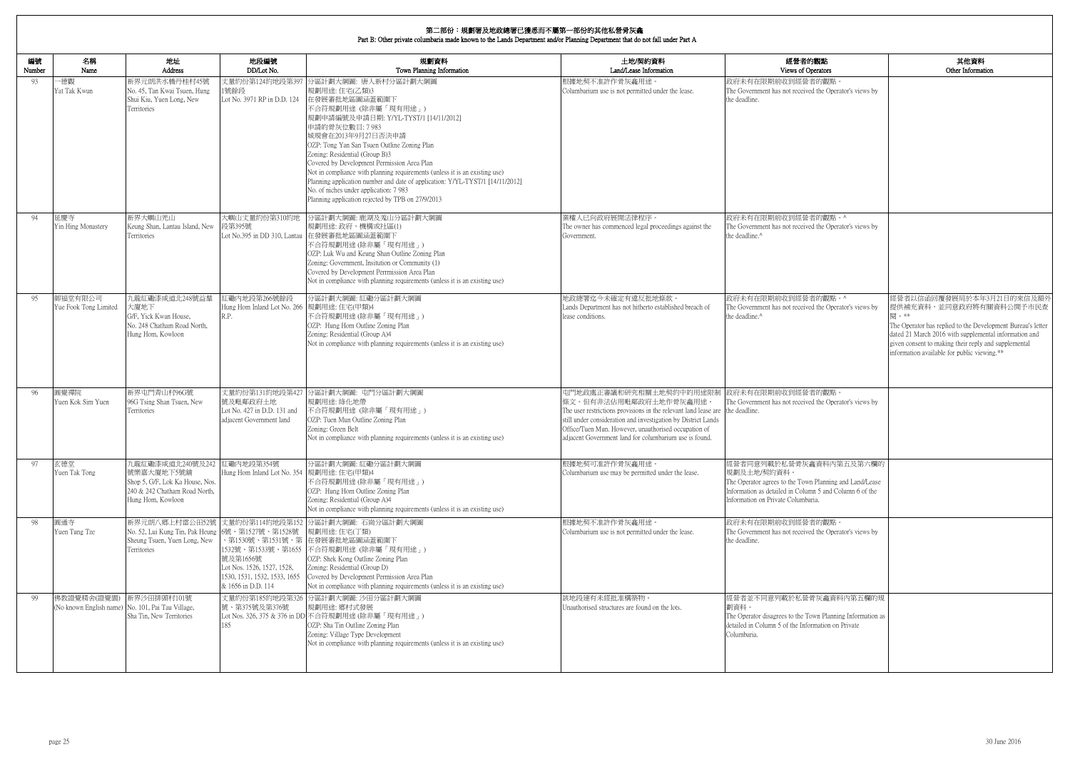| 内觀點<br>perators                                    | 其他資料<br>Other Information                                                                           |
|----------------------------------------------------|-----------------------------------------------------------------------------------------------------|
| 者的觀點。                                              |                                                                                                     |
| ed the Operator's views by                         |                                                                                                     |
|                                                    |                                                                                                     |
|                                                    |                                                                                                     |
|                                                    |                                                                                                     |
|                                                    |                                                                                                     |
|                                                    |                                                                                                     |
|                                                    |                                                                                                     |
|                                                    |                                                                                                     |
|                                                    |                                                                                                     |
|                                                    |                                                                                                     |
| 者的觀點。^                                             |                                                                                                     |
| ed the Operator's views by                         |                                                                                                     |
|                                                    |                                                                                                     |
|                                                    |                                                                                                     |
|                                                    |                                                                                                     |
|                                                    |                                                                                                     |
| 者的觀點。^                                             | 經營者以信函回覆發展局於本年3月21日的來信及額外                                                                           |
| ed the Operator's views by                         | 提供補充資料,並同意政府將有關資料公開予市民查                                                                             |
|                                                    | 閱。**<br>The Operator has replied to the Development Bureau's letter                                 |
|                                                    | dated 21 March 2016 with supplemental information and                                               |
|                                                    | given consent to making their reply and supplemental<br>information available for public viewing.** |
|                                                    |                                                                                                     |
|                                                    |                                                                                                     |
| 者的觀點。                                              |                                                                                                     |
| ed the Operator's views by                         |                                                                                                     |
|                                                    |                                                                                                     |
|                                                    |                                                                                                     |
|                                                    |                                                                                                     |
|                                                    |                                                                                                     |
| 龕資料內第五及第六欄的                                        |                                                                                                     |
| n Planning and Land/Lease                          |                                                                                                     |
| nn 5 and Column 6 of the                           |                                                                                                     |
| aria.                                              |                                                                                                     |
|                                                    |                                                                                                     |
| 者的觀點。<br>ed the Operator's views by                |                                                                                                     |
|                                                    |                                                                                                     |
|                                                    |                                                                                                     |
|                                                    |                                                                                                     |
|                                                    |                                                                                                     |
| 骨灰龕資料內第五欄的規                                        |                                                                                                     |
|                                                    |                                                                                                     |
| own Planning Information as<br>ormation on Private |                                                                                                     |
|                                                    |                                                                                                     |
|                                                    |                                                                                                     |
|                                                    |                                                                                                     |
|                                                    |                                                                                                     |

| 編號<br>Number | 名稱<br>Name                                                       | 地址<br><b>Address</b>                                                                                                    | 地段編號<br>DD/Lot No.                                                                                               | 規劃資料<br>Town Planning Information                                                                                                                                                                                                                                                                                                                                                                                                                                                                                                                             | 土地/契約資料<br>Land/Lease Information                                                                                                                                                                                                                                                                                    | 經營者的觀點<br>Views of Operators                                                                                                                                                                       |
|--------------|------------------------------------------------------------------|-------------------------------------------------------------------------------------------------------------------------|------------------------------------------------------------------------------------------------------------------|---------------------------------------------------------------------------------------------------------------------------------------------------------------------------------------------------------------------------------------------------------------------------------------------------------------------------------------------------------------------------------------------------------------------------------------------------------------------------------------------------------------------------------------------------------------|----------------------------------------------------------------------------------------------------------------------------------------------------------------------------------------------------------------------------------------------------------------------------------------------------------------------|----------------------------------------------------------------------------------------------------------------------------------------------------------------------------------------------------|
| 93           | -德觀<br>Yat Tak Kwun                                              | 新界元朗洪水橋丹桂村45號<br>No. 45, Tan Kwai Tsuen, Hung<br>Shui Kiu, Yuen Long, New<br>Territories                                | 丈量約份第124約地段第397<br>1號餘段<br>Lot No. 3971 RP in D.D. 124                                                           | 分區計劃大綱圖: 唐人新村分區計劃大綱圖<br>規劃用途:住宅(乙類)3<br>在發展審批地區圖涵蓋範圍下<br>不合符規劃用途 (除非屬「現有用途」)<br>規劃申請編號及申請日期: Y/YL-TYST/1 [14/11/2012]<br>申請的骨灰位數目: 7 983<br>城規會在2013年9月27日否決申請<br>OZP: Tong Yan San Tsuen Outline Zoning Plan<br>Zoning: Residential (Group B)3<br>Covered by Development Permission Area Plan<br>Not in compliance with planning requirements (unless it is an existing use)<br>Planning application number and date of application: Y/YL-TYST/1 [14/11/2012]<br>No. of niches under application: 7 983<br>Planning application rejected by TPB on 27/9/2013 | 根據地契不准許作骨灰龕用途。<br>Columbarium use is not permitted under the lease.                                                                                                                                                                                                                                                  | 政府未有在限期前收到經營者的觀點。<br>The Government has not received the Operator's views by<br>the deadline.                                                                                                      |
| 94           | 延慶寺<br>Yin Hing Monastery                                        | 新界大嶼山羌山<br>Keung Shan, Lantau Island, New<br>Territories                                                                | 大嶼山丈量約份第310約地<br>段第395號                                                                                          | 分區計劃大綱圖: 鹿湖及羗山分區計劃大綱圖<br>規劃用途: 政府、機構或社區(1)<br>Lot No.395 in DD 310, Lantau 在發展審批地區圖涵蓋範圍下<br>不合符規劃用途(除非屬「現有用途」)<br>OZP: Luk Wu and Keung Shan Outline Zoning Plan<br>Zoning: Government, Insitution or Community (1)<br>Covered by Development Perrmission Area Plan<br>Not in compliance with planning requirements (unless it is an existing use)                                                                                                                                                                                                            | 業權人已向政府展開法律程序。<br>The owner has commenced legal proceedings against the<br>Government.                                                                                                                                                                                                                               | 政府未有在限期前收到經營者的觀點。^<br>The Government has not received the Operator's views by<br>the deadline. <sup>^</sup>                                                                                        |
| 95           | 御福堂有限公司<br>Yue Fook Tong Limited                                 | 九龍紅磡漆咸道北248號益羣<br>大廈地下<br>G/F, Yick Kwan House,<br>No. 248 Chatham Road North,<br>Hung Hom, Kowloon                     | 工磡内地段第266號餘段<br>Hung Hom Inland Lot No. 266  規劃用途: 住宅(甲類)4<br>R.P.                                               | 分區計劃大綱圖:紅磡分區計劃大綱圖<br>不合符規劃用途 (除非屬「現有用途」)<br>OZP: Hung Hom Outline Zoning Plan<br>Zoning: Residential (Group A)4<br>Not in compliance with planning requirements (unless it is an existing use)                                                                                                                                                                                                                                                                                                                                                                | 地政總署迄今未確定有違反批地條款。<br>Lands Department has not hitherto established breach of<br>lease conditions.                                                                                                                                                                                                                    | 政府未有在限期前收到經營者的觀點。^<br>The Government has not received the Operator's views by<br>the deadline. <sup>^</sup>                                                                                        |
| 96           | 圓覺禪院<br>Yuen Kok Sim Yuen                                        | 新界屯門青山村96G號<br>96G Tsing Shan Tsuen, New<br>Territories                                                                 | 號及毗鄰政府土地<br>Lot No. 427 in D.D. 131 and<br>adjacent Government land                                              | 丈量約份第131約地段第427 分區計劃大綱圖: 屯門分區計劃大綱圖<br>規劃用途: 綠化地帶<br>不合符規劃用途 (除非屬「現有用途」)<br>OZP: Tuen Mun Outline Zoning Plan<br>Zoning: Green Belt<br>Not in compliance with planning requirements (unless it is an existing use)                                                                                                                                                                                                                                                                                                                                             | 屯門地政處正審議和研究相關土地契約中的用途限制<br>條文。但有非法佔用毗鄰政府土地作骨灰龕用途。<br>The user restrictions provisions in the relevant land lease are the deadline.<br>still under consideration and investigation by District Lands<br>Office/Tuen Mun. However, unauthorised occupation of<br>adjacent Government land for columbarium use is found | 政府未有在限期前收到經營者的觀點。<br>The Government has not received the Operator's views by                                                                                                                       |
| 97           | 玄德堂<br>Yuen Tak Tong                                             | 九龍紅磡漆咸道北240號及242<br>號樂嘉大廈地下5號舖<br>Shop 5, G/F, Lok Ka House, Nos.<br>240 & 242 Chatham Road North,<br>Hung Hom, Kowloon | 江磡内地段第354號<br>Hung Hom Inland Lot No. 354  規劃用途: 住宅(甲類)4                                                         | 分區計劃大綱圖:紅磡分區計劃大綱圖<br>不合符規劃用途 (除非屬「現有用途」)<br>OZP: Hung Hom Outline Zoning Plan<br>Zoning: Residential (Group A)4<br>Not in compliance with planning requirements (unless it is an existing use)                                                                                                                                                                                                                                                                                                                                                                | 根據地契可准許作骨灰龕用途。<br>Columbarium use may be permitted under the lease.                                                                                                                                                                                                                                                  | 經營者同意列載於私營骨灰龕資料內第五及第六欄的<br>規劃及土地/契約資料。<br>The Operator agrees to the Town Planning and Land/Lease<br>Information as detailed in Column 5 and Column 6 of the<br>Information on Private Columbaria. |
| 98           | 圓通寺<br>Yuen Tung Tze                                             | No. 52, Lui Kung Tin, Pak Heung<br>Sheung Tsuen, Yuen Long, New<br>Territories                                          | 6號、第1527號、第1528號<br>號及第1656號<br>Lot Nos. 1526, 1527, 1528,<br>1530, 1531, 1532, 1533, 1655<br>& 1656 in D.D. 114 | 新界元朗八鄉上村雷公田52號 文量約份第114約地段第152 分區計劃大綱圖: 石崗分區計劃大綱圖<br>規劃用途:住宅(丁類)<br>、第1530號、第1531號、第│在發展審批地區圖涵蓋範圍下<br>1532號、第1533號、第1655 不合符規劃用途 (除非屬「現有用途」)<br>OZP: Shek Kong Outline Zoning Plan<br>Zoning: Residential (Group D)<br>Covered by Development Permission Area Plan<br>Not in compliance with planning requirements (unless it is an existing use)                                                                                                                                                                                                             | 根據地契不准許作骨灰龕用途。<br>Columbarium use is not permitted under the lease.                                                                                                                                                                                                                                                  | 政府未有在限期前收到經營者的觀點。<br>The Government has not received the Operator's views by<br>the deadline.                                                                                                      |
| 99           | 佛教證覺精舍(證覺園)<br>(No known English name) No. 101, Pai Tau Village, | 新界沙田排頭村101號<br>Sha Tin, New Territories                                                                                 | 號、第375號及第376號<br>185                                                                                             | 丈量約份第185約地段第326 分區計劃大綱圖: 沙田分區計劃大綱圖<br> 規劃用途: 鄉村式發展<br>Lot Nos. 326, 375 & 376 in DD 不合符規劃用途 (除非屬「現有用途」)<br>OZP: Sha Tin Outline Zoning Plan<br>Zoning: Village Type Development<br>Not in compliance with planning requirements (unless it is an existing use)                                                                                                                                                                                                                                                                                                | 該地段建有未經批准構築物<br>Unauthorised structures are found on the lots.                                                                                                                                                                                                                                                       | 經營者並不同意列載於私營骨灰龕資料內第五欄的規<br>劃資料。<br>The Operator disagrees to the Town Planning Information as<br>detailed in Column 5 of the Information on Private<br>Columbaria.                                 |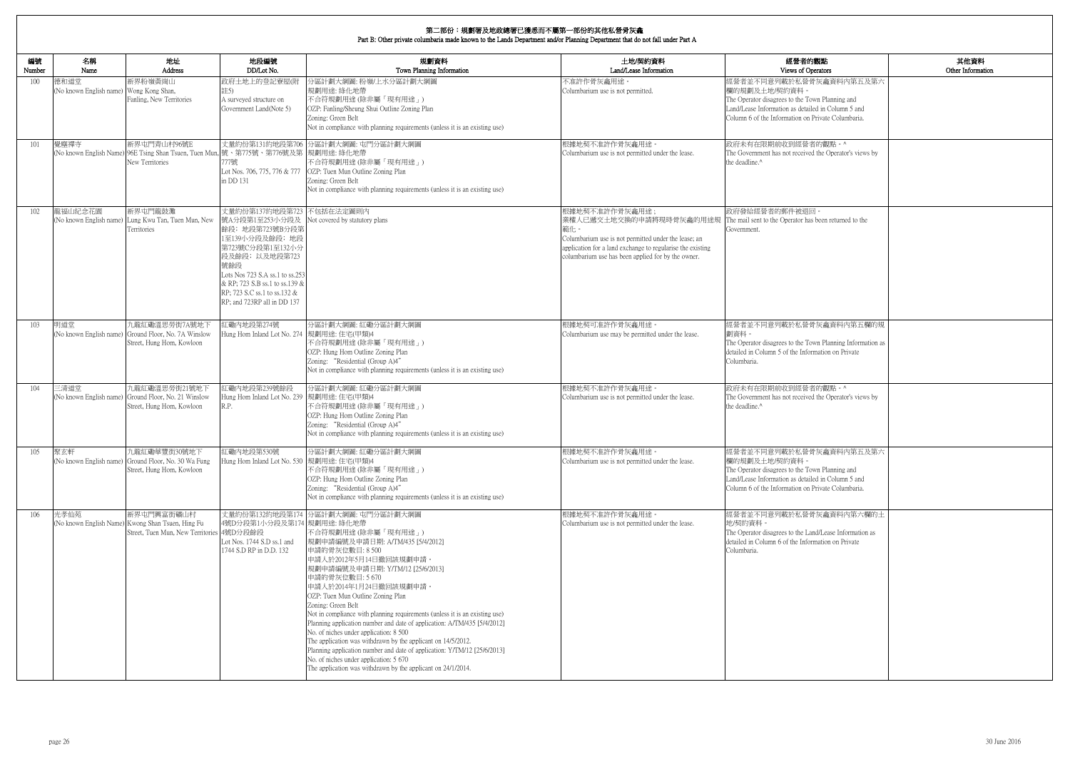| 的觀點                                                                | 其他資料              |
|--------------------------------------------------------------------|-------------------|
| )perators                                                          | Other Information |
| 骨灰龕資料内第五及第六                                                        |                   |
| 'own Planning and<br>iled in Column 5 and<br>1 Private Columbaria. |                   |
| 者的觀點。^                                                             |                   |
| ed the Operator's views by                                         |                   |
| $\square$                                                          |                   |
| as been returned to the                                            |                   |
| 骨灰龕資料內第五欄的規                                                        |                   |
| own Planning Information as<br>ormation on Private                 |                   |
| 者的觀點。^                                                             |                   |
| ed the Operator's views by                                         |                   |
| 骨灰龕資料内第五及第六                                                        |                   |
| 'own Planning and<br>iled in Column 5 and<br>1 Private Columbaria. |                   |
| 骨灰龕資料内第六欄的土                                                        |                   |
| and/Lease Information as<br>ormation on Private                    |                   |
|                                                                    |                   |
|                                                                    |                   |

| 編號<br>Number | 名稱<br>Name                                      | 地址<br>Address                                                                                                | 地段編號<br>DD/Lot No.                                                                                                                                                                                                                                                | 規劃資料<br>Town Planning Information                                                                                                                                                                                                                                                                                                                                                                                                                                                                                                                                                                                                                                                                                                                     | 土地/契約資料<br>Land/Lease Information                                                                                                                                                                                           | 經營者的觀點<br>Views of Operators                                                                                                                                                                            |
|--------------|-------------------------------------------------|--------------------------------------------------------------------------------------------------------------|-------------------------------------------------------------------------------------------------------------------------------------------------------------------------------------------------------------------------------------------------------------------|-------------------------------------------------------------------------------------------------------------------------------------------------------------------------------------------------------------------------------------------------------------------------------------------------------------------------------------------------------------------------------------------------------------------------------------------------------------------------------------------------------------------------------------------------------------------------------------------------------------------------------------------------------------------------------------------------------------------------------------------------------|-----------------------------------------------------------------------------------------------------------------------------------------------------------------------------------------------------------------------------|---------------------------------------------------------------------------------------------------------------------------------------------------------------------------------------------------------|
| 100          | 德和道堂<br>(No known English name) Wong Kong Shan, | 新界粉嶺黃崗山<br>Fanling, New Territories                                                                          | 政府土地上的登記寮屋(附<br>註5)<br>A surveyed structure on<br>Government Land(Note 5)                                                                                                                                                                                         | 分區計劃大綱圖: 粉嶺/上水分區計劃大綱圖<br>規劃用途: 綠化地帶<br>不合符規劃用途 (除非屬「現有用途」)<br>OZP: Fanling/Sheung Shui Outline Zoning Plan<br>Zoning: Green Belt<br>Not in compliance with planning requirements (unless it is an existing use)                                                                                                                                                                                                                                                                                                                                                                                                                                                                                                                                       | 不准許作骨灰龕用途。<br>Columbarium use is not permitted.                                                                                                                                                                             | 經營者並不同意列載於私營骨灰龕資料內第五及第六<br>欄的規劃及土地/契約資料。<br>The Operator disagrees to the Town Planning and<br>Land/Lease Information as detailed in Column 5 and<br>Column 6 of the Information on Private Columbaria. |
| 101          | 覺塵禪寺<br>(No known English Name)                 | 新界屯門青山村96號E<br>96E Tsing Shan Tsuen, Tuen Mun. 號、第775號、第776號及第  規劃用途: 綠化地帶<br>New Territories                | /77號<br>Lot Nos. 706, 775, 776 & 777<br>in DD 131                                                                                                                                                                                                                 | 丈量約份第131約地段第706 分區計劃大綱圖: 屯門分區計劃大綱圖<br>不合符規劃用途(除非屬「現有用途」)<br>OZP: Tuen Mun Outline Zoning Plan<br>Zoning: Green Belt<br>Not in compliance with planning requirements (unless it is an existing use)                                                                                                                                                                                                                                                                                                                                                                                                                                                                                                                                                    | 根據地契不准許作骨灰龕用途。<br>Columbarium use is not permitted under the lease.                                                                                                                                                         | 政府未有在限期前收到經營者的觀點。^<br>The Government has not received the Operator's views by<br>the deadline.^                                                                                                         |
| 102          | 龍福山紀念花園                                         | 新界屯門龍鼓灘<br>(No known English name) Lung Kwu Tan, Tuen Mun, New<br>Territories                                | 丈量約份第137約地段第723 不包括在法定圖則內<br>號A分段第1至253小分段及<br>餘段; 地段第723號B分段第<br>1至139小分段及餘段; 地段<br>第723號C分段第1至132小分<br>段及餘段;以及地段第723<br>號餘段<br>Lots Nos 723 S.A ss.1 to ss.253<br>& RP; 723 S.B ss.1 to ss.139 &<br>RP; 723 S.C ss.1 to ss.132 &<br>RP; and 723RP all in DD 137 | Not covered by statutory plans                                                                                                                                                                                                                                                                                                                                                                                                                                                                                                                                                                                                                                                                                                                        | 根據地契不准許作骨灰龕用途;<br>業權人已遞交土地交換的申請將現時骨灰龕的用途規<br>範化<br>Columbarium use is not permitted under the lease; an<br>application for a land exchange to regularise the existing<br>columbarium use has been applied for by the owner. | 政府發給經營者的郵件被退回<br>The mail sent to the Operator has been returned to the<br>Government.                                                                                                                  |
| 103          | 明道堂                                             | 九龍紅磡溫思勞街7A號地下<br>(No known English name) Ground Floor, No. 7A Winslow<br>Street, Hung Hom, Kowloon           | 工磡内地段第274號<br>Hung Hom Inland Lot No. 274 規劃用途: 住宅(甲類)4                                                                                                                                                                                                           | 分區計劃大綱圖:紅磡分區計劃大綱圖<br>不合符規劃用途 (除非屬「現有用途」)<br>OZP: Hung Hom Outline Zoning Plan<br>Zoning: "Residential (Group A)4"<br>Not in compliance with planning requirements (unless it is an existing use)                                                                                                                                                                                                                                                                                                                                                                                                                                                                                                                                                      | 根據地契可准許作骨灰龕用途。<br>Columbarium use may be permitted under the lease.                                                                                                                                                         | 經營者並不同意列載於私營骨灰龕資料內第五欄的規<br>劃資料。<br>The Operator disagrees to the Town Planning Information as<br>detailed in Column 5 of the Information on Private<br>Columbaria.                                      |
| 104          | 三清道堂                                            | 九龍紅磡溫思勞街21號地下<br>(No known English name) Ground Floor, No. 21 Winslow<br>Street, Hung Hom, Kowloon           | 工磡内地段第239號餘段<br>Hung Hom Inland Lot No. 239 規劃用途: 住宅(甲類)4<br>R.P.                                                                                                                                                                                                 | 分區計劃大綱圖:紅磡分區計劃大綱圖<br>不合符規劃用途(除非屬「現有用途」)<br>OZP: Hung Hom Outline Zoning Plan<br>Zoning: "Residential (Group A)4"<br>Not in compliance with planning requirements (unless it is an existing use)                                                                                                                                                                                                                                                                                                                                                                                                                                                                                                                                                       | 根據地契不准許作骨灰龕用途<br>Columbarium use is not permitted under the lease.                                                                                                                                                          | 政府未有在限期前收到經營者的觀點。^<br>The Government has not received the Operator's views by<br>the deadline.^                                                                                                         |
| 105          | 聚玄軒                                             | 九龍紅磡華豐街30號地下<br>(No known English name) Ground Floor, No. 30 Wa Fung<br>Street, Hung Hom, Kowloon            | 紅磡內地段第530號<br>Hung Hom Inland Lot No. 530 規劃用途: 住宅(甲類)4                                                                                                                                                                                                           | 分區計劃大綱圖:紅磡分區計劃大綱圖<br>不合符規劃用途 (除非屬「現有用途」)<br>OZP: Hung Hom Outline Zoning Plan<br>Zoning: "Residential (Group A)4"<br>Not in compliance with planning requirements (unless it is an existing use)                                                                                                                                                                                                                                                                                                                                                                                                                                                                                                                                                      | 根據地契不准許作骨灰龕用途。<br>Columbarium use is not permitted under the lease.                                                                                                                                                         | 經營者並不同意列載於私營骨灰龕資料內第五及第六<br>欄的規劃及土地/契約資料。<br>The Operator disagrees to the Town Planning and<br>Land/Lease Information as detailed in Column 5 and<br>Column 6 of the Information on Private Columbaria. |
| 106          | 光孝仙苑                                            | 新界屯門興富街礦山村<br>(No known English Name) Kwong Shan Tsuen, Hing Fu<br>Street, Tuen Mun, New Territories 4號D分段餘段 | 4號D分段第1小分段及第174  規劃用途: 綠化地帶<br>Lot Nos. 1744 S.D ss.1 and<br>1744 S.D RP in D.D. 132                                                                                                                                                                              | 丈量約份第132約地段第174 分區計劃大綱圖: 屯門分區計劃大綱圖<br>不合符規劃用途 (除非屬「現有用途」)<br> 規劃申請編號及申請日期: A/TM/435 [5/4/2012] <br>申請的骨灰位數目: 8 500<br>申請人於2012年5月14日撤回該規劃申請。<br> 規劃申請編號及申請日期: Y/TM/12 [25/6/2013] <br>申請的骨灰位數目: 5 670<br>申請人於2014年1月24日撤回該規劃申請。<br>OZP: Tuen Mun Outline Zoning Plan<br>Zoning: Green Belt<br>Not in compliance with planning requirements (unless it is an existing use)<br>Planning application number and date of application: A/TM/435 [5/4/2012]<br>No. of niches under application: 8 500<br>The application was withdrawn by the applicant on 14/5/2012.<br>Planning application number and date of application: Y/TM/12 [25/6/2013]<br>No. of niches under application: 5 670<br>The application was withdrawn by the applicant on 24/1/2014. | 根據地契不准許作骨灰龕用涂。<br>Columbarium use is not permitted under the lease.                                                                                                                                                         | 經營者並不同意列載於私營骨灰龕資料內第六欄的土<br>地/契約資料。<br>The Operator disagrees to the Land/Lease Information as<br>detailed in Column 6 of the Information on Private<br>Columbaria.                                      |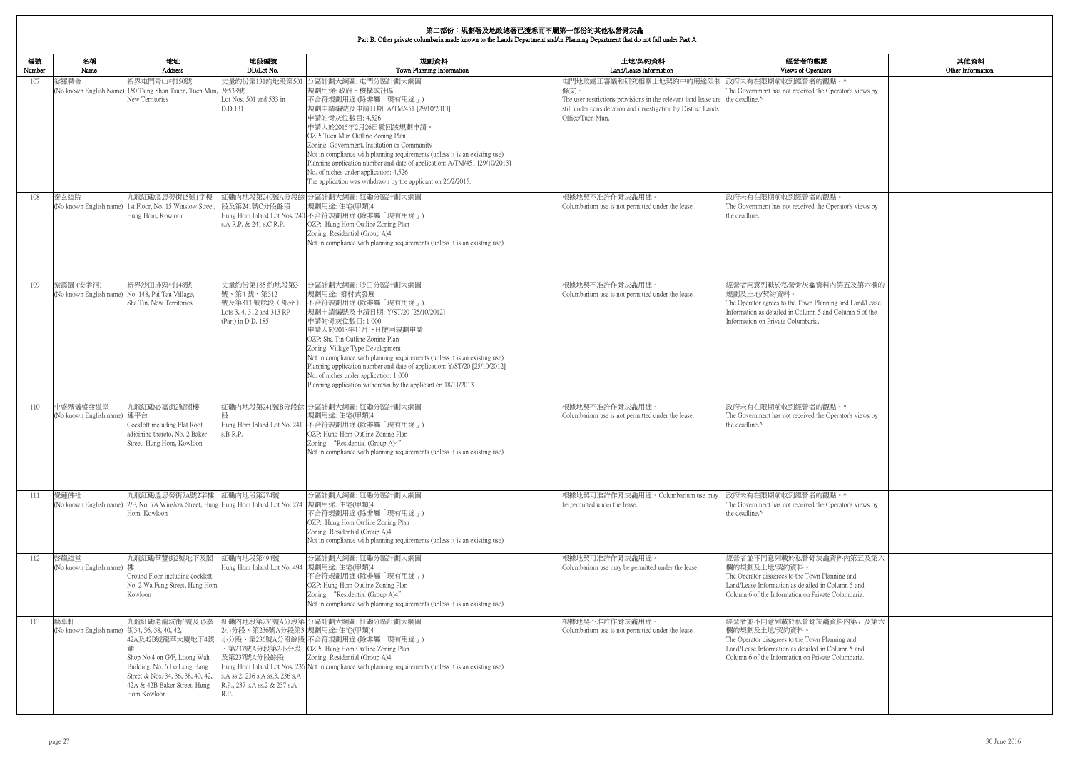| 的觀點<br>perators                                                 | 其他資料<br>Other Information |
|-----------------------------------------------------------------|---------------------------|
| 者的觀點。^<br>ed the Operator's views by                            |                           |
|                                                                 |                           |
| 者的觀點。<br>ed the Operator's views by                             |                           |
| 龕資料內第五及第六欄的                                                     |                           |
| n Planning and Land/Lease<br>nn 5 and Column 6 of the<br>aria.  |                           |
|                                                                 |                           |
| 者的觀點。^<br>ed the Operator's views by                            |                           |
| 者的觀點。^<br>ed the Operator's views by                            |                           |
| 骨灰龕資料内第五及第六                                                     |                           |
| own Planning and<br>iled in Column 5 and<br>Private Columbaria. |                           |
| 骨灰龕資料内第五及第六                                                     |                           |
| own Planning and<br>iled in Column 5 and<br>Private Columbaria. |                           |
|                                                                 |                           |

┓

#### 第二部份:規劃署及地政總署已獲悉而不屬第一部份的其他私營骨灰龕

| 編號<br>Number | 名稱<br>Name                                                     | 地址<br>Address                                                                                                                                                                        | 地段編號<br>DD/Lot No.                                                                                                      | 規劃資料<br>Town Planning Information                                                                                                                                                                                                                                                                                                                                                                                                                                                                                          | 土地/契約資料<br>Land/Lease Information                                                                                                                                                                                        | 經營者的觀點<br>Views of Operators                                                                                                                                                                            |
|--------------|----------------------------------------------------------------|--------------------------------------------------------------------------------------------------------------------------------------------------------------------------------------|-------------------------------------------------------------------------------------------------------------------------|----------------------------------------------------------------------------------------------------------------------------------------------------------------------------------------------------------------------------------------------------------------------------------------------------------------------------------------------------------------------------------------------------------------------------------------------------------------------------------------------------------------------------|--------------------------------------------------------------------------------------------------------------------------------------------------------------------------------------------------------------------------|---------------------------------------------------------------------------------------------------------------------------------------------------------------------------------------------------------|
| 107          | 娑羅精舍                                                           | 新界屯門青山村150號<br>(No known English Name) 150 Tsing Shan Tsuen, Tuen Mun,<br>New Territories                                                                                            | 及533號<br>Lot Nos. 501 and 533 in<br>D.D.131                                                                             | 丈量約份第131約地段第501 分區計劃大綱圖: 屯門分區計劃大綱圖<br>規劃用途: 政府、機構或社區<br>不合符規劃用途(除非屬「現有用途」)<br> 規劃申請編號及申請日期: A/TM/451 [29/10/2013]<br>申請的骨灰位數目: 4,526<br>申請人於2015年2月26日撤回該規劃申請。<br>OZP: Tuen Mun Outline Zoning Plan<br>Zoning: Government, Institution or Community<br>Not in compliance with planning requirements (unless it is an existing use)<br>Planning application number and date of application: A/TM/451 [29/10/2013]<br>No. of niches under application: 4,526<br>The application was withdrawn by the applicant on 26/2/2015. | 屯門地政處正審議和研究相關土地契約中的用途限制 政府未有在限期前收到經營者的觀點。^<br>條文。<br>The user restrictions provisions in the relevant land lease are the deadline.^<br>still under consideration and investigation by District Lands<br>Office/Tuen Mun. | The Government has not received the Operator's views by                                                                                                                                                 |
| 108          | 泰玄道院                                                           | 九龍紅磡溫思勞街15號1字樓<br>(No known English name) 1st Floor, No. 15 Winslow Street,<br>Hung Hom, Kowloon                                                                                     | 段及第241號C分段餘段<br>s.A R.P. & 241 s.C R.P.                                                                                 | 紅磡內地段第240號A分段餘 分區計劃大綱圖: 紅磡分區計劃大綱圖<br>規劃用途:住宅(甲類)4<br>Hung Hom Inland Lot Nos. 240 不合符規劃用途 (除非屬「現有用途」)<br>OZP: Hung Hom Outline Zoning Plan<br>Zoning: Residential (Group A)4<br>Not in compliance with planning requirements (unless it is an existing use)                                                                                                                                                                                                                                                                | 根據地契不准許作骨灰龕用途<br>Columbarium use is not permitted under the lease.                                                                                                                                                       | 政府未有在限期前收到經營者的觀點。<br>The Government has not received the Operator's views by<br>the deadline.                                                                                                           |
| 109          | 紫霞園 (安孝祠)<br>(No known English name) No. 148, Pai Tau Village, | 新界沙田排頭村148號<br>Sha Tin, New Territories                                                                                                                                              | 丈量約份第185 約地段第3<br>號、第4號、第312<br>號及第313號餘段(部分)<br>Lots 3, 4, 312 and 313 RP<br>(Part) in D.D. 185                        | 分區計劃大綱圖: 沙田分區計劃大綱圖<br> 規劃用途: 鄉村式發展<br>不合符規劃用途 (除非屬「現有用途」)<br> 規劃申請編號及申請日期: Y/ST/20 [25/10/2012]<br>申請的骨灰位數目:1000<br>申請人於2013年11月18日撤回規劃申請<br>OZP: Sha Tin Outline Zoning Plan<br>Zoning: Village Type Development<br>Not in compliance with planning requirements (unless it is an existing use)<br>Planning application number and date of application: Y/ST/20 [25/10/2012]<br>No. of niches under application: 1 000<br>Planning application withdrawn by the applicant on 18/11/2013                                   | 根據地契不准許作骨灰龕用途。<br>Columbarium use is not permitted under the lease.                                                                                                                                                      | 經營者同意列載於私營骨灰龕資料內第五及第六欄的<br>規劃及土地/契約資料。<br>The Operator agrees to the Town Planning and Land/Lease<br>Information as detailed in Column 5 and Column 6 of the<br>Information on Private Columbaria.      |
| 110          | 中盛殯儀盛發道堂<br>(No known English name) 連平台                        | 九龍紅磡必嘉街2號閣樓<br>Cockloft including Flat Roof<br>adjoining thereto, No. 2 Baker<br>Street, Hung Hom, Kowloon                                                                           | s.B R.P.                                                                                                                | 江磡內地段第241號B分段餘 分區計劃大綱圖: 紅磡分區計劃大綱圖<br>規劃用途: 住宅(甲類)4<br>Hung Hom Inland Lot No. 241 不合符規劃用途 (除非屬「現有用途」)<br>OZP: Hung Hom Outline Zoning Plan<br>Zoning: "Residential (Group A)4"<br>Not in compliance with planning requirements (unless it is an existing use)                                                                                                                                                                                                                                                              | 根據地契不准許作骨灰龕用途。<br>Columbarium use is not permitted under the lease.                                                                                                                                                      | 政府未有在限期前收到經營者的觀點。^<br>The Government has not received the Operator's views by<br>the deadline.^                                                                                                         |
| 111          | 覺蓮佛社                                                           | 九龍紅磡溫思勞街7A號2字樓<br>(No known English name) 2/F, No. 7A Winslow Street, Hung Hung Hom Inland Lot No. 274 規劃用途: 住宅(甲類)4<br>Hom, Kowloon                                                 | 紅磡内地段第274號                                                                                                              | 分區計劃大綱圖:紅磡分區計劃大綱圖<br>不合符規劃用途 (除非屬「現有用途」)<br>OZP: Hung Hom Outline Zoning Plan<br>Zoning: Residential (Group A)4<br>Not in compliance with planning requirements (unless it is an existing use)                                                                                                                                                                                                                                                                                                                             | 根據地契可准許作骨灰龕用途。Columbarium use may<br>be permitted under the lease.                                                                                                                                                       | 政府未有在限期前收到經營者的觀點。^<br>The Government has not received the Operator's views by<br>the deadline. <sup>^</sup>                                                                                             |
| 112          | 啓靝道堂<br>(No known English name) 樓                              | 九龍紅磡華豐街2號地下及閣<br>Ground Floor including cockloft,<br>No. 2 Wa Fung Street, Hung Hom,<br>Kowloon                                                                                      | 紅磡內地段第494號<br>Hung Hom Inland Lot No. 494 規劃用途: 住宅(甲類)4                                                                 | 分區計劃大綱圖:紅磡分區計劃大綱圖<br>不合符規劃用途 (除非屬「現有用途」)<br>OZP: Hung Hom Outline Zoning Plan<br>Zoning: "Residential (Group A)4"<br>Not in compliance with planning requirements (unless it is an existing use)                                                                                                                                                                                                                                                                                                                           | 根據地契可准許作骨灰龕用途。<br>Columbarium use may be permitted under the lease.                                                                                                                                                      | 經營者並不同意列載於私營骨灰龕資料內第五及第六<br>欄的規劃及土地/契約資料。<br>The Operator disagrees to the Town Planning and<br>Land/Lease Information as detailed in Column 5 and<br>Column 6 of the Information on Private Columbaria. |
| 113          | 藝卓軒<br>(No known English name) 街34, 36, 38, 40, 42,            | 九龍紅磡老龍坑街6號及必嘉<br>42A及42B號龍華大廈地下4號<br>Shop No.4 on G/F, Loong Wah<br>Building, No. 6 Lo Lung Hang<br>Street & Nos. 34, 36, 38, 40, 42,<br>42A & 42B Baker Street, Hung<br>Hom Kowloon | 2小分段、第236號A分段第3 規劃用途: 住宅(甲類)4<br>及第237號A分段餘段<br>s.A ss.2, 236 s.A ss.3, 236 s.A<br>R.P., 237 s.A ss.2 & 237 s.A<br>R.P. | 紅磡內地段第236號A分段第 分區計劃大綱圖: 紅磡分區計劃大綱圖<br>小分段、第236號A分段餘段 不合符規劃用途 (除非屬「現有用途」)<br>、第237號A分段第2小分段   OZP: Hung Hom Outline Zoning Plan<br>Zoning: Residential (Group A)4<br>Hung Hom Inland Lot Nos. 236 Not in compliance with planning requirements (unless it is an existing use)                                                                                                                                                                                                                                                | 根據地契不准許作骨灰龕用途。<br>Columbarium use is not permitted under the lease.                                                                                                                                                      | 經營者並不同意列載於私營骨灰龕資料內第五及第六<br>欄的規劃及土地/契約資料<br>The Operator disagrees to the Town Planning and<br>Land/Lease Information as detailed in Column 5 and<br>Column 6 of the Information on Private Columbaria.  |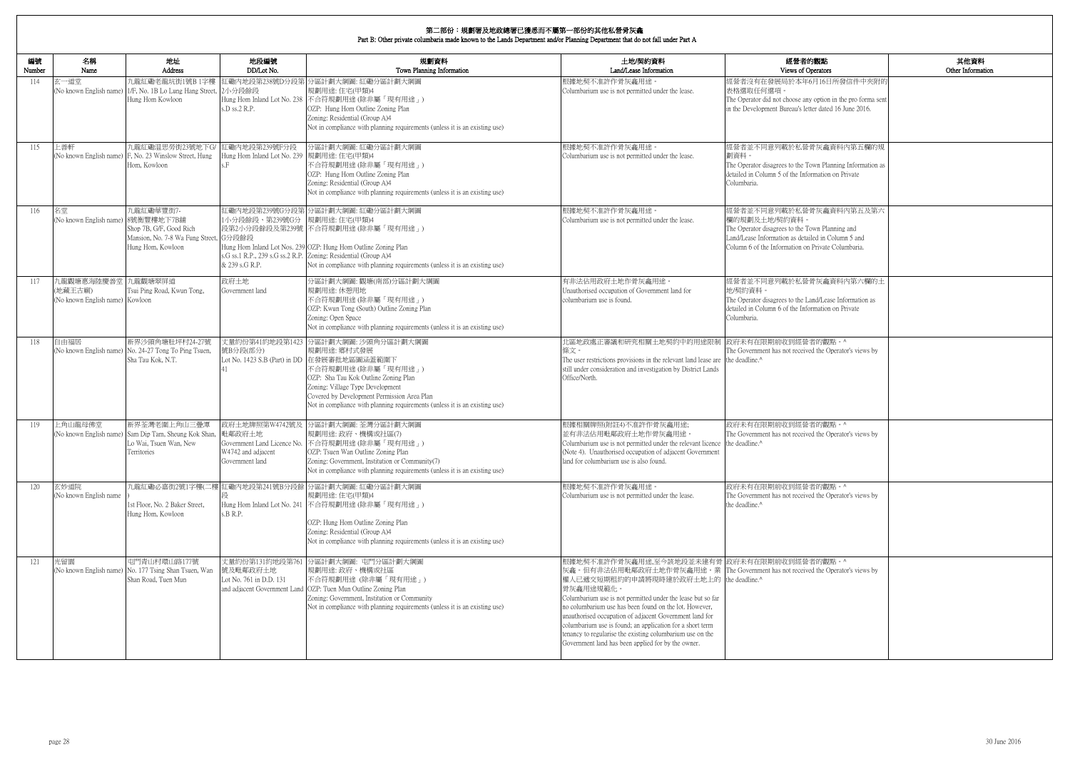| 的觀點<br>)perators                                                  | 其他資料<br>Other Information |
|-------------------------------------------------------------------|---------------------------|
| 6月16日所發信件中夾附的                                                     |                           |
| y option in the pro forma sent<br>tter dated 16 June 2016.        |                           |
| 骨灰龕資料內第五欄的規                                                       |                           |
| own Planning Information as<br>ormation on Private                |                           |
| 骨灰龕資料内第五及第六                                                       |                           |
| own Planning and<br>iled in Column 5 and<br>1 Private Columbaria. |                           |
| 骨灰龕資料內第六欄的土                                                       |                           |
| and/Lease Information as<br>ormation on Private                   |                           |
| 者的觀點。^<br>ed the Operator's views by                              |                           |
| 者的觀點。^<br>ed the Operator's views by                              |                           |
| 者的觀點。^<br>ed the Operator's views by                              |                           |
| 者的觀點。^<br>ed the Operator's views by                              |                           |

| 編號<br>Number | 名稱<br>Name                                                       | 地址<br>Address                                                                                 | 地段編號<br>DD/Lot No.                                         | 規劃資料<br>Town Planning Information                                                                                                                                                                                                                                                                                                  | 土地/契約資料<br>Land/Lease Information                                                                                                                                                                                                                                                                                                                                                                                                                                                                                                                         | 經營者的觀點<br>Views of Operators                                                                                                                                                                            |
|--------------|------------------------------------------------------------------|-----------------------------------------------------------------------------------------------|------------------------------------------------------------|------------------------------------------------------------------------------------------------------------------------------------------------------------------------------------------------------------------------------------------------------------------------------------------------------------------------------------|-----------------------------------------------------------------------------------------------------------------------------------------------------------------------------------------------------------------------------------------------------------------------------------------------------------------------------------------------------------------------------------------------------------------------------------------------------------------------------------------------------------------------------------------------------------|---------------------------------------------------------------------------------------------------------------------------------------------------------------------------------------------------------|
| 114          | 玄一道堂<br>(No known English name)                                  | 九龍紅磡老龍坑街1號B 1字樓<br>1/F, No. 1B Lo Lung Hang Street,<br>Hung Hom Kowloon                       | 2小分段餘段<br>s.D ss.2 R.P.                                    | 紅磡內地段第238號D分段第 分區計劃大綱圖: 紅磡分區計劃大綱圖<br>規劃用途:住宅(甲類)4<br>Hung Hom Inland Lot No. 238 不合符規劃用途 (除非屬「現有用途」)<br>OZP: Hung Hom Outline Zoning Plan<br>Zoning: Residential (Group A)4<br>Not in compliance with planning requirements (unless it is an existing use)                                                                         | 根據地契不准許作骨灰龕用途<br>Columbarium use is not permitted under the lease.                                                                                                                                                                                                                                                                                                                                                                                                                                                                                        | 經營者沒有在發展局於本年6月16日所發信件中夾附的<br>表格選取任何選項。<br>The Operator did not choose any option in the pro forma sent<br>in the Development Bureau's letter dated 16 June 2016.                                        |
| 115          | 上善軒<br>(No known English name)                                   | 九龍紅磡温思勞街23號地下G/<br>F, No. 23 Winslow Street, Hung<br>Hom, Kowloon                             | 紅磡内地段第239號F分段<br>Hung Hom Inland Lot No. 239 規劃用途: 住宅(甲類)4 | 分區計劃大綱圖:紅磡分區計劃大綱圖<br>不合符規劃用途(除非屬「現有用途」)<br>OZP: Hung Hom Outline Zoning Plan<br>Zoning: Residential (Group A)4<br>Not in compliance with planning requirements (unless it is an existing use)                                                                                                                                      | 根據地契不准許作骨灰龕用途<br>Columbarium use is not permitted under the lease.                                                                                                                                                                                                                                                                                                                                                                                                                                                                                        | 經營者並不同意列載於私營骨灰龕資料內第五欄的規<br>劃資料。<br>The Operator disagrees to the Town Planning Information as<br>detailed in Column 5 of the Information on Private<br>Columbaria.                                      |
| 116          | 名堂<br>(No known English name) 8號衡豐樓地下7B舖                         | 九龍紅磡華豐街7-<br>Shop 7B, G/F, Good Rich<br>Mansion, No. 7-8 Wa Fung Street,<br>Hung Hom, Kowloon | 1小分段餘段、第239號G分<br>G分段餘段<br>& 239 s.G R.P.                  | 紅磡內地段第239號G分段第 分區計劃大綱圖: 紅磡分區計劃大綱圖<br>規劃用途:住宅(甲類)4<br>段第2小分段餘段及第239號 不合符規劃用途(除非屬「現有用途」)<br>Hung Hom Inland Lot Nos. 239 OZP: Hung Hom Outline Zoning Plan<br>s.G ss.1 R.P., 239 s.G ss.2 R.P. Zoning: Residential (Group A)4<br>Not in compliance with planning requirements (unless it is an existing use)                         | 根據地契不准許作骨灰龕用途。<br>Columbarium use is not permitted under the lease.                                                                                                                                                                                                                                                                                                                                                                                                                                                                                       | 經營者並不同意列載於私營骨灰龕資料內第五及第六<br>欄的規劃及土地/契約資料。<br>The Operator disagrees to the Town Planning and<br>Land/Lease Information as detailed in Column 5 and<br>Column 6 of the Information on Private Columbaria. |
| 117          | 九龍觀塘惠海陸慶善堂 九龍觀塘翠屏道<br>(地藏王古廟)<br>(No known English name) Kowloon | Tsui Ping Road, Kwun Tong,                                                                    | 政府土地<br>Government land                                    | 分區計劃大綱圖:觀塘(南部)分區計劃大綱圖<br>規劃用途: 休憩用地<br>不合符規劃用途 (除非屬「現有用途」)<br>OZP: Kwun Tong (South) Outline Zoning Plan<br>Zoning: Open Space<br>Not in compliance with planning requirements (unless it is an existing use)                                                                                                                      | 有非法佔用政府土地作骨灰龕用途。<br>Unauthorised occupation of Government land for<br>columbarium use is found.                                                                                                                                                                                                                                                                                                                                                                                                                                                           | 經營者並不同意列載於私營骨灰龕資料內第六欄的土<br>地/契約資料。<br>The Operator disagrees to the Land/Lease Information as<br>detailed in Column 6 of the Information on Private<br>Columbaria.                                      |
| 118          | 自由福居                                                             | 新界沙頭角塘肚坪村24-27號<br>(No known English name) No. 24-27 Tong To Ping Tsuen,<br>Sha Tau Kok, N.T. | 號B分段(部分)                                                   | 丈量約份第41約地段第1423 分區計劃大綱圖: 沙頭角分區計劃大綱圖<br>規劃用途: 鄉村式發展<br>Lot No. 1423 S.B (Part) in DD 在發展審批地區圖涵蓋範圍下<br>不合符規劃用途 (除非屬「現有用途」)<br>OZP: Sha Tau Kok Outline Zoning Plan<br>Zoning: Village Type Development<br>Covered by Development Permission Area Plan<br>Not in compliance with planning requirements (unless it is an existing use) | 北區地政處正審議和研究相關土地契約中的用途限制 政府未有在限期前收到經營者的觀點。^<br>條文。<br>The user restrictions provisions in the relevant land lease are the deadline.^<br>still under consideration and investigation by District Lands<br>Office/North.                                                                                                                                                                                                                                                                                                                                     | The Government has not received the Operator's views by                                                                                                                                                 |
| 119          | 上角山龍母佛堂<br>(No known English name)                               | 新界荃灣老圍上角山三疊潭<br>Sam Dip Tam, Sheung Kok Shan,<br>Lo Wai, Tsuen Wan, New<br>Territories        | 毗鄰政府土地<br>W4742 and adjacent<br>Government land            | 政府土地牌照第W4742號及 分區計劃大綱圖: 荃灣分區計劃大綱圖<br>規劃用途: 政府、機構或社區(7)<br>Government Land Licence No. 不合符規劃用途 (除非屬「現有用途」)<br>OZP: Tsuen Wan Outline Zoning Plan<br>Zoning: Government, Institution or Community(7)<br>Not in compliance with planning requirements (unless it is an existing use)                                                  | 根據相關牌照(附註4)不准許作骨灰龕用途;<br>並有非法佔用毗鄰政府土地作骨灰龕用途。<br>Columbarium use is not permitted under the relevant licence the deadline. <sup>^</sup><br>(Note 4). Unauthorised occupation of adjacent Government<br>land for columbarium use is also found.                                                                                                                                                                                                                                                                                                             | 政府未有在限期前收到經營者的觀點。^<br>The Government has not received the Operator's views by                                                                                                                           |
| 120          | 玄妙道院<br>(No known English name                                   | st Floor, No. 2 Baker Street,<br>Hung Hom, Kowloon                                            | s.B R.P.                                                   | 九龍紅磡必嘉街2號1字樓(二樓 紅磡內地段第241號B分段餘 分區計劃大綱圖: 紅磡分區計劃大綱圖<br>規劃用途:住宅(甲類)4<br>Hung Hom Inland Lot No. 241 不合符規劃用途 (除非屬「現有用途」)<br>OZP: Hung Hom Outline Zoning Plan<br>Zoning: Residential (Group A)4<br>Not in compliance with planning requirements (unless it is an existing use)                                                         | 根據地契不准許作骨灰龕用途。<br>Columbarium use is not permitted under the lease.                                                                                                                                                                                                                                                                                                                                                                                                                                                                                       | 政府未有在限期前收到經營者的觀點。^<br>The Government has not received the Operator's views by<br>the deadline. <sup>^</sup>                                                                                             |
| 121          | 光留園                                                              | 屯門青山村環山路177號<br>(No known English name) No. 177 Tsing Shan Tsuen, Wan<br>Shan Road, Tuen Mun  | 號及毗鄰政府土地<br>Lot No. 761 in D.D. 131                        | 丈量約份第131約地段第761 分區計劃大綱圖: 屯門分區計劃大綱圖<br>規劃用途: 政府、機構或社區<br>不合符規劃用途 (除非屬「現有用途」)<br>and adjacent Government Land   OZP: Tuen Mun Outline Zoning Plan<br>Zoning: Government, Institution or Community<br>Not in compliance with planning requirements (unless it is an existing use)                                                     | 根據地契不准許作骨灰龕用途,至今該地段並未建有骨 政府未有在限期前收到經營者的觀點。^<br>灰龕。但有非法佔用毗鄰政府土地作骨灰龕用途。業 The Government has not received the Operator's views by<br>權人已遞交短期租約的申請將現時建於政府土地上的 the deadline.^<br>骨灰龕用途規範化。<br>Columbarium use is not permitted under the lease but so far<br>no columbarium use has been found on the lot. However,<br>unauthorised occupation of adjacent Government land for<br>columbarium use is found; an application for a short term<br>tenancy to regularise the existing columbarium use on the<br>Government land has been applied for by the owner. |                                                                                                                                                                                                         |